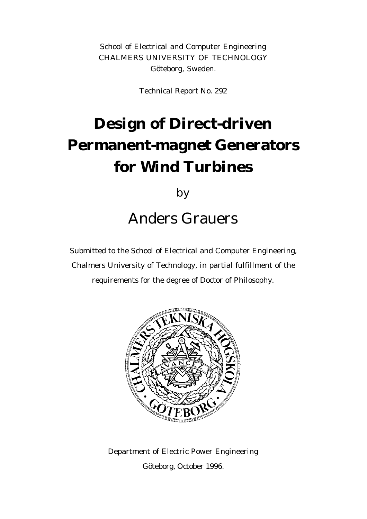School of Electrical and Computer Engineering CHALMERS UNIVERSITY OF TECHNOLOGY Göteborg, Sweden.

Technical Report No. 292

# **Design of Direct-driven Permanent-magnet Generators for Wind Turbines**

# by Anders Grauers

Submitted to the School of Electrical and Computer Engineering, Chalmers University of Technology, in partial fulfillment of the requirements for the degree of Doctor of Philosophy.



Department of Electric Power Engineering Göteborg, October 1996.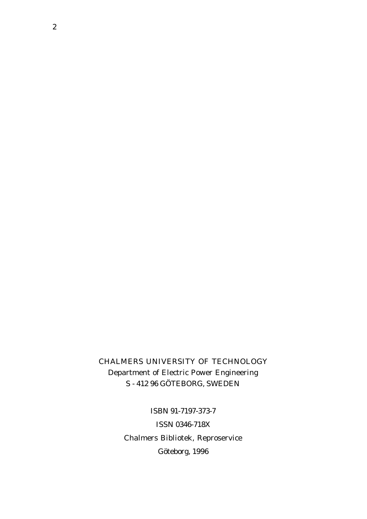### CHALMERS UNIVERSITY OF TECHNOLOGY Department of Electric Power Engineering S - 412 96 GÖTEBORG, SWEDEN

ISBN 91-7197-373-7 ISSN 0346-718X Chalmers Bibliotek, Reproservice Göteborg, 1996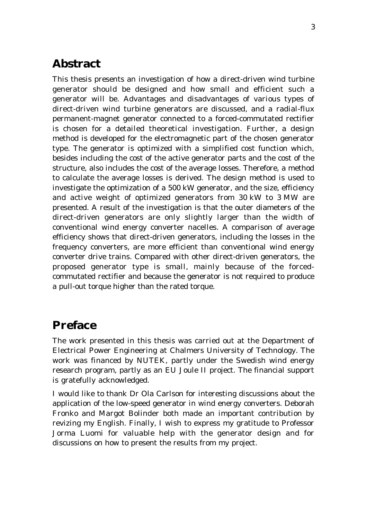# **Abstract**

This thesis presents an investigation of how a direct-driven wind turbine generator should be designed and how small and efficient such a generator will be. Advantages and disadvantages of various types of direct-driven wind turbine generators are discussed, and a radial-flux permanent-magnet generator connected to a forced-commutated rectifier is chosen for a detailed theoretical investigation. Further, a design method is developed for the electromagnetic part of the chosen generator type. The generator is optimized with a simplified cost function which, besides including the cost of the active generator parts and the cost of the structure, also includes the cost of the average losses. Therefore, a method to calculate the average losses is derived. The design method is used to investigate the optimization of a 500 kW generator, and the size, efficiency and active weight of optimized generators from 30 kW to 3 MW are presented. A result of the investigation is that the outer diameters of the direct-driven generators are only slightly larger than the width of conventional wind energy converter nacelles. A comparison of average efficiency shows that direct-driven generators, including the losses in the frequency converters, are more efficient than conventional wind energy converter drive trains. Compared with other direct-driven generators, the proposed generator type is small, mainly because of the forcedcommutated rectifier and because the generator is not required to produce a pull-out torque higher than the rated torque.

# **Preface**

The work presented in this thesis was carried out at the Department of Electrical Power Engineering at Chalmers University of Technology. The work was financed by NUTEK, partly under the Swedish wind energy research program, partly as an EU Joule II project. The financial support is gratefully acknowledged.

I would like to thank Dr Ola Carlson for interesting discussions about the application of the low-speed generator in wind energy converters. Deborah Fronko and Margot Bolinder both made an important contribution by revizing my English. Finally, I wish to express my gratitude to Professor Jorma Luomi for valuable help with the generator design and for discussions on how to present the results from my project.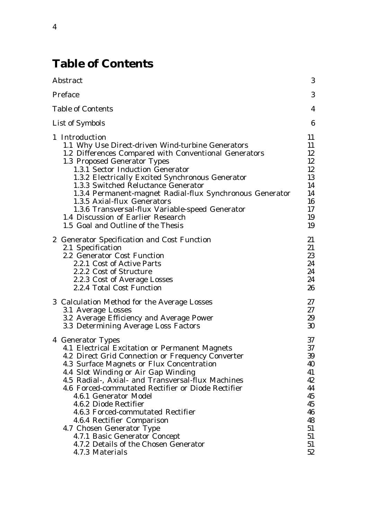# **Table of Contents**

| Abstract                                                 | 3                |
|----------------------------------------------------------|------------------|
| Preface                                                  | 3                |
| <b>Table of Contents</b>                                 | 4                |
| <b>List of Symbols</b>                                   | $\boldsymbol{6}$ |
| 1 Introduction                                           | 11               |
| 1.1 Why Use Direct-driven Wind-turbine Generators        | 11               |
| 1.2 Differences Compared with Conventional Generators    | 12               |
| 1.3 Proposed Generator Types                             | 12               |
| 1.3.1 Sector Induction Generator                         | 12               |
| 1.3.2 Electrically Excited Synchronous Generator         | 13               |
| 1.3.3 Switched Reluctance Generator                      | 14               |
| 1.3.4 Permanent-magnet Radial-flux Synchronous Generator | 14               |
| 1.3.5 Axial-flux Generators                              | 16               |
| 1.3.6 Transversal-flux Variable-speed Generator          | 17               |
| 1.4 Discussion of Earlier Research                       | 19               |
| 1.5 Goal and Outline of the Thesis                       | 19               |
| 2 Generator Specification and Cost Function              | 21               |
| 2.1 Specification                                        | 21               |
| 2.2 Generator Cost Function                              | 23               |
| 2.2.1 Cost of Active Parts                               | 24               |
| 2.2.2 Cost of Structure                                  | 24               |
| 2.2.3 Cost of Average Losses                             | 24               |
| 2.2.4 Total Cost Function                                | 26               |
| 3 Calculation Method for the Average Losses              | 27               |
| 3.1 Average Losses                                       | 27               |
| 3.2 Average Efficiency and Average Power                 | 29               |
| 3.3 Determining Average Loss Factors                     | 30               |
| 4 Generator Types                                        | 37               |
| 4.1 Electrical Excitation or Permanent Magnets           | 37               |
| 4.2 Direct Grid Connection or Frequency Converter        | 39               |
| 4.3 Surface Magnets or Flux Concentration                | 40               |
| 4.4 Slot Winding or Air Gap Winding                      | 41               |
| 4.5 Radial-, Axial- and Transversal-flux Machines        | 42               |
| 4.6 Forced-commutated Rectifier or Diode Rectifier       | 44               |
| 4.6.1 Generator Model                                    | 45               |
| 4.6.2 Diode Rectifier                                    | 45               |
| 4.6.3 Forced-commutated Rectifier                        | 46               |
| 4.6.4 Rectifier Comparison                               | 48               |
| 4.7 Chosen Generator Type                                | 51               |
| 4.7.1 Basic Generator Concept                            | 51               |
| 4.7.2 Details of the Chosen Generator                    | 51               |
| 4.7.3 Materials                                          | 52               |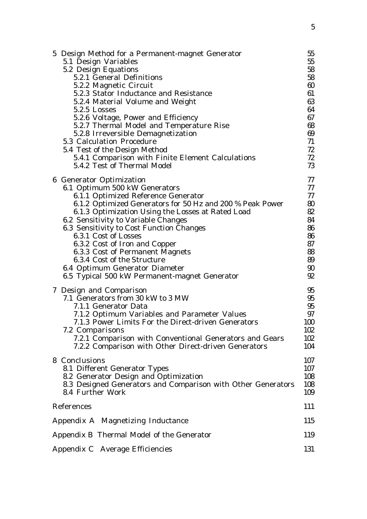| 5 Design Method for a Permanent-magnet Generator<br>5.1 Design Variables<br>5.2 Design Equations<br>5.2.1 General Definitions<br>5.2.2 Magnetic Circuit<br>5.2.3 Stator Inductance and Resistance<br>5.2.4 Material Volume and Weight<br>5.2.5 Losses<br>5.2.6 Voltage, Power and Efficiency<br>5.2.7 Thermal Model and Temperature Rise<br>5.2.8 Irreversible Demagnetization<br><b>5.3 Calculation Procedure</b><br>5.4 Test of the Design Method<br>5.4.1 Comparison with Finite Element Calculations                                           | 55<br>55<br>58<br>58<br>60<br>61<br>63<br>64<br>67<br>68<br>69<br>71<br>72<br>72 |
|----------------------------------------------------------------------------------------------------------------------------------------------------------------------------------------------------------------------------------------------------------------------------------------------------------------------------------------------------------------------------------------------------------------------------------------------------------------------------------------------------------------------------------------------------|----------------------------------------------------------------------------------|
| 5.4.2 Test of Thermal Model<br>6 Generator Optimization<br>6.1 Optimum 500 kW Generators<br>6.1.1 Optimized Reference Generator<br>6.1.2 Optimized Generators for 50 Hz and 200 % Peak Power<br>6.1.3 Optimization Using the Losses at Rated Load<br>6.2 Sensitivity to Variable Changes<br>6.3 Sensitivity to Cost Function Changes<br>6.3.1 Cost of Losses<br>6.3.2 Cost of Iron and Copper<br>6.3.3 Cost of Permanent Magnets<br>6.3.4 Cost of the Structure<br>6.4 Optimum Generator Diameter<br>6.5 Typical 500 kW Permanent-magnet Generator | 73<br>77<br>77<br>77<br>80<br>82<br>84<br>86<br>86<br>87<br>88<br>89<br>90<br>92 |
| 7 Design and Comparison<br>7.1 Generators from 30 kW to 3 MW<br>7.1.1 Generator Data<br>7.1.2 Optimum Variables and Parameter Values<br>7.1.3 Power Limits For the Direct-driven Generators<br>7.2 Comparisons<br>7.2.1 Comparison with Conventional Generators and Gears<br>7.2.2 Comparison with Other Direct-driven Generators                                                                                                                                                                                                                  | 95<br>95<br>95<br>97<br>100<br>102<br>102<br>104                                 |
| 8 Conclusions<br>8.1 Different Generator Types<br>8.2 Generator Design and Optimization<br>8.3 Designed Generators and Comparison with Other Generators<br>8.4 Further Work                                                                                                                                                                                                                                                                                                                                                                        | 107<br>107<br>108<br>108<br>109                                                  |
| References                                                                                                                                                                                                                                                                                                                                                                                                                                                                                                                                         | 111                                                                              |
| Appendix A Magnetizing Inductance                                                                                                                                                                                                                                                                                                                                                                                                                                                                                                                  | 115                                                                              |
| Appendix B Thermal Model of the Generator                                                                                                                                                                                                                                                                                                                                                                                                                                                                                                          | 119                                                                              |
| Appendix C Average Efficiencies                                                                                                                                                                                                                                                                                                                                                                                                                                                                                                                    | 131                                                                              |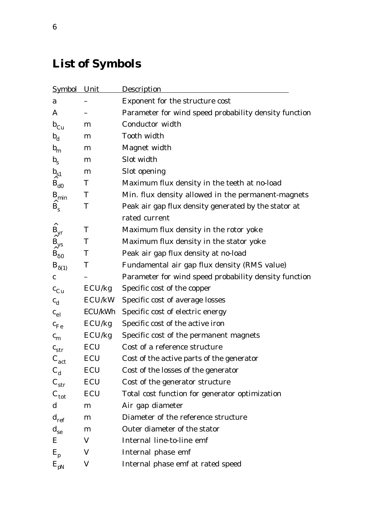# **List of Symbols**

| <b>Symbol</b>                                                                      | <u>Unit</u> | <u>Description</u>                                    |
|------------------------------------------------------------------------------------|-------------|-------------------------------------------------------|
| a                                                                                  |             | Exponent for the structure cost                       |
| $\boldsymbol{A}$                                                                   |             | Parameter for wind speed probability density function |
| $b_{\rm Cu}$                                                                       | m           | Conductor width                                       |
| $b_{\rm d}$                                                                        | m           | Tooth width                                           |
| $b_{\rm m}$                                                                        | m           | Magnet width                                          |
| $b_{\rm s}$                                                                        | m           | Slot width                                            |
|                                                                                    | m           | Slot opening                                          |
| $\stackrel{b_{\rm s1}}{\stackrel{\wedge}{B_{\rm d0}}}$                             | T           | Maximum flux density in the teeth at no-load          |
|                                                                                    | T           | Min. flux density allowed in the permanent-magnets    |
| $\stackrel{B_{\rm min}}{\stackrel{\wedge}{B_{\rm s}}}$                             | T           | Peak air gap flux density generated by the stator at  |
|                                                                                    |             | rated current                                         |
|                                                                                    | T           | Maximum flux density in the rotor yoke                |
| $\hat{B}_{\lambda \text{ys}}^{\Lambda}$<br>$\hat{B}_{\lambda \text{ys}}^{\Lambda}$ | T           | Maximum flux density in the stator yoke               |
|                                                                                    | T           | Peak air gap flux density at no-load                  |
| $B_{\delta(1)}$                                                                    | T           | Fundamental air gap flux density (RMS value)          |
| $\mathcal C$                                                                       |             | Parameter for wind speed probability density function |
| $c_{\text{Cu}}$                                                                    | ECU/kg      | Specific cost of the copper                           |
| $c_{\rm d}$                                                                        | ECU/kW      | Specific cost of average losses                       |
| $c_{el}$                                                                           | ECU/kWh     | Specific cost of electric energy                      |
| $c_{\rm Fe}$                                                                       | ECU/kg      | Specific cost of the active iron                      |
| $c_{\rm m}$                                                                        | ECU/kg      | Specific cost of the permanent magnets                |
| $c_{\rm str}$                                                                      | <b>ECU</b>  | Cost of a reference structure                         |
| $C_{\text{act}}$                                                                   | ECU         | Cost of the active parts of the generator             |
| $C_{\rm d}$                                                                        | ECU         | Cost of the losses of the generator                   |
| $C_{\rm str}$                                                                      | ECU         | Cost of the generator structure                       |
| $C_{\rm tot}$                                                                      | ECU         | Total cost function for generator optimization        |
| $\boldsymbol{d}$                                                                   | m           | Air gap diameter                                      |
| $d_{\text{ref}}$                                                                   | m           | Diameter of the reference structure                   |
| $d_{\rm se}$                                                                       | m           | Outer diameter of the stator                          |
| $\cal E$                                                                           | V           | Internal line-to-line emf                             |
| $E_{\rm p}$                                                                        | V           | Internal phase emf                                    |
| $E_{\rm pN}$                                                                       | V           | Internal phase emf at rated speed                     |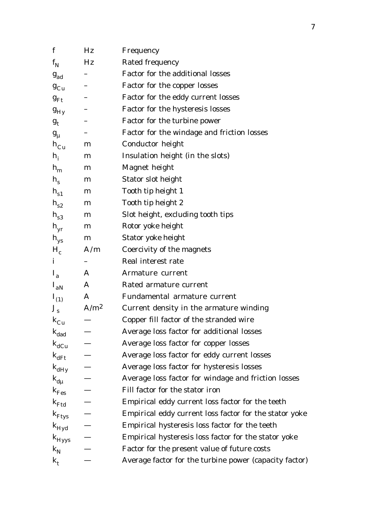| $\mathbf f$       | Hz           | Frequency                                              |
|-------------------|--------------|--------------------------------------------------------|
| $f_{\rm N}$       | Hz           | <b>Rated frequency</b>                                 |
| $g_{\rm ad}$      |              | Factor for the additional losses                       |
| $g_{Cu}$          |              | Factor for the copper losses                           |
| $g_{\rm Ft}$      |              | Factor for the eddy current losses                     |
| $g_{\text{Hy}}$   |              | Factor for the hysteresis losses                       |
| $g_{\rm t}$       |              | Factor for the turbine power                           |
| $g_{\mu}$         |              | Factor for the windage and friction losses             |
| $h_{\rm Cu}$      | m            | Conductor height                                       |
| $h_i$             | m            | Insulation height (in the slots)                       |
| $h_{\rm m}$       | m            | Magnet height                                          |
| $h_{\rm s}$       | m            | Stator slot height                                     |
| $h_{s1}$          | m            | Tooth tip height 1                                     |
| $h_{s2}$          | m            | Tooth tip height 2                                     |
| $h_{\rm s3}$      | m            | Slot height, excluding tooth tips                      |
| $h_{\rm yr}$      | m            | Rotor yoke height                                      |
| $h_{\rm ys}$      | m            | Stator yoke height                                     |
| $H_{\rm c}$       | A/m          | Coercivity of the magnets                              |
| $\boldsymbol{i}$  |              | Real interest rate                                     |
| $I_{\rm a}$       | A            | Armature current                                       |
| $I_{aN}$          | $\mathbf{A}$ | Rated armature current                                 |
| $I_{(1)}$         | A            | Fundamental armature current                           |
| $J_{\rm s}$       | $A/m^2$      | Current density in the armature winding                |
| $k_{\text{Cu}}$   |              | Copper fill factor of the stranded wire                |
| $k_{\rm dad}$     |              | Average loss factor for additional losses              |
| $k_{\text{dCu}}$  |              | Average loss factor for copper losses                  |
| $k_{\text{dFt}}$  |              | Average loss factor for eddy current losses            |
| $k_{\text{dHy}}$  |              | Average loss factor for hysteresis losses              |
| $k_{\rm d\mu}$    |              | Average loss factor for windage and friction losses    |
| $k_{\rm{Fes}}$    |              | Fill factor for the stator iron                        |
| $k_{\text{Ftd}}$  |              | Empirical eddy current loss factor for the teeth       |
| $k_{\text{Frys}}$ |              | Empirical eddy current loss factor for the stator yoke |
| $k_{\text{Hyd}}$  |              | Empirical hysteresis loss factor for the teeth         |
| $k_{\rm Hyys}$    |              | Empirical hysteresis loss factor for the stator yoke   |
| $k_{\rm N}$       |              | Factor for the present value of future costs           |
| $k_{\rm t}$       |              | Average factor for the turbine power (capacity factor) |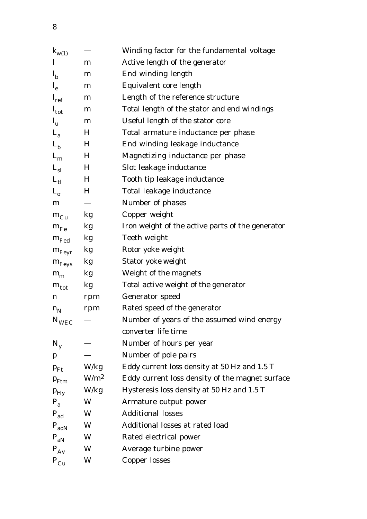| $k_{w(1)}$          |           | Winding factor for the fundamental voltage       |
|---------------------|-----------|--------------------------------------------------|
| $\boldsymbol{l}$    | ${\bf m}$ | Active length of the generator                   |
| $I_{\rm b}$         | m         | End winding length                               |
| $I_{\rm e}$         | m         | Equivalent core length                           |
| $I_{\rm ref}$       | m         | Length of the reference structure                |
| $I_{\rm tot}$       | m         | Total length of the stator and end windings      |
| $I_{\rm u}$         | m         | Useful length of the stator core                 |
| $L_{\rm a}$         | H         | Total armature inductance per phase              |
| $L_{\rm b}$         | H         | End winding leakage inductance                   |
| $L_{\rm m}$         | H         | Magnetizing inductance per phase                 |
| $L_{sl}$            | H         | Slot leakage inductance                          |
| $L_{tl}$            | H         | Tooth tip leakage inductance                     |
| $L_{\sigma}$        | H         | Total leakage inductance                         |
| $\boldsymbol{m}$    |           | Number of phases                                 |
| $m_{Cu}$            | kg        | Copper weight                                    |
| $m_{\rm Fe}$        | <b>kg</b> | Iron weight of the active parts of the generator |
| $m_{\rm Fed}$       | kg        | Teeth weight                                     |
| $m_{\text{Feyr}}$   | <b>kg</b> | Rotor yoke weight                                |
| $m$ <sub>Feys</sub> | kg        | Stator yoke weight                               |
| $m_{\rm m}$         | <b>kg</b> | Weight of the magnets                            |
| $m_{\rm tot}$       | <b>kg</b> | Total active weight of the generator             |
| $\boldsymbol{n}$    | rpm       | <b>Generator speed</b>                           |
| $n_{\rm N}$         | rpm       | Rated speed of the generator                     |
| $N_{\mathrm{WEC}}$  |           | Number of years of the assumed wind energy       |
|                     |           | converter life time                              |
| $N_{\rm y}$         |           | Number of hours per year                         |
| $\boldsymbol{p}$    |           | Number of pole pairs                             |
| $p_{\rm{Ft}}$       | W/kg      | Eddy current loss density at 50 Hz and 1.5 T     |
| $p_{\rm Ftm}$       | $W/m^2$   | Eddy current loss density of the magnet surface  |
| $p_{\rm Hy}$        | W/kg      | Hysteresis loss density at 50 Hz and 1.5 T       |
| $P_{\rm a}$         | W         | Armature output power                            |
| $P_{\rm ad}$        | W         | <b>Additional losses</b>                         |
| $P_{\mathrm{adN}}$  | W         | Additional losses at rated load                  |
| $P_{\rm aN}$        | W         | Rated electrical power                           |
| $P_{\rm Av}$        | W         | Average turbine power                            |
| $P_{\text{Cu}}$     | W         | <b>Copper losses</b>                             |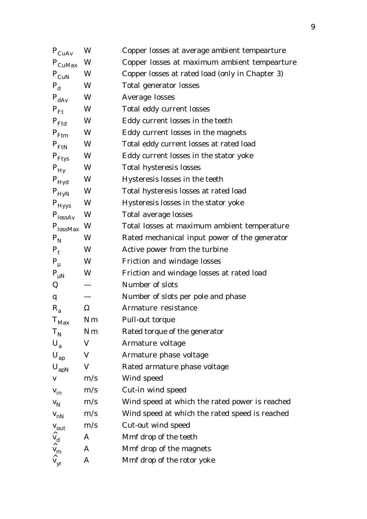| Copper losses at maximum ambient tempearture    |
|-------------------------------------------------|
|                                                 |
| Copper losses at rated load (only in Chapter 3) |
| <b>Total generator losses</b>                   |
|                                                 |
| Total eddy current losses                       |
| Eddy current losses in the teeth                |
| Eddy current losses in the magnets              |
| Total eddy current losses at rated load         |
| Eddy current losses in the stator yoke          |
| <b>Total hysteresis losses</b>                  |
| Hysteresis losses in the teeth                  |
| Total hysteresis losses at rated load           |
| Hysteresis losses in the stator yoke            |
| <b>Total average losses</b>                     |
| Total losses at maximum ambient temperature     |
| Rated mechanical input power of the generator   |
| Active power from the turbine                   |
| Friction and windage losses                     |
| Friction and windage losses at rated load       |
| Number of slots                                 |
| Number of slots per pole and phase              |
| Armature resistance                             |
|                                                 |
| Rated torque of the generator                   |
| Armature voltage                                |
| Armature phase voltage                          |
| Rated armature phase voltage                    |
|                                                 |
| Cut-in wind speed                               |
| Wind speed at which the rated power is reached  |
| Wind speed at which the rated speed is reached  |
| Cut-out wind speed                              |
| Mmf drop of the teeth                           |
| Mmf drop of the magnets                         |
| Mmf drop of the rotor yoke                      |
|                                                 |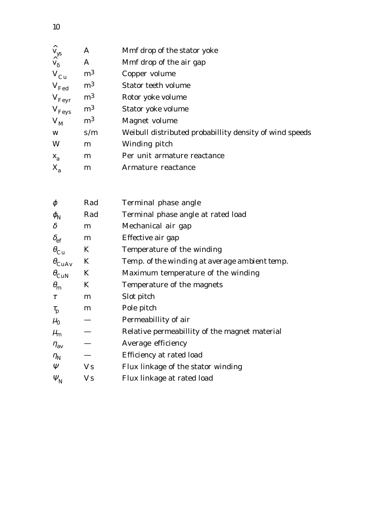|                                | A              | Mmf drop of the stator yoke                             |
|--------------------------------|----------------|---------------------------------------------------------|
| $\hat{v}_{\text{ys}}^{\prime}$ | A              | Mmf drop of the air gap                                 |
| $V_{\text{Cu}}$                | m <sup>3</sup> | Copper volume                                           |
| $V_{\rm Fed}$                  | m <sup>3</sup> | <b>Stator teeth volume</b>                              |
| $V_{\text{Feyr}}$              | m <sup>3</sup> | Rotor yoke volume                                       |
| $V_{\text{Feys}}$              | m <sup>3</sup> | Stator yoke volume                                      |
| $V_{\rm M}$                    | m <sup>3</sup> | Magnet volume                                           |
| $\boldsymbol{W}$               | s/m            | Weibull distributed probabillity density of wind speeds |
| W                              | m              | Winding pitch                                           |
| $X_{a}$                        | m              | Per unit armature reactance                             |
| $X_{a}$                        | m              | Armature reactance                                      |
|                                |                |                                                         |

| $\varphi$              | Rad            | Terminal phase angle                          |
|------------------------|----------------|-----------------------------------------------|
| $\varphi_{\rm N}$      | Rad            | Terminal phase angle at rated load            |
| $\delta$               | m              | Mechanical air gap                            |
| $\delta_{\rm ef}$      | m              | Effective air gap                             |
| $\theta_{\rm Cu}$      | K              | Temperature of the winding                    |
| $\theta_{\text{CuAv}}$ | K              | Temp. of the winding at average ambient temp. |
| $\theta_{\text{CuN}}$  | K              | Maximum temperature of the winding            |
| $\theta_{\rm m}$       | K              | Temperature of the magnets                    |
| $\tau$                 | m              | Slot pitch                                    |
| $\tau_{\rm p}$         | m              | Pole pitch                                    |
| $\mu_{0}$              |                | Permeabillity of air                          |
| $\mu_{\rm m}$          |                | Relative permeabillity of the magnet material |
| $\eta_{\text{av}}$     |                | Average efficiency                            |
| $\eta_{\rm N}$         |                | Efficiency at rated load                      |
| Ψ                      | V <sub>S</sub> | Flux linkage of the stator winding            |
| $\Psi_{\rm N}$         | <b>Vs</b>      | Flux linkage at rated load                    |
|                        |                |                                               |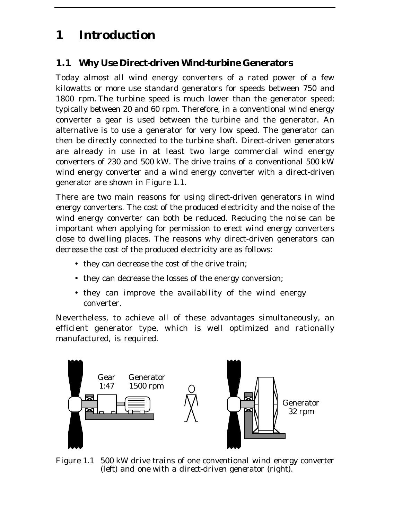# **1 Introduction**

### **1.1 Why Use Direct-driven Wind-turbine Generators**

Today almost all wind energy converters of a rated power of a few kilowatts or more use standard generators for speeds between 750 and 1800 rpm. The turbine speed is much lower than the generator speed; typically between 20 and 60 rpm. Therefore, in a conventional wind energy converter a gear is used between the turbine and the generator. An alternative is to use a generator for very low speed. The generator can then be directly connected to the turbine shaft. Direct-driven generators are already in use in at least two large commercial wind energy converters of 230 and 500 kW. The drive trains of a conventional 500 kW wind energy converter and a wind energy converter with a direct-driven generator are shown in Figure 1.1.

There are two main reasons for using direct-driven generators in wind energy converters. The cost of the produced electricity and the noise of the wind energy converter can both be reduced. Reducing the noise can be important when applying for permission to erect wind energy converters close to dwelling places. The reasons why direct-driven generators can decrease the cost of the produced electricity are as follows:

- they can decrease the cost of the drive train;
- they can decrease the losses of the energy conversion;
- they can improve the availability of the wind energy converter.

Nevertheless, to achieve all of these advantages simultaneously, an efficient generator type, which is well optimized and rationally manufactured, is required.



*Figure 1.1 500 kW drive trains of one conventional wind energy converter (left) and one with a direct-driven generator (right).*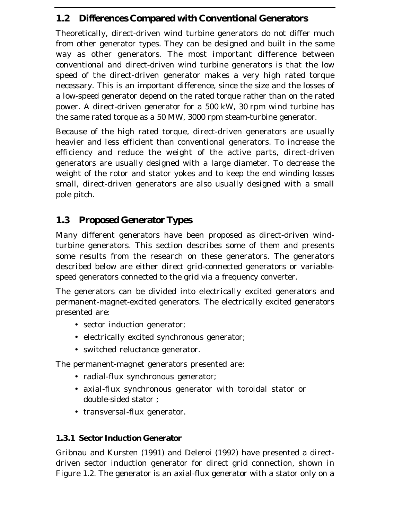### **1.2 Differences Compared with Conventional Generators**

Theoretically, direct-driven wind turbine generators do not differ much from other generator types. They can be designed and built in the same way as other generators. The most important difference between conventional and direct-driven wind turbine generators is that the low speed of the direct-driven generator makes a very high rated torque necessary. This is an important difference, since the size and the losses of a low-speed generator depend on the rated torque rather than on the rated power. A direct-driven generator for a 500 kW, 30 rpm wind turbine has the same rated torque as a 50 MW, 3000 rpm steam-turbine generator.

Because of the high rated torque, direct-driven generators are usually heavier and less efficient than conventional generators. To increase the efficiency and reduce the weight of the active parts, direct-driven generators are usually designed with a large diameter. To decrease the weight of the rotor and stator yokes and to keep the end winding losses small, direct-driven generators are also usually designed with a small pole pitch.

## **1.3 Proposed Generator Types**

Many different generators have been proposed as direct-driven windturbine generators. This section describes some of them and presents some results from the research on these generators. The generators described below are either direct grid-connected generators or variablespeed generators connected to the grid via a frequency converter.

The generators can be divided into electrically excited generators and permanent-magnet-excited generators. The electrically excited generators presented are:

- sector induction generator;
- electrically excited synchronous generator;
- switched reluctance generator.

The permanent-magnet generators presented are:

- radial-flux synchronous generator;
- axial-flux synchronous generator with toroidal stator or double-sided stator ;
- transversal-flux generator.

#### **1.3.1 Sector Induction Generator**

Gribnau and Kursten (1991) and Deleroi (1992) have presented a directdriven sector induction generator for direct grid connection, shown in Figure 1.2. The generator is an axial-flux generator with a stator only on a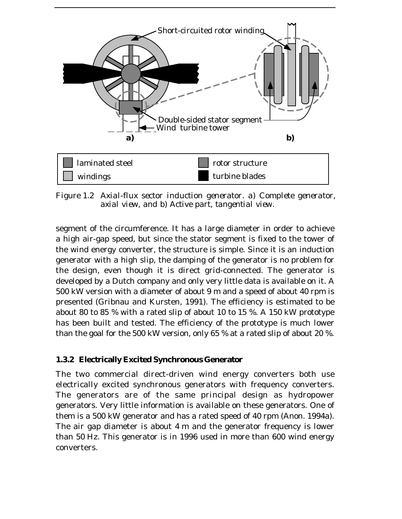

*Figure 1.2 Axial-flux sector induction generator. a) Complete generator, axial view, and b) Active part, tangential view.*

segment of the circumference. It has a large diameter in order to achieve a high air-gap speed, but since the stator segment is fixed to the tower of the wind energy converter, the structure is simple. Since it is an induction generator with a high slip, the damping of the generator is no problem for the design, even though it is direct grid-connected. The generator is developed by a Dutch company and only very little data is available on it. A 500 kW version with a diameter of about 9 m and a speed of about 40 rpm is presented (Gribnau and Kursten, 1991). The efficiency is estimated to be about 80 to 85 % with a rated slip of about 10 to 15 %. A 150 kW prototype has been built and tested. The efficiency of the prototype is much lower than the goal for the 500 kW version, only 65 % at a rated slip of about 20 %.

#### **1.3.2 Electrically Excited Synchronous Generator**

The two commercial direct-driven wind energy converters both use electrically excited synchronous generators with frequency converters. The generators are of the same principal design as hydropower generators. Very little information is available on these generators. One of them is a 500 kW generator and has a rated speed of 40 rpm (Anon. 1994a). The air gap diameter is about 4 m and the generator frequency is lower than 50 Hz. This generator is in 1996 used in more than 600 wind energy converters.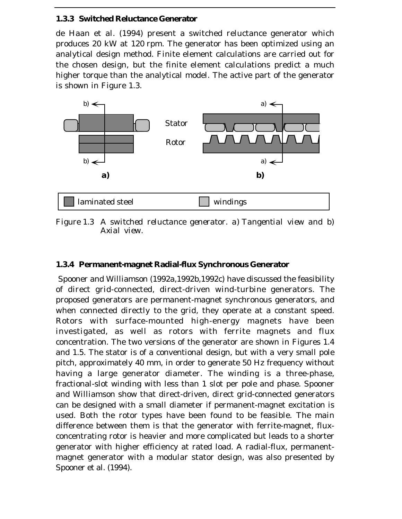#### **1.3.3 Switched Reluctance Generator**

de Haan et al. (1994) present a switched reluctance generator which produces 20 kW at 120 rpm. The generator has been optimized using an analytical design method. Finite element calculations are carried out for the chosen design, but the finite element calculations predict a much higher torque than the analytical model. The active part of the generator is shown in Figure 1.3.



*Figure 1.3 A switched reluctance generator. a) Tangential view and b) Axial view.*

#### **1.3.4 Permanent-magnet Radial-flux Synchronous Generator**

 Spooner and Williamson (1992a,1992b,1992c) have discussed the feasibility of direct grid-connected, direct-driven wind-turbine generators. The proposed generators are permanent-magnet synchronous generators, and when connected directly to the grid, they operate at a constant speed. Rotors with surface-mounted high-energy magnets have been investigated, as well as rotors with ferrite magnets and flux concentration. The two versions of the generator are shown in Figures 1.4 and 1.5. The stator is of a conventional design, but with a very small pole pitch, approximately 40 mm, in order to generate 50 Hz frequency without having a large generator diameter. The winding is a three-phase, fractional-slot winding with less than 1 slot per pole and phase. Spooner and Williamson show that direct-driven, direct grid-connected generators can be designed with a small diameter if permanent-magnet excitation is used. Both the rotor types have been found to be feasible. The main difference between them is that the generator with ferrite-magnet, fluxconcentrating rotor is heavier and more complicated but leads to a shorter generator with higher efficiency at rated load. A radial-flux, permanentmagnet generator with a modular stator design, was also presented by Spooner et al. (1994).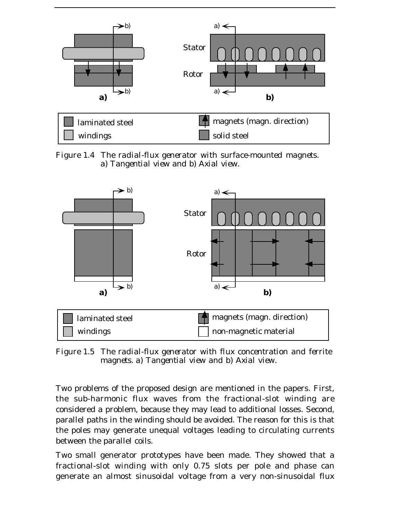

*Figure 1.4 The radial-flux generator with surface-mounted magnets. a) Tangential view and b) Axial view.*



*Figure 1.5 The radial-flux generator with flux concentration and ferrite magnets. a) Tangential view and b) Axial view.*

Two problems of the proposed design are mentioned in the papers. First, the sub-harmonic flux waves from the fractional-slot winding are considered a problem, because they may lead to additional losses. Second, parallel paths in the winding should be avoided. The reason for this is that the poles may generate unequal voltages leading to circulating currents between the parallel coils.

Two small generator prototypes have been made. They showed that a fractional-slot winding with only 0.75 slots per pole and phase can generate an almost sinusoidal voltage from a very non-sinusoidal flux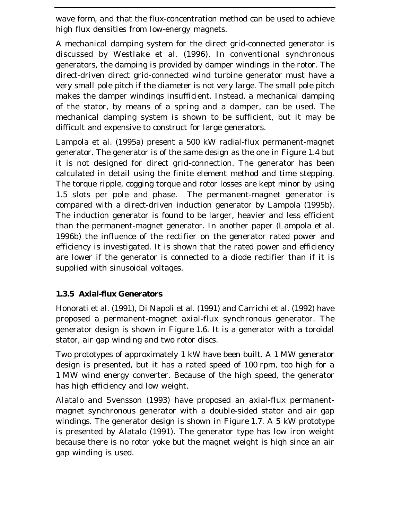wave form, and that the flux-concentration method can be used to achieve high flux densities from low-energy magnets.

A mechanical damping system for the direct grid-connected generator is discussed by Westlake et al. (1996). In conventional synchronous generators, the damping is provided by damper windings in the rotor. The direct-driven direct grid-connected wind turbine generator must have a very small pole pitch if the diameter is not very large. The small pole pitch makes the damper windings insufficient. Instead, a mechanical damping of the stator, by means of a spring and a damper, can be used. The mechanical damping system is shown to be sufficient, but it may be difficult and expensive to construct for large generators.

Lampola et al. (1995a) present a 500 kW radial-flux permanent-magnet generator. The generator is of the same design as the one in Figure 1.4 but it is not designed for direct grid-connection. The generator has been calculated in detail using the finite element method and time stepping. The torque ripple, cogging torque and rotor losses are kept minor by using 1.5 slots per pole and phase. The permanent-magnet generator is compared with a direct-driven induction generator by Lampola (1995b). The induction generator is found to be larger, heavier and less efficient than the permanent-magnet generator. In another paper (Lampola et al. 1996b) the influence of the rectifier on the generator rated power and efficiency is investigated. It is shown that the rated power and efficiency are lower if the generator is connected to a diode rectifier than if it is supplied with sinusoidal voltages.

#### **1.3.5 Axial-flux Generators**

Honorati et al. (1991), Di Napoli et al. (1991) and Carrichi et al. (1992) have proposed a permanent-magnet axial-flux synchronous generator. The generator design is shown in Figure 1.6. It is a generator with a toroidal stator, air gap winding and two rotor discs.

Two prototypes of approximately 1 kW have been built. A 1 MW generator design is presented, but it has a rated speed of 100 rpm, too high for a 1 MW wind energy converter. Because of the high speed, the generator has high efficiency and low weight.

Alatalo and Svensson (1993) have proposed an axial-flux permanentmagnet synchronous generator with a double-sided stator and air gap windings. The generator design is shown in Figure 1.7. A 5 kW prototype is presented by Alatalo (1991). The generator type has low iron weight because there is no rotor yoke but the magnet weight is high since an air gap winding is used.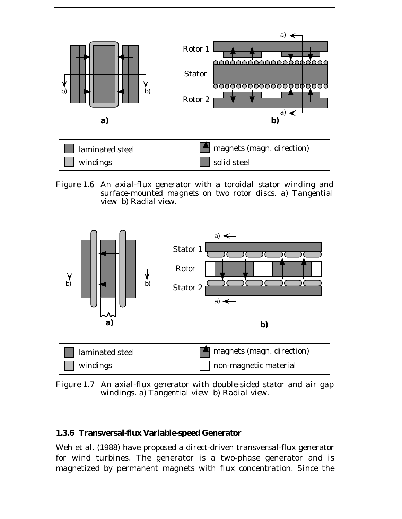

*Figure 1.6 An axial-flux generator with a toroidal stator winding and surface-mounted magnets on two rotor discs. a) Tangential view b) Radial view.*



*Figure 1.7 An axial-flux generator with double-sided stator and air gap windings. a) Tangential view b) Radial view.*

#### **1.3.6 Transversal-flux Variable-speed Generator**

Weh et al. (1988) have proposed a direct-driven transversal-flux generator for wind turbines. The generator is a two-phase generator and is magnetized by permanent magnets with flux concentration. Since the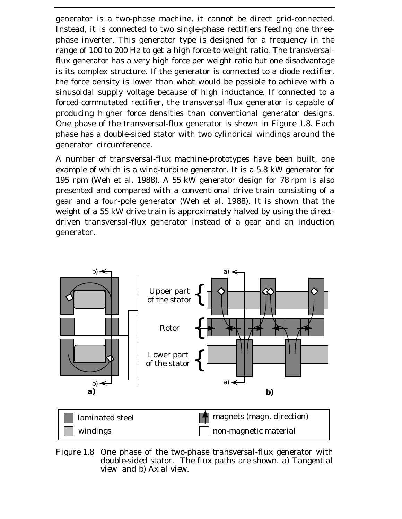generator is a two-phase machine, it cannot be direct grid-connected. Instead, it is connected to two single-phase rectifiers feeding one threephase inverter. This generator type is designed for a frequency in the range of 100 to 200 Hz to get a high force-to-weight ratio. The transversalflux generator has a very high force per weight ratio but one disadvantage is its complex structure. If the generator is connected to a diode rectifier, the force density is lower than what would be possible to achieve with a sinusoidal supply voltage because of high inductance. If connected to a forced-commutated rectifier, the transversal-flux generator is capable of producing higher force densities than conventional generator designs. One phase of the transversal-flux generator is shown in Figure 1.8. Each phase has a double-sided stator with two cylindrical windings around the generator circumference.

A number of transversal-flux machine-prototypes have been built, one example of which is a wind-turbine generator. It is a 5.8 kW generator for 195 rpm (Weh et al. 1988). A 55 kW generator design for 78 rpm is also presented and compared with a conventional drive train consisting of a gear and a four-pole generator (Weh et al. 1988). It is shown that the weight of a 55 kW drive train is approximately halved by using the directdriven transversal-flux generator instead of a gear and an induction generator.



*Figure 1.8 One phase of the two-phase transversal-flux generator with double-sided stator. The flux paths are shown. a) Tangential view and b) Axial view.*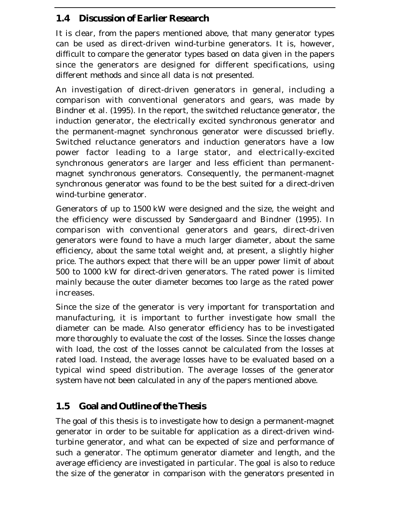### **1.4 Discussion of Earlier Research**

It is clear, from the papers mentioned above, that many generator types can be used as direct-driven wind-turbine generators. It is, however, difficult to compare the generator types based on data given in the papers since the generators are designed for different specifications, using different methods and since all data is not presented.

An investigation of direct-driven generators in general, including a comparison with conventional generators and gears, was made by Bindner et al. (1995). In the report, the switched reluctance generator, the induction generator, the electrically excited synchronous generator and the permanent-magnet synchronous generator were discussed briefly. Switched reluctance generators and induction generators have a low power factor leading to a large stator, and electrically-excited synchronous generators are larger and less efficient than permanentmagnet synchronous generators. Consequently, the permanent-magnet synchronous generator was found to be the best suited for a direct-driven wind-turbine generator.

Generators of up to 1500 kW were designed and the size, the weight and the efficiency were discussed by Søndergaard and Bindner (1995). In comparison with conventional generators and gears, direct-driven generators were found to have a much larger diameter, about the same efficiency, about the same total weight and, at present, a slightly higher price. The authors expect that there will be an upper power limit of about 500 to 1000 kW for direct-driven generators. The rated power is limited mainly because the outer diameter becomes too large as the rated power increases.

Since the size of the generator is very important for transportation and manufacturing, it is important to further investigate how small the diameter can be made. Also generator efficiency has to be investigated more thoroughly to evaluate the cost of the losses. Since the losses change with load, the cost of the losses cannot be calculated from the losses at rated load. Instead, the average losses have to be evaluated based on a typical wind speed distribution. The average losses of the generator system have not been calculated in any of the papers mentioned above.

### **1.5 Goal and Outline of the Thesis**

The goal of this thesis is to investigate how to design a permanent-magnet generator in order to be suitable for application as a direct-driven windturbine generator, and what can be expected of size and performance of such a generator. The optimum generator diameter and length, and the average efficiency are investigated in particular. The goal is also to reduce the size of the generator in comparison with the generators presented in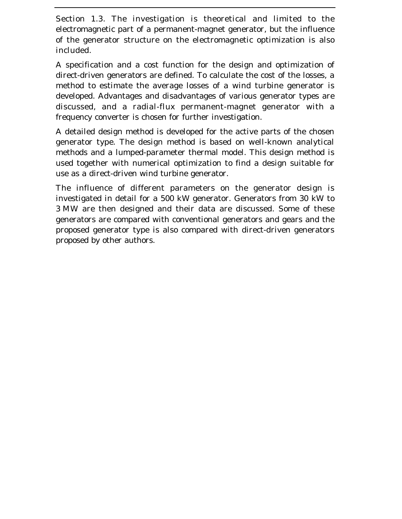Section 1.3. The investigation is theoretical and limited to the electromagnetic part of a permanent-magnet generator, but the influence of the generator structure on the electromagnetic optimization is also included.

A specification and a cost function for the design and optimization of direct-driven generators are defined. To calculate the cost of the losses, a method to estimate the average losses of a wind turbine generator is developed. Advantages and disadvantages of various generator types are discussed, and a radial-flux permanent-magnet generator with a frequency converter is chosen for further investigation.

A detailed design method is developed for the active parts of the chosen generator type. The design method is based on well-known analytical methods and a lumped-parameter thermal model. This design method is used together with numerical optimization to find a design suitable for use as a direct-driven wind turbine generator.

The influence of different parameters on the generator design is investigated in detail for a 500 kW generator. Generators from 30 kW to 3 MW are then designed and their data are discussed. Some of these generators are compared with conventional generators and gears and the proposed generator type is also compared with direct-driven generators proposed by other authors.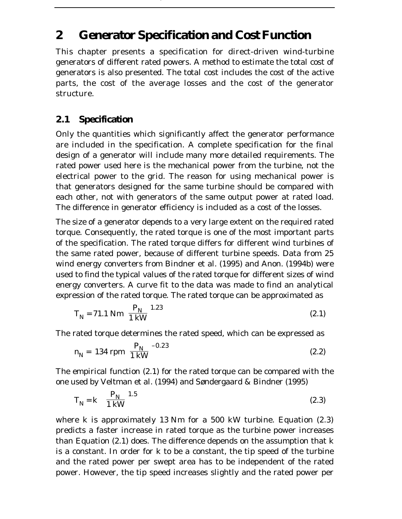## **2 Generator Specification and Cost Function**

This chapter presents a specification for direct-driven wind-turbine generators of different rated powers. A method to estimate the total cost of generators is also presented. The total cost includes the cost of the active parts, the cost of the average losses and the cost of the generator structure.

#### **2.1 Specification**

Only the quantities which significantly affect the generator performance are included in the specification. A complete specification for the final design of a generator will include many more detailed requirements. The rated power used here is the mechanical power from the turbine, not the electrical power to the grid. The reason for using mechanical power is that generators designed for the same turbine should be compared with each other, not with generators of the same output power at rated load. The difference in generator efficiency is included as a cost of the losses.

The size of a generator depends to a very large extent on the required rated torque. Consequently, the rated torque is one of the most important parts of the specification. The rated torque differs for different wind turbines of the same rated power, because of different turbine speeds. Data from 25 wind energy converters from Bindner et al. (1995) and Anon. (1994b) were used to find the typical values of the rated torque for different sizes of wind energy converters. A curve fit to the data was made to find an analytical expression of the rated torque. The rated torque can be approximated as

$$
T_{\rm N} = 71.1 \text{ Nm} \left(\frac{P_{\rm N}}{1 \text{ kW}}\right)^{1.23} \tag{2.1}
$$

The rated torque determines the rated speed, which can be expressed as

$$
n_{\rm N} = 134 \text{ rpm} \left(\frac{P_{\rm N}}{1 \text{ kW}}\right)^{-0.23} \tag{2.2}
$$

The empirical function (2.1) for the rated torque can be compared with the one used by Veltman et al. (1994) and Søndergaard & Bindner (1995)

$$
T_{\rm N} = k \left(\frac{P_{\rm N}}{1 \text{ kW}}\right)^{1.5} \tag{2.3}
$$

where *k* is approximately 13 Nm for a 500 kW turbine. Equation (2.3) predicts a faster increase in rated torque as the turbine power increases than Equation (2.1) does. The difference depends on the assumption that *k* is a constant. In order for *k* to be a constant, the tip speed of the turbine and the rated power per swept area has to be independent of the rated power. However, the tip speed increases slightly and the rated power per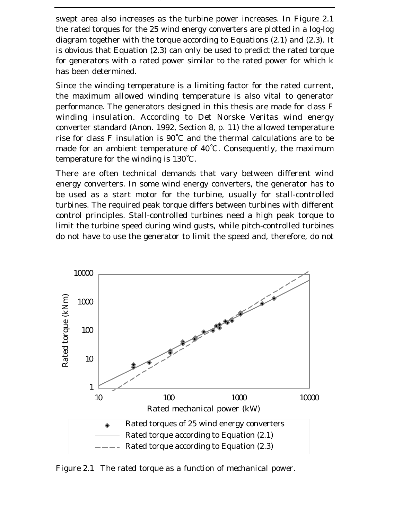swept area also increases as the turbine power increases. In Figure 2.1 the rated torques for the 25 wind energy converters are plotted in a log-log diagram together with the torque according to Equations (2.1) and (2.3). It is obvious that Equation (2.3) can only be used to predict the rated torque for generators with a rated power similar to the rated power for which *k* has been determined.

Since the winding temperature is a limiting factor for the rated current, the maximum allowed winding temperature is also vital to generator performance. The generators designed in this thesis are made for class F winding insulation. According to *Det Norske Veritas* wind energy converter standard (Anon. 1992, Section 8, p. 11) the allowed temperature rise for class F insulation is 90˚C and the thermal calculations are to be made for an ambient temperature of 40˚C. Consequently, the maximum temperature for the winding is 130˚C.

There are often technical demands that vary between different wind energy converters. In some wind energy converters, the generator has to be used as a start motor for the turbine, usually for stall-controlled turbines. The required peak torque differs between turbines with different control principles. Stall-controlled turbines need a high peak torque to limit the turbine speed during wind gusts, while pitch-controlled turbines do not have to use the generator to limit the speed and, therefore, do not



*Figure 2.1 The rated torque as a function of mechanical power.*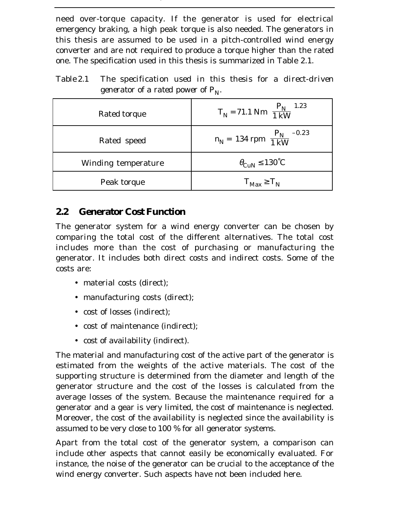need over-torque capacity. If the generator is used for electrical emergency braking, a high peak torque is also needed. The generators in this thesis are assumed to be used in a pitch-controlled wind energy converter and are not required to produce a torque higher than the rated one. The specification used in this thesis is summarized in Table 2.1.

*Table 2.1 The specification used in this thesis for a direct-driven generator of a rated power of*  $P_{\text{N}}$ .

| <b>Rated torque</b> | $T_{\rm N}$ = 71.1 Nm $\left(\frac{P_{\rm N}}{1 \text{ kW}}\right)^{1.23}$  |
|---------------------|-----------------------------------------------------------------------------|
| Rated speed         | $n_{\rm N}$ = 134 rpm $\left(\frac{P_{\rm N}}{1 \text{ kW}}\right)^{-0.23}$ |
| Winding temperature | $\theta_{\text{CuN}} \leq 130^{\circ} \text{C}$                             |
| Peak torque         | $T_{\text{Max}} \geq T_{\text{N}}$                                          |

#### **2.2 Generator Cost Function**

The generator system for a wind energy converter can be chosen by comparing the total cost of the different alternatives. The total cost includes more than the cost of purchasing or manufacturing the generator. It includes both direct costs and indirect costs. Some of the costs are:

- material costs (direct);
- manufacturing costs (direct);
- cost of losses (indirect);
- cost of maintenance (indirect);
- cost of availability (indirect).

The material and manufacturing cost of the active part of the generator is estimated from the weights of the active materials. The cost of the supporting structure is determined from the diameter and length of the generator structure and the cost of the losses is calculated from the average losses of the system. Because the maintenance required for a generator and a gear is very limited, the cost of maintenance is neglected. Moreover, the cost of the availability is neglected since the availability is assumed to be very close to 100 % for all generator systems.

Apart from the total cost of the generator system, a comparison can include other aspects that cannot easily be economically evaluated. For instance, the noise of the generator can be crucial to the acceptance of the wind energy converter. Such aspects have not been included here.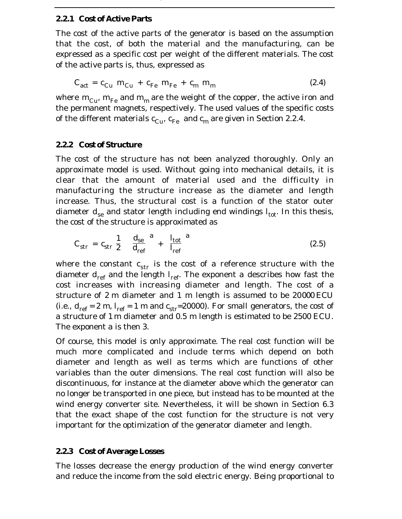#### **2.2.1 Cost of Active Parts**

The cost of the active parts of the generator is based on the assumption that the cost, of both the material and the manufacturing, can be expressed as a specific cost per weight of the different materials. The cost of the active parts is, thus, expressed as

$$
C_{\text{act}} = c_{\text{Cu}} \ m_{\text{Cu}} + c_{\text{Fe}} \ m_{\text{Fe}} + c_{\text{m}} \ m_{\text{m}}
$$
 (2.4)

where  $m_{\text{Cu}}$ ,  $m_{\text{Fe}}$  and  $m_{\text{m}}$  are the weight of the copper, the active iron and the permanent magnets, respectively. The used values of the specific costs of the different materials  $c_{\text{Cu}}$ ,  $c_{\text{Fe}}$  and  $c_{\text{m}}$  are given in Section 2.2.4.

#### **2.2.2 Cost of Structure**

The cost of the structure has not been analyzed thoroughly. Only an approximate model is used. Without going into mechanical details, it is clear that the amount of material used and the difficulty in manufacturing the structure increase as the diameter and length increase. Thus, the structural cost is a function of the stator outer diameter  $d_{se}$  and stator length including end windings  $I_{tot}$ . In this thesis, the cost of the structure is approximated as

$$
C_{\rm str} = c_{\rm str} \frac{1}{2} \left[ \left( \frac{d_{\rm se}}{d_{\rm ref}} \right)^a + \left( \frac{l_{\rm tot}}{l_{\rm ref}} \right)^a \right]
$$
 (2.5)

where the constant  $c_{str}$  is the cost of a reference structure with the diameter  $d_{ref}$  and the length  $I_{ref}$ . The exponent *a* describes how fast the cost increases with increasing diameter and length. The cost of a structure of 2 m diameter and 1 m length is assumed to be 20 000 ECU (i.e.,  $d_{\text{ref}} = 2 \text{ m}$ ,  $l_{\text{ref}} = 1 \text{ m}$  and  $c_{\text{str}} = 20000$ ). For small generators, the cost of a structure of 1 m diameter and 0.5 m length is estimated to be 2500 ECU. The exponent *a* is then 3.

Of course, this model is only approximate. The real cost function will be much more complicated and include terms which depend on both diameter and length as well as terms which are functions of other variables than the outer dimensions. The real cost function will also be discontinuous, for instance at the diameter above which the generator can no longer be transported in one piece, but instead has to be mounted at the wind energy converter site. Nevertheless, it will be shown in Section 6.3 that the exact shape of the cost function for the structure is not very important for the optimization of the generator diameter and length.

#### **2.2.3 Cost of Average Losses**

The losses decrease the energy production of the wind energy converter and reduce the income from the sold electric energy. Being proportional to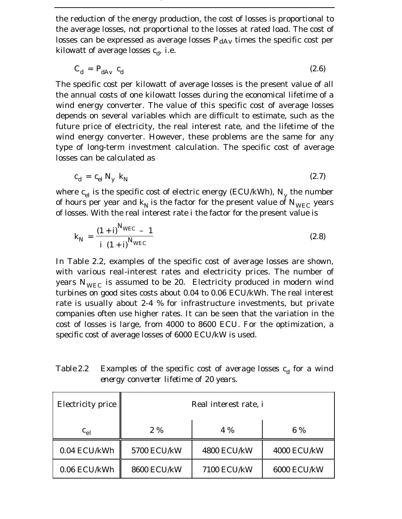the reduction of the energy production, the cost of losses is proportional to the average losses, not proportional to the losses at rated load. The cost of losses can be expressed as average losses  $P_{\rm dAv}$  times the specific cost per kilowatt of average losses  $c_d$ , i.e.

$$
C_{\rm d} = P_{\rm dAv} \, c_{\rm d} \tag{2.6}
$$

The specific cost per kilowatt of average losses is the present value of all the annual costs of one kilowatt losses during the economical lifetime of a wind energy converter. The value of this specific cost of average losses depends on several variables which are difficult to estimate, such as the future price of electricity, the real interest rate, and the lifetime of the wind energy converter. However, these problems are the same for any type of long-term investment calculation. The specific cost of average losses can be calculated as

$$
c_{\rm d} = c_{\rm el} N_{\rm y} k_N \tag{2.7}
$$

where  $c_{el}$  is the specific cost of electric energy (ECU/kWh),  $N_v$  the number of hours per year and  $k_N$  is the factor for the present value of  $N_{WEC}$  years of losses. With the real interest rate *i* the factor for the present value is

$$
k_N = \frac{(1 + j)^{N_{\text{WEC}}} - 1}{j (1 + j)^{N_{\text{WEC}}}}
$$
(2.8)

In Table 2.2, examples of the specific cost of average losses are shown, with various real-interest rates and electricity prices. The number of years  $N_{WEC}$  is assumed to be 20. Electricity produced in modern wind turbines on good sites costs about 0.04 to 0.06 ECU/kWh. The real interest rate is usually about 2-4 % for infrastructure investments, but private companies often use higher rates. It can be seen that the variation in the cost of losses is large, from 4000 to 8600 ECU. For the optimization, a specific cost of average losses of 6000 ECU/kW is used.

*Table 2.2 • Examples of the specific cost of average losses*  $c_d$  *for a wind energy converter lifetime of 20 years.*

| <b>Electricity price</b> | Real interest rate, <i>i</i> |                    |                    |
|--------------------------|------------------------------|--------------------|--------------------|
| $c_{\rm el}$             | 4 %<br>2 %                   |                    | 6 %                |
| 0.04 ECU/kWh             | <b>5700 ECU/kW</b>           | <b>4800 ECU/kW</b> | <b>4000 ECU/kW</b> |
| 0.06 ECU/kWh             | <b>8600 ECU/kW</b>           | <b>7100 ECU/kW</b> | <b>6000 ECU/kW</b> |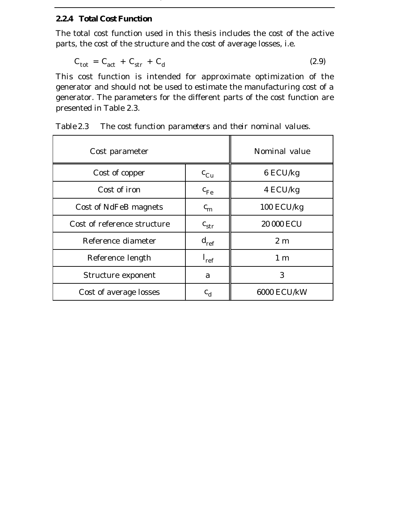#### **2.2.4 Total Cost Function**

The total cost function used in this thesis includes the cost of the active parts, the cost of the structure and the cost of average losses, i.e.

$$
C_{\text{tot}} = C_{\text{act}} + C_{\text{str}} + C_{\text{d}}
$$
\n(2.9)

This cost function is intended for approximate optimization of the generator and should not be used to estimate the manufacturing cost of a generator. The parameters for the different parts of the cost function are presented in Table 2.3.

| Cost parameter               |                  | Nominal value      |
|------------------------------|------------------|--------------------|
| Cost of copper               | $c_{\text{Cu}}$  | 6 ECU/kg           |
| Cost of iron                 | $c_{\rm Fe}$     | 4 ECU/kg           |
| <b>Cost of NdFeB magnets</b> | $c_{\rm m}$      | 100 ECU/kg         |
| Cost of reference structure  | $c_{\rm str}$    | 20 000 ECU         |
| Reference diameter           | $d_{\rm ref}$    | 2m                 |
| Reference length             | $I_{\text{ref}}$ | 1 <sub>m</sub>     |
| <b>Structure exponent</b>    | $\boldsymbol{a}$ | 3                  |
| Cost of average losses       | $c_{\rm d}$      | <b>6000 ECU/kW</b> |

*Table 2.3 The cost function parameters and their nominal values.*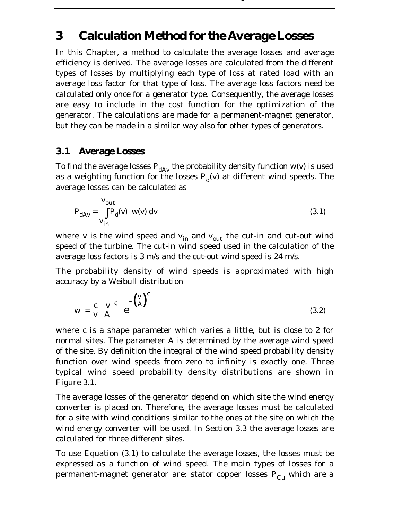In this Chapter, a method to calculate the average losses and average efficiency is derived. The average losses are calculated from the different types of losses by multiplying each type of loss at rated load with an average loss factor for that type of loss. The average loss factors need be calculated only once for a generator type. Consequently, the average losses are easy to include in the cost function for the optimization of the generator. The calculations are made for a permanent-magnet generator, but they can be made in a similar way also for other types of generators.

#### **3.1 Average Losses**

To find the average losses  $P_{\text{dAv}}$  the probability density function  $w(v)$  is used as a weighting function for the losses  $P_d(v)$  at different wind speeds. The average losses can be calculated as

$$
P_{\rm dAv} = \int_{V_{\rm in}}^{V_{\rm out}} P_{\rm d}(v) \, w(v) \, \mathrm{d}v \tag{3.1}
$$

where  $v$  is the wind speed and  $v_{\text{in}}$  and  $v_{\text{out}}$  the cut-in and cut-out wind speed of the turbine. The cut-in wind speed used in the calculation of the average loss factors is 3 m/s and the cut-out wind speed is 24 m/s.

The probability density of wind speeds is approximated with high accuracy by a Weibull distribution

$$
w = \frac{c}{v} \left(\frac{v}{A}\right)^c \quad e^{-\left(\frac{v}{A}\right)^c} \tag{3.2}
$$

where *c* is a shape parameter which varies a little, but is close to 2 for normal sites. The parameter *A* is determined by the average wind speed of the site. By definition the integral of the wind speed probability density function over wind speeds from zero to infinity is exactly one. Three typical wind speed probability density distributions are shown in Figure 3.1.

The average losses of the generator depend on which site the wind energy converter is placed on. Therefore, the average losses must be calculated for a site with wind conditions similar to the ones at the site on which the wind energy converter will be used. In Section 3.3 the average losses are calculated for three different sites.

To use Equation (3.1) to calculate the average losses, the losses must be expressed as a function of wind speed. The main types of losses for a permanent-magnet generator are: stator copper losses  $P_{Cu}$  which are a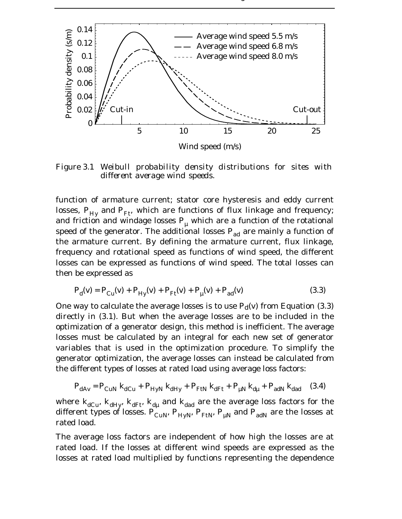

*Figure 3.1 Weibull probability density distributions for sites with different average wind speeds.*

function of armature current; stator core hysteresis and eddy current losses,  $P_{\text{Hv}}$  and  $P_{\text{Ft}}$ , which are functions of flux linkage and frequency; and friction and windage losses  $P_{\mu}$  which are a function of the rotational speed of the generator. The additional losses  $P_{ad}$  are mainly a function of the armature current. By defining the armature current, flux linkage, frequency and rotational speed as functions of wind speed, the different losses can be expressed as functions of wind speed. The total losses can then be expressed as

$$
P_{\rm d}(v) = P_{\rm Cu}(v) + P_{\rm Hy}(v) + P_{\rm Ft}(v) + P_{\rm u}(v) + P_{\rm ad}(v) \tag{3.3}
$$

One way to calculate the average losses is to use  $P_d(v)$  from Equation (3.3) directly in (3.1). But when the average losses are to be included in the optimization of a generator design, this method is inefficient. The average losses must be calculated by an integral for each new set of generator variables that is used in the optimization procedure. To simplify the generator optimization, the average losses can instead be calculated from the different types of losses at rated load using average loss factors:

$$
P_{\text{dAv}} = P_{\text{CuN}} k_{\text{dCu}} + P_{\text{HyN}} k_{\text{dHy}} + P_{\text{FtN}} k_{\text{dFt}} + P_{\mu\text{N}} k_{\text{d}\mu} + P_{\text{adN}} k_{\text{dad}} \quad (3.4)
$$

where  $k_{dCu}$ ,  $k_{dHv}$ ,  $k_{dFt}$ ,  $k_{du}$  and  $k_{dad}$  are the average loss factors for the different types of losses.  $P_{\text{CuN}}$ ,  $P_{\text{HVN}}$ ,  $P_{\text{FtN}}$ ,  $P_{\text{uN}}$  and  $P_{\text{adN}}$  are the losses at rated load.

The average loss factors are independent of how high the losses are at rated load. If the losses at different wind speeds are expressed as the losses at rated load multiplied by functions representing the dependence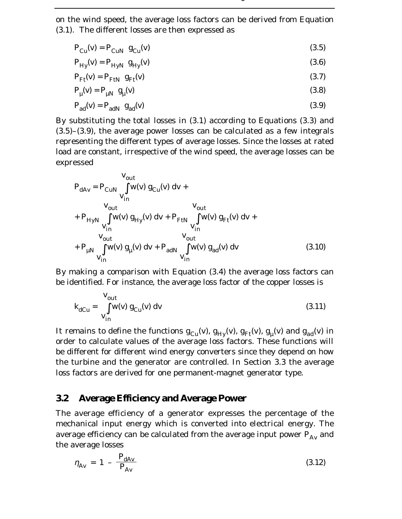on the wind speed, the average loss factors can be derived from Equation (3.1). The different losses are then expressed as

$$
P_{\text{Cu}}(v) = P_{\text{CuN}} g_{\text{Cu}}(v) \tag{3.5}
$$

$$
P_{\text{Hy}}(v) = P_{\text{HyN}} g_{\text{Hy}}(v) \tag{3.6}
$$

$$
P_{\rm Ft}(v) = P_{\rm FtN} g_{\rm Ft}(v) \tag{3.7}
$$

$$
P_{\mu}(v) = P_{\mu N} g_{\mu}(v) \tag{3.8}
$$

$$
P_{\text{ad}}(v) = P_{\text{adN}} g_{\text{ad}}(v) \tag{3.9}
$$

By substituting the total losses in (3.1) according to Equations (3.3) and (3.5)–(3.9), the average power losses can be calculated as a few integrals representing the different types of average losses. Since the losses at rated load are constant, irrespective of the wind speed, the average losses can be expressed

$$
P_{\text{dAv}} = P_{\text{CuN}} \int_{V_{\text{in}}}^{V_{\text{out}}} w(v) g_{\text{Cu}}(v) dv +
$$
  
+  $P_{\text{HyN}} \int_{V_{\text{in}}} w(v) g_{\text{Hy}}(v) dv + P_{\text{FtN}} \int_{V_{\text{in}}} w(v) g_{\text{Ft}}(v) dv +$   
+  $P_{\text{in}} \int_{V_{\text{out}}}^{V_{\text{out}}} w(v) g_{\mu}(v) dv + P_{\text{adv}} \int_{V_{\text{in}}}^{V_{\text{out}}} w(v) g_{\text{ad}}(v) dv$  (3.10)

By making a comparison with Equation (3.4) the average loss factors can be identified. For instance, the average loss factor of the copper losses is

$$
k_{\text{dCu}} = \int_{V_{\text{in}}}^{V_{\text{out}}} w(v) g_{\text{Cu}}(v) \, \text{d}v \tag{3.11}
$$

It remains to define the functions  $g_{Cu}(v)$ ,  $g_{Hv}(v)$ ,  $g_{Ft}(v)$ ,  $g_{u}(v)$  and  $g_{ad}(v)$  in order to calculate values of the average loss factors. These functions will be different for different wind energy converters since they depend on how the turbine and the generator are controlled. In Section 3.3 the average loss factors are derived for one permanent-magnet generator type.

#### **3.2 Average Efficiency and Average Power**

The average efficiency of a generator expresses the percentage of the mechanical input energy which is converted into electrical energy. The average efficiency can be calculated from the average input power  $P_{Av}$  and the average losses

$$
\eta_{\text{Av}} = 1 - \frac{P_{\text{dAv}}}{P_{\text{Av}}} \tag{3.12}
$$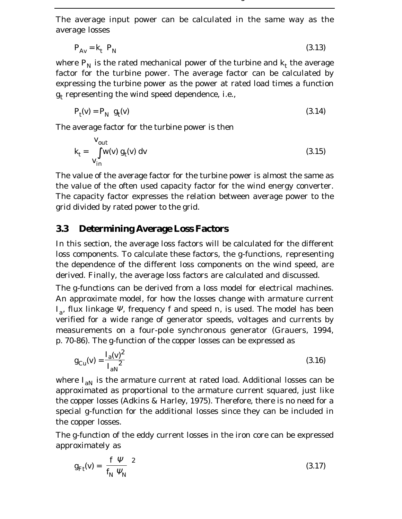The average input power can be calculated in the same way as the average losses

$$
P_{\rm Av} = k_{\rm t} \ P_{\rm N} \tag{3.13}
$$

where  $P_{\rm N}$  is the rated mechanical power of the turbine and  $k_{\rm t}$  the average factor for the turbine power. The average factor can be calculated by expressing the turbine power as the power at rated load times a function *g*t representing the wind speed dependence, i.e.,

$$
P_{\rm t}(v) = P_{\rm N} g_{\rm t}(v) \tag{3.14}
$$

The average factor for the turbine power is then

$$
k_{\rm t} = \int_{V_{\rm in}}^{V_{\rm out}} w(v) g_{\rm t}(v) \, \mathrm{d}v \tag{3.15}
$$

The value of the average factor for the turbine power is almost the same as the value of the often used capacity factor for the wind energy converter. The capacity factor expresses the relation between average power to the grid divided by rated power to the grid.

#### **3.3 Determining Average Loss Factors**

In this section, the average loss factors will be calculated for the different loss components. To calculate these factors, the *g*-functions, representing the dependence of the different loss components on the wind speed, are derived. Finally, the average loss factors are calculated and discussed.

The *g*-functions can be derived from a loss model for electrical machines. An approximate model, for how the losses change with armature current *I*a, flux linkage Ψ, frequency *f* and speed *n*, is used. The model has been verified for a wide range of generator speeds, voltages and currents by measurements on a four-pole synchronous generator (Grauers, 1994, p. 70-86). The *g*-function of the copper losses can be expressed as

$$
g_{\text{Cu}}(v) = \frac{I_a(v)^2}{I_{\text{aN}}^2}
$$
 (3.16)

where  $I_{aN}$  is the armature current at rated load. Additional losses can be approximated as proportional to the armature current squared, just like the copper losses (Adkins & Harley, 1975). Therefore, there is no need for a special *g*-function for the additional losses since they can be included in the copper losses.

The *g*-function of the eddy current losses in the iron core can be expressed approximately as

$$
g_{\rm Ft}(v) = \left(\frac{f \Psi}{f_{\rm N} \Psi_{\rm N}}\right)^2 \tag{3.17}
$$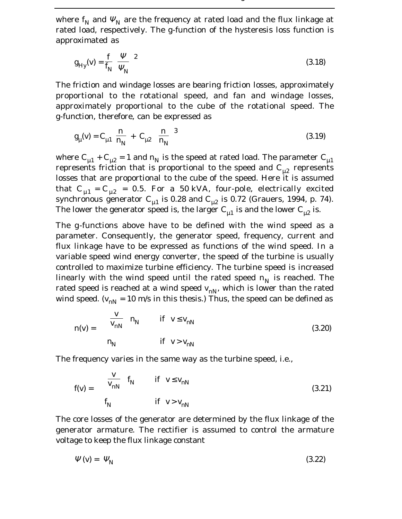$$
g_{\text{Hy}}(v) = \frac{f}{f_{\text{N}}} \left(\frac{\Psi}{\Psi_{\text{N}}}\right)^2 \tag{3.18}
$$

The friction and windage losses are bearing friction losses, approximately proportional to the rotational speed, and fan and windage losses, approximately proportional to the cube of the rotational speed. The *g*-function, therefore, can be expressed as

$$
g_{\mu}(v) = C_{\mu 1} \frac{n}{n_{\rm N}} + C_{\mu 2} \left(\frac{n}{n_{\rm N}}\right)^3 \tag{3.19}
$$

where  $C_{\mu 1} + C_{\mu 2} = 1$  and  $n_N$  is the speed at rated load. The parameter  $C_{\mu 1}$ represents friction that is proportional to the speed and  $C_{\mu 2}$  represents losses that are proportional to the cube of the speed. Here it is assumed that  $C_{\mu 1} = C_{\mu 2} = 0.5$ . For a 50 kVA, four-pole, electrically excited synchronous generator  $C_{\mu 1}$  is 0.28 and  $C_{\mu 2}$  is 0.72 (Grauers, 1994, p. 74). The lower the generator speed is, the larger  $C_{\mu 1}$  is and the lower  $C_{\mu 2}$  is.

The *g*-functions above have to be defined with the wind speed as a parameter. Consequently, the generator speed, frequency, current and flux linkage have to be expressed as functions of the wind speed. In a variable speed wind energy converter, the speed of the turbine is usually controlled to maximize turbine efficiency. The turbine speed is increased linearly with the wind speed until the rated speed  $n_N$  is reached. The rated speed is reached at a wind speed  $v_{nN}$ , which is lower than the rated wind speed. ( $v_{nN}$  = 10 m/s in this thesis.) Thus, the speed can be defined as

$$
n(v) = \begin{cases} \left(\frac{v}{v_{nN}}\right) n_N & \text{if } v \le v_{nN} \\ n_N & \text{if } v > v_{nN} \end{cases}
$$
 (3.20)

The frequency varies in the same way as the turbine speed, i.e.,

$$
f(v) = \begin{cases} \left(\frac{V}{V_{nN}}\right) f_N & \text{if } v \leq V_{nN} \\ f_N & \text{if } v > V_{nN} \end{cases}
$$
 (3.21)

The core losses of the generator are determined by the flux linkage of the generator armature. The rectifier is assumed to control the armature voltage to keep the flux linkage constant

$$
\Psi(\mathbf{v}) = \Psi_{\mathbf{N}} \tag{3.22}
$$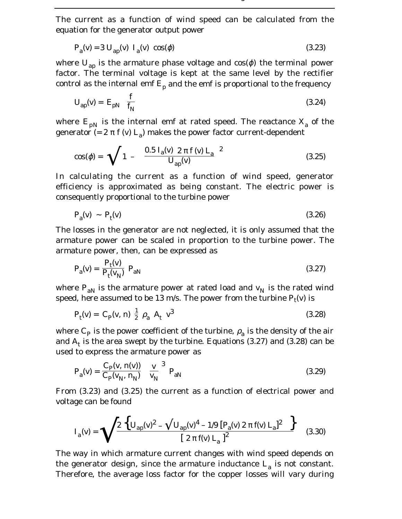The current as a function of wind speed can be calculated from the equation for the generator output power

$$
P_{\rm a}(v) = 3 U_{\rm ap}(v) I_{\rm a}(v) \cos(\varphi) \tag{3.23}
$$

where  $U_{\text{an}}$  is the armature phase voltage and cos( $\varphi$ ) the terminal power factor. The terminal voltage is kept at the same level by the rectifier control as the internal emf  $E_p$  and the emf is proportional to the frequency

$$
U_{\rm ap}(v) = E_{\rm pN} \left( \frac{f}{f_{\rm N}} \right) \tag{3.24}
$$

where  $E_{\text{pN}}$  is the internal emf at rated speed. The reactance  $X_{\text{a}}$  of the generator (=  $2 \pi f(v) L_a$ ) makes the power factor current-dependent

$$
\cos(\varphi) = \sqrt{1 - \left(\frac{0.5 I_a(\nu) 2 \pi f(\nu) L_a}{U_{ap}(\nu)}\right)^2}
$$
(3.25)

In calculating the current as a function of wind speed, generator efficiency is approximated as being constant. The electric power is consequently proportional to the turbine power

$$
P_{\rm a}(v) \sim P_{\rm t}(v) \tag{3.26}
$$

The losses in the generator are not neglected, it is only assumed that the armature power can be scaled in proportion to the turbine power. The armature power, then, can be expressed as

$$
P_{\rm a}(v) = \frac{P_{\rm t}(v)}{P_{\rm t}(v_{\rm N})} \ P_{\rm aN} \tag{3.27}
$$

where  $P_{aN}$  is the armature power at rated load and  $v_N$  is the rated wind speed, here assumed to be 13 m/s. The power from the turbine  $P_t(v)$  is

$$
P_{t}(v) = C_{p}(v, n) \frac{1}{2} \rho_{a} A_{t} v^{3}
$$
 (3.28)

where  $C_p$  is the power coefficient of the turbine,  $\rho_a$  is the density of the air and  $A_{\rm t}$  is the area swept by the turbine. Equations (3.27) and (3.28) can be used to express the armature power as

$$
P_{\mathbf{a}}(v) = \frac{C_P(v, n(v))}{C_P(v_N, n_N)} \left(\frac{v}{v_N}\right)^3 P_{\mathbf{a}N}
$$
\n(3.29)

From (3.23) and (3.25) the current as a function of electrical power and voltage can be found

$$
I_{\rm a}(v) = \sqrt{\frac{2 \left\{ U_{\rm ap}(v)^2 - \sqrt{U_{\rm ap}(v)^4 - 1/9 \left[ P_{\rm a}(v) \, 2 \pi \, f(v) \, L_{\rm a} \right]^2} \right\} }{\left[ 2 \pi \, f(v) \, L_{\rm a} \right]^2} \tag{3.30}
$$

The way in which armature current changes with wind speed depends on the generator design, since the armature inductance  $L<sub>a</sub>$  is not constant. Therefore, the average loss factor for the copper losses will vary during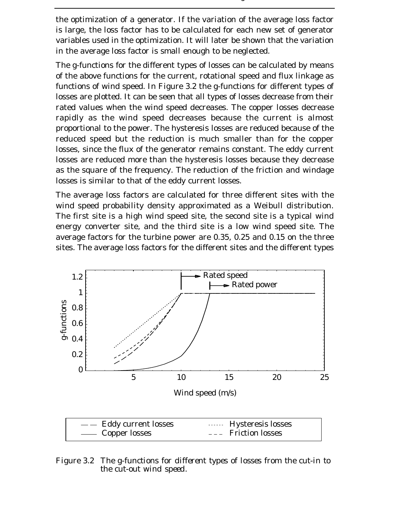the optimization of a generator. If the variation of the average loss factor is large, the loss factor has to be calculated for each new set of generator variables used in the optimization. It will later be shown that the variation in the average loss factor is small enough to be neglected.

The *g*-functions for the different types of losses can be calculated by means of the above functions for the current, rotational speed and flux linkage as functions of wind speed. In Figure 3.2 the *g*-functions for different types of losses are plotted. It can be seen that all types of losses decrease from their rated values when the wind speed decreases. The copper losses decrease rapidly as the wind speed decreases because the current is almost proportional to the power. The hysteresis losses are reduced because of the reduced speed but the reduction is much smaller than for the copper losses, since the flux of the generator remains constant. The eddy current losses are reduced more than the hysteresis losses because they decrease as the square of the frequency. The reduction of the friction and windage losses is similar to that of the eddy current losses.

The average loss factors are calculated for three different sites with the wind speed probability density approximated as a Weibull distribution. The first site is a high wind speed site, the second site is a typical wind energy converter site, and the third site is a low wind speed site. The average factors for the turbine power are 0.35, 0.25 and 0.15 on the three sites. The average loss factors for the different sites and the different types



*Figure 3.2 The g-functions for different types of losses from the cut-in to the cut-out wind speed.*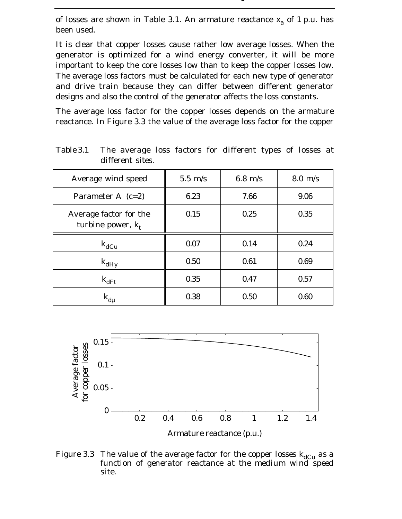of losses are shown in Table 3.1. An armature reactance  $x_a$  of 1 p.u. has been used.

It is clear that copper losses cause rather low average losses. When the generator is optimized for a wind energy converter, it will be more important to keep the core losses low than to keep the copper losses low. The average loss factors must be calculated for each new type of generator and drive train because they can differ between different generator designs and also the control of the generator affects the loss constants.

The average loss factor for the copper losses depends on the armature reactance. In Figure 3.3 the value of the average loss factor for the copper

| Average wind speed                             | $5.5 \text{ m/s}$ | $6.8$ m/s | $8.0 \text{ m/s}$ |
|------------------------------------------------|-------------------|-----------|-------------------|
| Parameter $A$ ( $c=2$ )                        | 6.23              | 7.66      | 9.06              |
| Average factor for the<br>turbine power, $k_t$ | 0.15              | 0.25      | 0.35              |
| $k_{\text{dCu}}$                               | 0.07              | 0.14      | 0.24              |
| $k_{\text{dHy}}$                               | 0.50              | 0.61      | 0.69              |
| $k_{\text{dFt}}$                               | 0.35              | 0.47      | 0.57              |
| $k_{\rm du}$                                   | 0.38              | 0.50      | 0.60              |

*Table 3.1 The average loss factors for different types of losses at different sites.*



*Figure 3.3 The value of the average factor for the copper losses*  $k_{dCu}$  *as a function of generator reactance at the medium wind speed site.*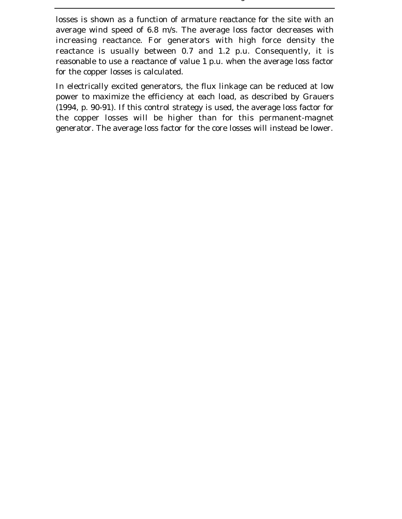losses is shown as a function of armature reactance for the site with an average wind speed of 6.8 m/s. The average loss factor decreases with increasing reactance. For generators with high force density the reactance is usually between 0.7 and 1.2 p.u. Consequently, it is reasonable to use a reactance of value 1 p.u. when the average loss factor for the copper losses is calculated.

In electrically excited generators, the flux linkage can be reduced at low power to maximize the efficiency at each load, as described by Grauers (1994, p. 90-91). If this control strategy is used, the average loss factor for the copper losses will be higher than for this permanent-magnet generator. The average loss factor for the core losses will instead be lower.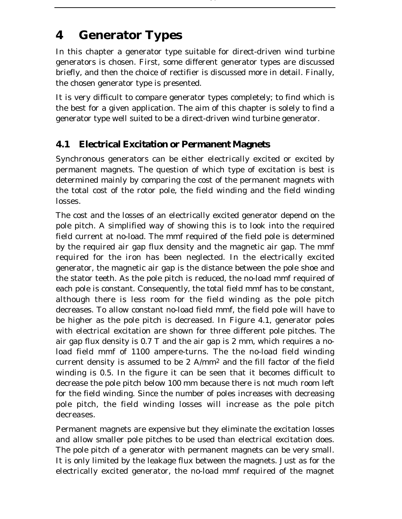# **4 Generator Types**

In this chapter a generator type suitable for direct-driven wind turbine generators is chosen. First, some different generator types are discussed briefly, and then the choice of rectifier is discussed more in detail. Finally, the chosen generator type is presented.

It is very difficult to compare generator types completely; to find which is the best for a given application. The aim of this chapter is solely to find a generator type well suited to be a direct-driven wind turbine generator.

# **4.1 Electrical Excitation or Permanent Magnets**

Synchronous generators can be either electrically excited or excited by permanent magnets. The question of which type of excitation is best is determined mainly by comparing the cost of the permanent magnets with the total cost of the rotor pole, the field winding and the field winding losses.

The cost and the losses of an electrically excited generator depend on the pole pitch. A simplified way of showing this is to look into the required field current at no-load. The mmf required of the field pole is determined by the required air gap flux density and the magnetic air gap. The mmf required for the iron has been neglected. In the electrically excited generator, the magnetic air gap is the distance between the pole shoe and the stator teeth. As the pole pitch is reduced, the no-load mmf required of each pole is constant. Consequently, the total field mmf has to be constant, although there is less room for the field winding as the pole pitch decreases. To allow constant no-load field mmf, the field pole will have to be higher as the pole pitch is decreased. In Figure 4.1, generator poles with electrical excitation are shown for three different pole pitches. The air gap flux density is 0.7 T and the air gap is 2 mm, which requires a noload field mmf of 1100 ampere-turns. The the no-load field winding current density is assumed to be 2 A/mm2 and the fill factor of the field winding is 0.5. In the figure it can be seen that it becomes difficult to decrease the pole pitch below 100 mm because there is not much room left for the field winding. Since the number of poles increases with decreasing pole pitch, the field winding losses will increase as the pole pitch decreases.

Permanent magnets are expensive but they eliminate the excitation losses and allow smaller pole pitches to be used than electrical excitation does. The pole pitch of a generator with permanent magnets can be very small. It is only limited by the leakage flux between the magnets. Just as for the electrically excited generator, the no-load mmf required of the magnet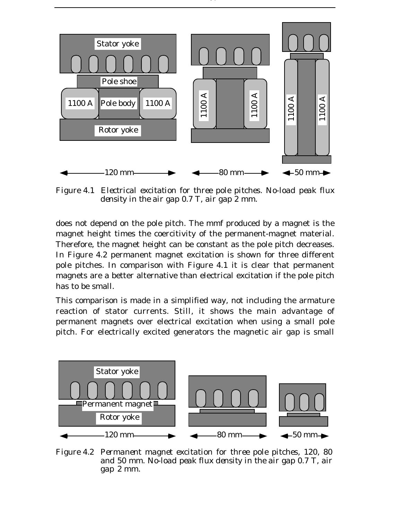

*Figure 4.1 Electrical excitation for three pole pitches. No-load peak flux density in the air gap 0.7 T, air gap 2 mm.*

does not depend on the pole pitch. The mmf produced by a magnet is the magnet height times the coercitivity of the permanent-magnet material. Therefore, the magnet height can be constant as the pole pitch decreases. In Figure 4.2 permanent magnet excitation is shown for three different pole pitches. In comparison with Figure 4.1 it is clear that permanent magnets are a better alternative than electrical excitation if the pole pitch has to be small.

This comparison is made in a simplified way, not including the armature reaction of stator currents. Still, it shows the main advantage of permanent magnets over electrical excitation when using a small pole pitch. For electrically excited generators the magnetic air gap is small



*Figure 4.2 Permanent magnet excitation for three pole pitches, 120, 80 and 50 mm. No-load peak flux density in the air gap 0.7 T, air gap 2 mm.*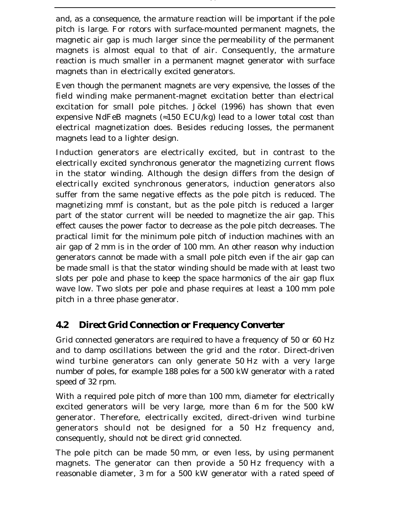and, as a consequence, the armature reaction will be important if the pole pitch is large. For rotors with surface-mounted permanent magnets, the magnetic air gap is much larger since the permeability of the permanent magnets is almost equal to that of air. Consequently, the armature reaction is much smaller in a permanent magnet generator with surface magnets than in electrically excited generators.

Even though the permanent magnets are very expensive, the losses of the field winding make permanent-magnet excitation better than electrical excitation for small pole pitches. Jöckel (1996) has shown that even expensive NdFeB magnets  $\approx 150$  ECU/kg) lead to a lower total cost than electrical magnetization does. Besides reducing losses, the permanent magnets lead to a lighter design.

Induction generators are electrically excited, but in contrast to the electrically excited synchronous generator the magnetizing current flows in the stator winding. Although the design differs from the design of electrically excited synchronous generators, induction generators also suffer from the same negative effects as the pole pitch is reduced. The magnetizing mmf is constant, but as the pole pitch is reduced a larger part of the stator current will be needed to magnetize the air gap. This effect causes the power factor to decrease as the pole pitch decreases. The practical limit for the minimum pole pitch of induction machines with an air gap of 2 mm is in the order of 100 mm. An other reason why induction generators cannot be made with a small pole pitch even if the air gap can be made small is that the stator winding should be made with at least two slots per pole and phase to keep the space harmonics of the air gap flux wave low. Two slots per pole and phase requires at least a 100 mm pole pitch in a three phase generator.

# **4.2 Direct Grid Connection or Frequency Converter**

Grid connected generators are required to have a frequency of 50 or 60 Hz and to damp oscillations between the grid and the rotor. Direct-driven wind turbine generators can only generate 50 Hz with a very large number of poles, for example 188 poles for a 500 kW generator with a rated speed of 32 rpm.

With a required pole pitch of more than 100 mm, diameter for electrically excited generators will be very large, more than 6 m for the 500 kW generator. Therefore, electrically excited, direct-driven wind turbine generators should not be designed for a 50 Hz frequency and, consequently, should not be direct grid connected.

The pole pitch can be made 50 mm, or even less, by using permanent magnets. The generator can then provide a 50 Hz frequency with a reasonable diameter, 3 m for a 500 kW generator with a rated speed of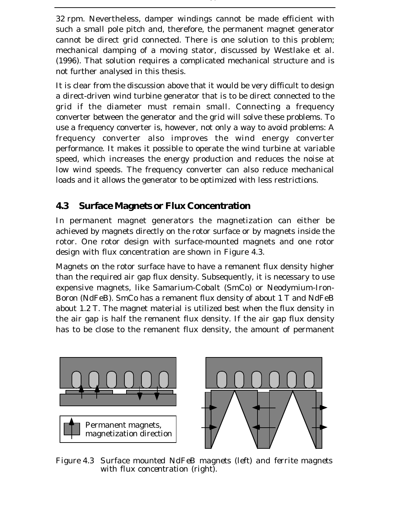32 rpm. Nevertheless, damper windings cannot be made efficient with such a small pole pitch and, therefore, the permanent magnet generator cannot be direct grid connected. There is one solution to this problem; mechanical damping of a moving stator, discussed by Westlake et al. (1996). That solution requires a complicated mechanical structure and is not further analysed in this thesis.

It is clear from the discussion above that it would be very difficult to design a direct-driven wind turbine generator that is to be direct connected to the grid if the diameter must remain small. Connecting a frequency converter between the generator and the grid will solve these problems. To use a frequency converter is, however, not only a way to avoid problems: A frequency converter also improves the wind energy converter performance. It makes it possible to operate the wind turbine at variable speed, which increases the energy production and reduces the noise at low wind speeds. The frequency converter can also reduce mechanical loads and it allows the generator to be optimized with less restrictions.

# **4.3 Surface Magnets or Flux Concentration**

In permanent magnet generators the magnetization can either be achieved by magnets directly on the rotor surface or by magnets inside the rotor. One rotor design with surface-mounted magnets and one rotor design with flux concentration are shown in Figure 4.3.

Magnets on the rotor surface have to have a remanent flux density higher than the required air gap flux density. Subsequently, it is necessary to use expensive magnets, like Samarium-Cobalt (SmCo) or Neodymium-Iron-Boron (NdFeB). SmCo has a remanent flux density of about 1 T and NdFeB about 1.2 T. The magnet material is utilized best when the flux density in the air gap is half the remanent flux density. If the air gap flux density has to be close to the remanent flux density, the amount of permanent



*Figure 4.3 Surface mounted NdFeB magnets (left) and ferrite magnets with flux concentration (right).*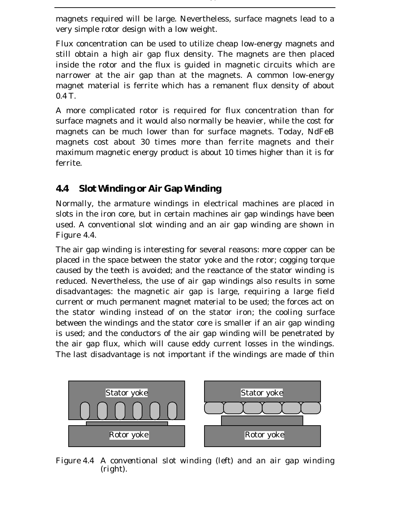magnets required will be large. Nevertheless, surface magnets lead to a very simple rotor design with a low weight.

Flux concentration can be used to utilize cheap low-energy magnets and still obtain a high air gap flux density. The magnets are then placed inside the rotor and the flux is guided in magnetic circuits which are narrower at the air gap than at the magnets. A common low-energy magnet material is ferrite which has a remanent flux density of about 0.4 T.

A more complicated rotor is required for flux concentration than for surface magnets and it would also normally be heavier, while the cost for magnets can be much lower than for surface magnets. Today, NdFeB magnets cost about 30 times more than ferrite magnets and their maximum magnetic energy product is about 10 times higher than it is for ferrite.

# **4.4 Slot Winding or Air Gap Winding**

Normally, the armature windings in electrical machines are placed in slots in the iron core, but in certain machines air gap windings have been used. A conventional slot winding and an air gap winding are shown in Figure 4.4.

The air gap winding is interesting for several reasons: more copper can be placed in the space between the stator yoke and the rotor; cogging torque caused by the teeth is avoided; and the reactance of the stator winding is reduced. Nevertheless, the use of air gap windings also results in some disadvantages: the magnetic air gap is large, requiring a large field current or much permanent magnet material to be used; the forces act on the stator winding instead of on the stator iron; the cooling surface between the windings and the stator core is smaller if an air gap winding is used; and the conductors of the air gap winding will be penetrated by the air gap flux, which will cause eddy current losses in the windings. The last disadvantage is not important if the windings are made of thin



*Figure 4.4 A conventional slot winding (left) and an air gap winding (right).*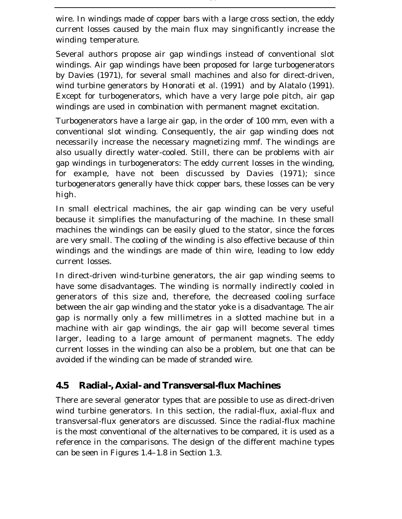wire. In windings made of copper bars with a large cross section, the eddy current losses caused by the main flux may singnificantly increase the winding temperature.

Several authors propose air gap windings instead of conventional slot windings. Air gap windings have been proposed for large turbogenerators by Davies (1971), for several small machines and also for direct-driven, wind turbine generators by Honorati et al. (1991) and by Alatalo (1991). Except for turbogenerators, which have a very large pole pitch, air gap windings are used in combination with permanent magnet excitation.

Turbogenerators have a large air gap, in the order of 100 mm, even with a conventional slot winding. Consequently, the air gap winding does not necessarily increase the necessary magnetizing mmf. The windings are also usually directly water-cooled. Still, there can be problems with air gap windings in turbogenerators: The eddy current losses in the winding, for example, have not been discussed by Davies (1971); since turbogenerators generally have thick copper bars, these losses can be very high.

In small electrical machines, the air gap winding can be very useful because it simplifies the manufacturing of the machine. In these small machines the windings can be easily glued to the stator, since the forces are very small. The cooling of the winding is also effective because of thin windings and the windings are made of thin wire, leading to low eddy current losses.

In direct-driven wind-turbine generators, the air gap winding seems to have some disadvantages. The winding is normally indirectly cooled in generators of this size and, therefore, the decreased cooling surface between the air gap winding and the stator yoke is a disadvantage. The air gap is normally only a few millimetres in a slotted machine but in a machine with air gap windings, the air gap will become several times larger, leading to a large amount of permanent magnets. The eddy current losses in the winding can also be a problem, but one that can be avoided if the winding can be made of stranded wire.

# **4.5 Radial-, Axial- and Transversal-flux Machines**

There are several generator types that are possible to use as direct-driven wind turbine generators. In this section, the radial-flux, axial-flux and transversal-flux generators are discussed. Since the radial-flux machine is the most conventional of the alternatives to be compared, it is used as a reference in the comparisons. The design of the different machine types can be seen in Figures 1.4–1.8 in Section 1.3.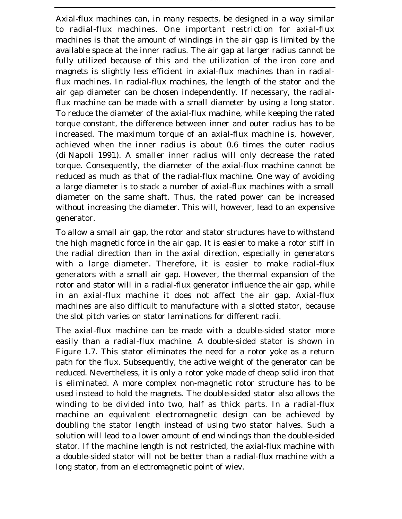Axial-flux machines can, in many respects, be designed in a way similar to radial-flux machines. One important restriction for axial-flux machines is that the amount of windings in the air gap is limited by the available space at the inner radius. The air gap at larger radius cannot be fully utilized because of this and the utilization of the iron core and magnets is slightly less efficient in axial-flux machines than in radialflux machines. In radial-flux machines, the length of the stator and the air gap diameter can be chosen independently. If necessary, the radialflux machine can be made with a small diameter by using a long stator. To reduce the diameter of the axial-flux machine, while keeping the rated torque constant, the difference between inner and outer radius has to be increased. The maximum torque of an axial-flux machine is, however, achieved when the inner radius is about 0.6 times the outer radius (di Napoli 1991). A smaller inner radius will only decrease the rated torque. Consequently, the diameter of the axial-flux machine cannot be reduced as much as that of the radial-flux machine. One way of avoiding a large diameter is to stack a number of axial-flux machines with a small diameter on the same shaft. Thus, the rated power can be increased without increasing the diameter. This will, however, lead to an expensive generator.

To allow a small air gap, the rotor and stator structures have to withstand the high magnetic force in the air gap. It is easier to make a rotor stiff in the radial direction than in the axial direction, especially in generators with a large diameter. Therefore, it is easier to make radial-flux generators with a small air gap. However, the thermal expansion of the rotor and stator will in a radial-flux generator influence the air gap, while in an axial-flux machine it does not affect the air gap. Axial-flux machines are also difficult to manufacture with a slotted stator, because the slot pitch varies on stator laminations for different radii.

The axial-flux machine can be made with a double-sided stator more easily than a radial-flux machine. A double-sided stator is shown in Figure 1.7. This stator eliminates the need for a rotor yoke as a return path for the flux. Subsequently, the active weight of the generator can be reduced. Nevertheless, it is only a rotor yoke made of cheap solid iron that is eliminated. A more complex non-magnetic rotor structure has to be used instead to hold the magnets. The double-sided stator also allows the winding to be divided into two, half as thick parts. In a radial-flux machine an equivalent electromagnetic design can be achieved by doubling the stator length instead of using two stator halves. Such a solution will lead to a lower amount of end windings than the double-sided stator. If the machine length is not restricted, the axial-flux machine with a double-sided stator will not be better than a radial-flux machine with a long stator, from an electromagnetic point of wiev.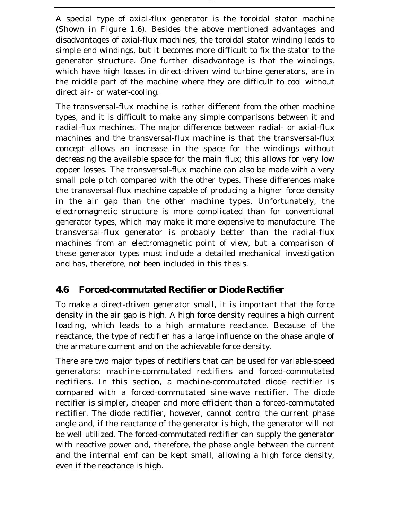A special type of axial-flux generator is the toroidal stator machine (Shown in Figure 1.6). Besides the above mentioned advantages and disadvantages of axial-flux machines, the toroidal stator winding leads to simple end windings, but it becomes more difficult to fix the stator to the generator structure. One further disadvantage is that the windings, which have high losses in direct-driven wind turbine generators, are in the middle part of the machine where they are difficult to cool without direct air- or water-cooling.

The transversal-flux machine is rather different from the other machine types, and it is difficult to make any simple comparisons between it and radial-flux machines. The major difference between radial- or axial-flux machines and the transversal-flux machine is that the transversal-flux concept allows an increase in the space for the windings without decreasing the available space for the main flux; this allows for very low copper losses. The transversal-flux machine can also be made with a very small pole pitch compared with the other types. These differences make the transversal-flux machine capable of producing a higher force density in the air gap than the other machine types. Unfortunately, the electromagnetic structure is more complicated than for conventional generator types, which may make it more expensive to manufacture. The transversal-flux generator is probably better than the radial-flux machines from an electromagnetic point of view, but a comparison of these generator types must include a detailed mechanical investigation and has, therefore, not been included in this thesis.

# **4.6 Forced-commutated Rectifier or Diode Rectifier**

To make a direct-driven generator small, it is important that the force density in the air gap is high. A high force density requires a high current loading, which leads to a high armature reactance. Because of the reactance, the type of rectifier has a large influence on the phase angle of the armature current and on the achievable force density.

There are two major types of rectifiers that can be used for variable-speed generators: machine-commutated rectifiers and forced-commutated rectifiers. In this section, a machine-commutated diode rectifier is compared with a forced-commutated sine-wave rectifier. The diode rectifier is simpler, cheaper and more efficient than a forced-commutated rectifier. The diode rectifier, however, cannot control the current phase angle and, if the reactance of the generator is high, the generator will not be well utilized. The forced-commutated rectifier can supply the generator with reactive power and, therefore, the phase angle between the current and the internal emf can be kept small, allowing a high force density, even if the reactance is high.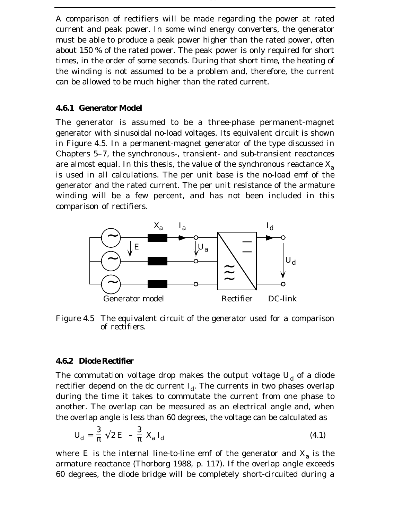A comparison of rectifiers will be made regarding the power at rated current and peak power. In some wind energy converters, the generator must be able to produce a peak power higher than the rated power, often about 150 % of the rated power. The peak power is only required for short times, in the order of some seconds. During that short time, the heating of the winding is not assumed to be a problem and, therefore, the current can be allowed to be much higher than the rated current.

## **4.6.1 Generator Model**

The generator is assumed to be a three-phase permanent-magnet generator with sinusoidal no-load voltages. Its equivalent circuit is shown in Figure 4.5. In a permanent-magnet generator of the type discussed in Chapters 5–7, the synchronous-, transient- and sub-transient reactances are almost equal. In this thesis, the value of the synchronous reactance  $X_a$ is used in all calculations. The per unit base is the no-load emf of the generator and the rated current. The per unit resistance of the armature winding will be a few percent, and has not been included in this comparison of rectifiers.



*Figure 4.5 The equivalent circuit of the generator used for a comparison of rectifiers.*

### **4.6.2 Diode Rectifier**

The commutation voltage drop makes the output voltage  $U_d$  of a diode rectifier depend on the dc current  $I_d$ . The currents in two phases overlap during the time it takes to commutate the current from one phase to another. The overlap can be measured as an electrical angle and, when the overlap angle is less than 60 degrees, the voltage can be calculated as

$$
U_{\rm d} = \frac{3}{\pi} \sqrt{2} E - \frac{3}{\pi} X_{\rm a} I_{\rm d} \tag{4.1}
$$

where *E* is the internal line-to-line emf of the generator and  $X<sub>a</sub>$  is the armature reactance (Thorborg 1988, p. 117). If the overlap angle exceeds 60 degrees, the diode bridge will be completely short-circuited during a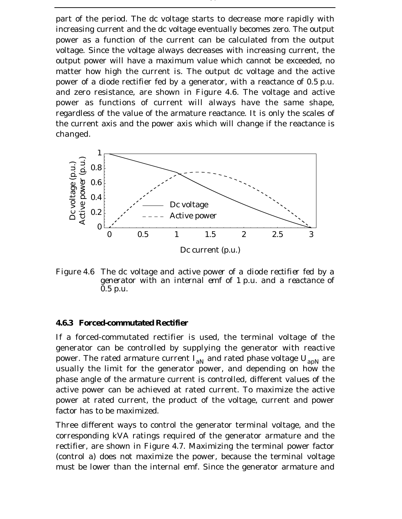part of the period. The dc voltage starts to decrease more rapidly with increasing current and the dc voltage eventually becomes zero. The output power as a function of the current can be calculated from the output voltage. Since the voltage always decreases with increasing current, the output power will have a maximum value which cannot be exceeded, no matter how high the current is. The output dc voltage and the active power of a diode rectifier fed by a generator, with a reactance of 0.5 p.u. and zero resistance, are shown in Figure 4.6. The voltage and active power as functions of current will always have the same shape, regardless of the value of the armature reactance. It is only the scales of the current axis and the power axis which will change if the reactance is changed.



*Figure 4.6 The dc voltage and active power of a diode rectifier fed by a generator with an internal emf of 1 p.u. and a reactance of 0.5 p.u.*

#### **4.6.3 Forced-commutated Rectifier**

If a forced-commutated rectifier is used, the terminal voltage of the generator can be controlled by supplying the generator with reactive power. The rated armature current  $I_{aN}$  and rated phase voltage  $U_{ADN}$  are usually the limit for the generator power, and depending on how the phase angle of the armature current is controlled, different values of the active power can be achieved at rated current. To maximize the active power at rated current, the product of the voltage, current and power factor has to be maximized.

Three different ways to control the generator terminal voltage, and the corresponding kVA ratings required of the generator armature and the rectifier, are shown in Figure 4.7. Maximizing the terminal power factor (control a) does not maximize the power, because the terminal voltage must be lower than the internal emf. Since the generator armature and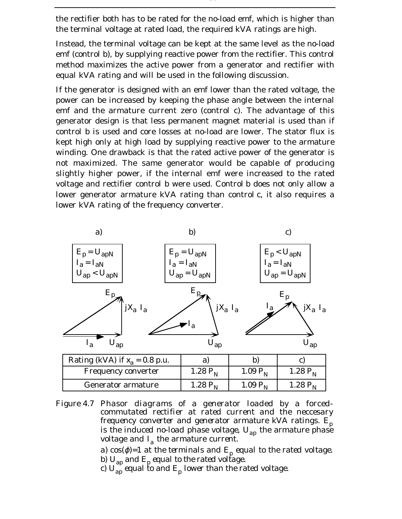the rectifier both has to be rated for the no-load emf, which is higher than the terminal voltage at rated load, the required kVA ratings are high.

Instead, the terminal voltage can be kept at the same level as the no-load emf (control b), by supplying reactive power from the rectifier. This control method maximizes the active power from a generator and rectifier with equal kVA rating and will be used in the following discussion.

If the generator is designed with an emf lower than the rated voltage, the power can be increased by keeping the phase angle between the internal emf and the armature current zero (control c). The advantage of this generator design is that less permanent magnet material is used than if control b is used and core losses at no-load are lower. The stator flux is kept high only at high load by supplying reactive power to the armature winding. One drawback is that the rated active power of the generator is not maximized. The same generator would be capable of producing slightly higher power, if the internal emf were increased to the rated voltage and rectifier control b were used. Control b does not only allow a lower generator armature kVA rating than control c, it also requires a lower kVA rating of the frequency converter.



*Figure 4.7 Phasor diagrams of a generator loaded by a forcedcommutated rectifier at rated current and the neccesary frequency converter and generator armature kVA ratings.*  $E_p$ *is the induced no-load phase voltage, U<sub>ap</sub> the armature phase voltage and I*a *the armature current.*

*a)*  $cos(\varphi) = 1$  at the terminals and  $E_p$  equal to the rated voltage. *b)*  $U_{ap}$  and  $E_p$  equal to the rated voltage.

*c)*  $U_{\text{ap}}^{\dagger}$  equal to and  $E_{\text{p}}^{\dagger}$  lower than the rated voltage.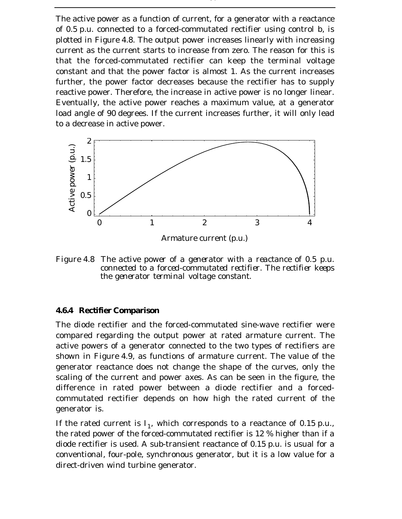The active power as a function of current, for a generator with a reactance of 0.5 p.u. connected to a forced-commutated rectifier using control b, is plotted in Figure 4.8. The output power increases linearly with increasing current as the current starts to increase from zero. The reason for this is that the forced-commutated rectifier can keep the terminal voltage constant and that the power factor is almost 1. As the current increases further, the power factor decreases because the rectifier has to supply reactive power. Therefore, the increase in active power is no longer linear. Eventually, the active power reaches a maximum value, at a generator load angle of 90 degrees. If the current increases further, it will only lead to a decrease in active power.



*Figure 4.8 The active power of a generator with a reactance of 0.5 p.u. connected to a forced-commutated rectifier. The rectifier keeps the generator terminal voltage constant.*

## **4.6.4 Rectifier Comparison**

The diode rectifier and the forced-commutated sine-wave rectifier were compared regarding the output power at rated armature current. The active powers of a generator connected to the two types of rectifiers are shown in Figure 4.9, as functions of armature current. The value of the generator reactance does not change the shape of the curves, only the scaling of the current and power axes. As can be seen in the figure, the difference in rated power between a diode rectifier and a forcedcommutated rectifier depends on how high the rated current of the generator is.

If the rated current is  $I_1$ , which corresponds to a reactance of 0.15 p.u., the rated power of the forced-commutated rectifier is 12 % higher than if a diode rectifier is used. A sub-transient reactance of 0.15 p.u. is usual for a conventional, four-pole, synchronous generator, but it is a low value for a direct-driven wind turbine generator.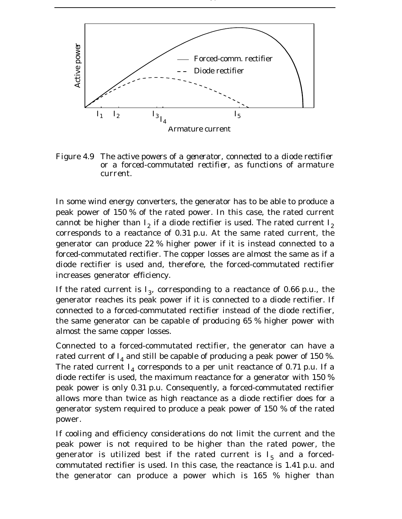

Armature current

*Figure 4.9 The active powers of a generator, connected to a diode rectifier or a forced-commutated rectifier, as functions of armature current.*

In some wind energy converters, the generator has to be able to produce a peak power of 150 % of the rated power. In this case, the rated current cannot be higher than  $I_2$  if a diode rectifier is used. The rated current  $I_2$ corresponds to a reactance of 0.31 p.u. At the same rated current, the generator can produce 22 % higher power if it is instead connected to a forced-commutated rectifier. The copper losses are almost the same as if a diode rectifier is used and, therefore, the forced-commutated rectifier increases generator efficiency.

If the rated current is  $I_3$ , corresponding to a reactance of 0.66 p.u., the generator reaches its peak power if it is connected to a diode rectifier. If connected to a forced-commutated rectifier instead of the diode rectifier, the same generator can be capable of producing 65 % higher power with almost the same copper losses.

Connected to a forced-commutated rectifier, the generator can have a rated current of  $I_4$  and still be capable of producing a peak power of 150 %. The rated current  $I_4$  corresponds to a per unit reactance of 0.71 p.u. If a diode rectifer is used, the maximum reactance for a generator with 150 % peak power is only 0.31 p.u. Consequently, a forced-commutated rectifier allows more than twice as high reactance as a diode rectifier does for a generator system required to produce a peak power of 150 % of the rated power.

If cooling and efficiency considerations do not limit the current and the peak power is not required to be higher than the rated power, the generator is utilized best if the rated current is  $I_5$  and a forcedcommutated rectifier is used. In this case, the reactance is 1.41 p.u. and the generator can produce a power which is 165 % higher than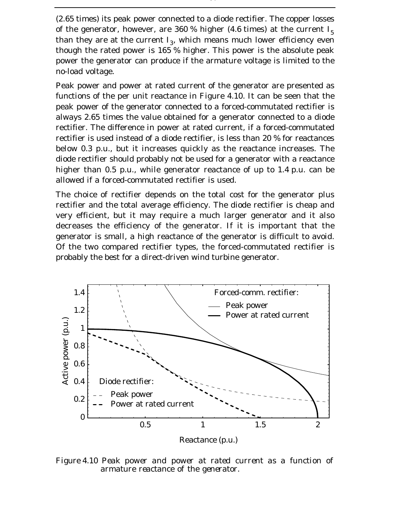(2.65 times) its peak power connected to a diode rectifier. The copper losses of the generator, however, are 360 % higher (4.6 times) at the current  $I_5$ than they are at the current  $I_3$ , which means much lower efficiency even though the rated power is 165 % higher. This power is the absolute peak power the generator can produce if the armature voltage is limited to the no-load voltage.

Peak power and power at rated current of the generator are presented as functions of the per unit reactance in Figure 4.10. It can be seen that the peak power of the generator connected to a forced-commutated rectifier is always 2.65 times the value obtained for a generator connected to a diode rectifier. The difference in power at rated current, if a forced-commutated rectifier is used instead of a diode rectifier, is less than 20 % for reactances below 0.3 p.u., but it increases quickly as the reactance increases. The diode rectifier should probably not be used for a generator with a reactance higher than 0.5 p.u., while generator reactance of up to 1.4 p.u. can be allowed if a forced-commutated rectifier is used.

The choice of rectifier depends on the total cost for the generator plus rectifier and the total average efficiency. The diode rectifier is cheap and very efficient, but it may require a much larger generator and it also decreases the efficiency of the generator. If it is important that the generator is small, a high reactance of the generator is difficult to avoid. Of the two compared rectifier types, the forced-commutated rectifier is probably the best for a direct-driven wind turbine generator.



*Figure 4.10 Peak power and power at rated current as a function of armature reactance of the generator.*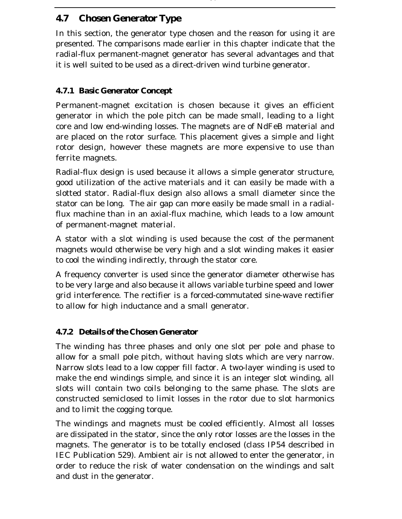# **4.7 Chosen Generator Type**

In this section, the generator type chosen and the reason for using it are presented. The comparisons made earlier in this chapter indicate that the radial-flux permanent-magnet generator has several advantages and that it is well suited to be used as a direct-driven wind turbine generator.

## **4.7.1 Basic Generator Concept**

Permanent-magnet excitation is chosen because it gives an efficient generator in which the pole pitch can be made small, leading to a light core and low end-winding losses. The magnets are of NdFeB material and are placed on the rotor surface. This placement gives a simple and light rotor design, however these magnets are more expensive to use than ferrite magnets.

Radial-flux design is used because it allows a simple generator structure, good utilization of the active materials and it can easily be made with a slotted stator. Radial-flux design also allows a small diameter since the stator can be long. The air gap can more easily be made small in a radialflux machine than in an axial-flux machine, which leads to a low amount of permanent-magnet material.

A stator with a slot winding is used because the cost of the permanent magnets would otherwise be very high and a slot winding makes it easier to cool the winding indirectly, through the stator core.

A frequency converter is used since the generator diameter otherwise has to be very large and also because it allows variable turbine speed and lower grid interference. The rectifier is a forced-commutated sine-wave rectifier to allow for high inductance and a small generator.

## **4.7.2 Details of the Chosen Generator**

The winding has three phases and only one slot per pole and phase to allow for a small pole pitch, without having slots which are very narrow. Narrow slots lead to a low copper fill factor. A two-layer winding is used to make the end windings simple, and since it is an integer slot winding, all slots will contain two coils belonging to the same phase. The slots are constructed semiclosed to limit losses in the rotor due to slot harmonics and to limit the cogging torque.

The windings and magnets must be cooled efficiently. Almost all losses are dissipated in the stator, since the only rotor losses are the losses in the magnets. The generator is to be totally enclosed (class IP54 described in IEC Publication 529). Ambient air is not allowed to enter the generator, in order to reduce the risk of water condensation on the windings and salt and dust in the generator.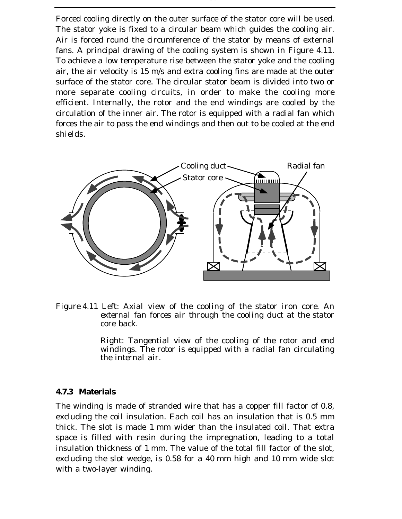Forced cooling directly on the outer surface of the stator core will be used. The stator yoke is fixed to a circular beam which guides the cooling air. Air is forced round the circumference of the stator by means of external fans. A principal drawing of the cooling system is shown in Figure 4.11. To achieve a low temperature rise between the stator yoke and the cooling air, the air velocity is 15 m/s and extra cooling fins are made at the outer surface of the stator core. The circular stator beam is divided into two or more separate cooling circuits, in order to make the cooling more efficient. Internally, the rotor and the end windings are cooled by the circulation of the inner air. The rotor is equipped with a radial fan which forces the air to pass the end windings and then out to be cooled at the end shields.



*Figure 4.11 Left: Axial view of the cooling of the stator iron core. An external fan forces air through the cooling duct at the stator core back.*

> *Right: Tangential view of the cooling of the rotor and end windings. The rotor is equipped with a radial fan circulating the internal air.*

### **4.7.3 Materials**

The winding is made of stranded wire that has a copper fill factor of 0.8, excluding the coil insulation. Each coil has an insulation that is 0.5 mm thick. The slot is made 1 mm wider than the insulated coil. That extra space is filled with resin during the impregnation, leading to a total insulation thickness of 1 mm. The value of the total fill factor of the slot, excluding the slot wedge, is 0.58 for a 40 mm high and 10 mm wide slot with a two-layer winding.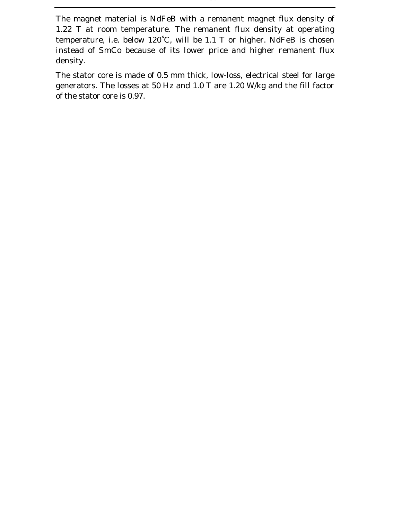*Generator Types* 53

The magnet material is NdFeB with a remanent magnet flux density of 1.22 T at room temperature. The remanent flux density at operating temperature, i.e. below 120˚C, will be 1.1 T or higher. NdFeB is chosen instead of SmCo because of its lower price and higher remanent flux density.

The stator core is made of 0.5 mm thick, low-loss, electrical steel for large generators. The losses at 50 Hz and 1.0 T are 1.20 W/kg and the fill factor of the stator core is 0.97.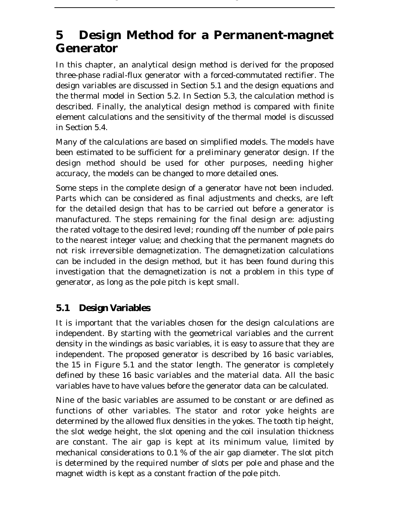# **5 Design Method for a Permanent-magnet Generator**

In this chapter, an analytical design method is derived for the proposed three-phase radial-flux generator with a forced-commutated rectifier. The design variables are discussed in Section 5.1 and the design equations and the thermal model in Section 5.2. In Section 5.3, the calculation method is described. Finally, the analytical design method is compared with finite element calculations and the sensitivity of the thermal model is discussed in Section 5.4.

Many of the calculations are based on simplified models. The models have been estimated to be sufficient for a preliminary generator design. If the design method should be used for other purposes, needing higher accuracy, the models can be changed to more detailed ones.

Some steps in the complete design of a generator have not been included. Parts which can be considered as final adjustments and checks, are left for the detailed design that has to be carried out before a generator is manufactured. The steps remaining for the final design are: adjusting the rated voltage to the desired level; rounding off the number of pole pairs to the nearest integer value; and checking that the permanent magnets do not risk irreversible demagnetization. The demagnetization calculations can be included in the design method, but it has been found during this investigation that the demagnetization is not a problem in this type of generator, as long as the pole pitch is kept small.

# **5.1 Design Variables**

It is important that the variables chosen for the design calculations are independent. By starting with the geometrical variables and the current density in the windings as basic variables, it is easy to assure that they are independent. The proposed generator is described by 16 basic variables, the 15 in Figure 5.1 and the stator length. The generator is completely defined by these 16 basic variables and the material data. All the basic variables have to have values before the generator data can be calculated.

Nine of the basic variables are assumed to be constant or are defined as functions of other variables. The stator and rotor yoke heights are determined by the allowed flux densities in the yokes. The tooth tip height, the slot wedge height, the slot opening and the coil insulation thickness are constant. The air gap is kept at its minimum value, limited by mechanical considerations to 0.1 % of the air gap diameter. The slot pitch is determined by the required number of slots per pole and phase and the magnet width is kept as a constant fraction of the pole pitch.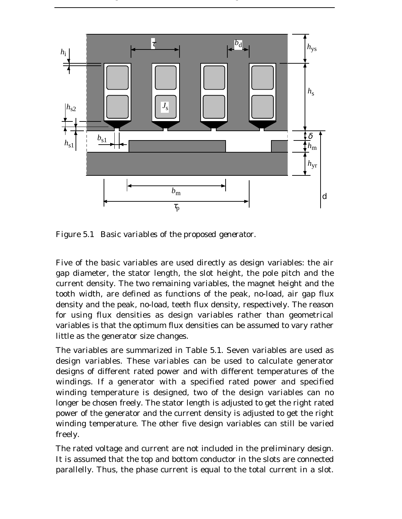



*Figure 5.1 Basic variables of the proposed generator.*

Five of the basic variables are used directly as design variables: the air gap diameter, the stator length, the slot height, the pole pitch and the current density. The two remaining variables, the magnet height and the tooth width, are defined as functions of the peak, no-load, air gap flux density and the peak, no-load, teeth flux density, respectively. The reason for using flux densities as design variables rather than geometrical variables is that the optimum flux densities can be assumed to vary rather little as the generator size changes.

The variables are summarized in Table 5.1. Seven variables are used as design variables. These variables can be used to calculate generator designs of different rated power and with different temperatures of the windings. If a generator with a specified rated power and specified winding temperature is designed, two of the design variables can no longer be chosen freely. The stator length is adjusted to get the right rated power of the generator and the current density is adjusted to get the right winding temperature. The other five design variables can still be varied freely.

The rated voltage and current are not included in the preliminary design. It is assumed that the top and bottom conductor in the slots are connected parallelly. Thus, the phase current is equal to the total current in a slot.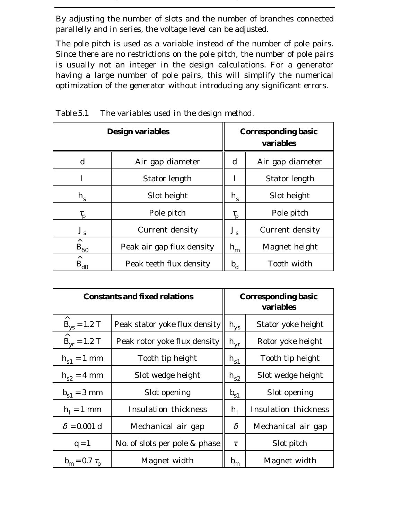By adjusting the number of slots and the number of branches connected parallelly and in series, the voltage level can be adjusted.

The pole pitch is used as a variable instead of the number of pole pairs. Since there are no restrictions on the pole pitch, the number of pole pairs is usually not an integer in the design calculations. For a generator having a large number of pole pairs, this will simplify the numerical optimization of the generator without introducing any significant errors.

| Design variables        |                           | <b>Corresponding basic</b><br>variables |                        |
|-------------------------|---------------------------|-----------------------------------------|------------------------|
| $\boldsymbol{d}$        | Air gap diameter          | $\overline{d}$                          | Air gap diameter       |
|                         | <b>Stator length</b>      | 1                                       | Stator length          |
| $h_{\rm s}$             | Slot height               | $h_{\rm s}$                             | Slot height            |
| $\tau_{\rm p}$          | Pole pitch                | $\tau_{\rm p}$                          | Pole pitch             |
| $J_{\rm s}$             | <b>Current density</b>    | $J_{\rm s}$                             | <b>Current density</b> |
| Λ<br>$B_{\!\delta0}^{}$ | Peak air gap flux density | $h_{\rm m}$                             | Magnet height          |
| $B_{\rm d0}$            | Peak teeth flux density   | $b_{\rm d}$                             | <b>Tooth width</b>     |

*Table 5.1 The variables used in the design method.*

| <b>Constants and fixed relations</b> |                               | <b>Corresponding basic</b><br><b>variables</b> |                             |
|--------------------------------------|-------------------------------|------------------------------------------------|-----------------------------|
| $B_{\rm vs} = 1.2$ T                 | Peak stator yoke flux density | $h_{\text{vs}}$                                | Stator yoke height          |
| $B_{vr} = 1.2$ T                     | Peak rotor yoke flux density  | $h_{\text{yr}}$                                | Rotor yoke height           |
| $h_{s1} = 1$ mm                      | Tooth tip height              | $h_{s1}$                                       | Tooth tip height            |
| $h_{s2} = 4$ mm                      | Slot wedge height             | $h_{s2}$                                       | Slot wedge height           |
| $b_{s1} = 3$ mm                      | Slot opening                  | $b_{s1}$                                       | Slot opening                |
| $h_i = 1$ mm                         | <b>Insulation thickness</b>   | $h_i$                                          | <b>Insulation thickness</b> |
| $\delta = 0.001$ d                   | Mechanical air gap            | $\delta$                                       | Mechanical air gap          |
| $q=1$                                | No. of slots per pole & phase | τ                                              | Slot pitch                  |
| $b_{\rm m} = 0.7 \tau_{\rm n}$       | Magnet width                  | $b_{\rm m}$                                    | Magnet width                |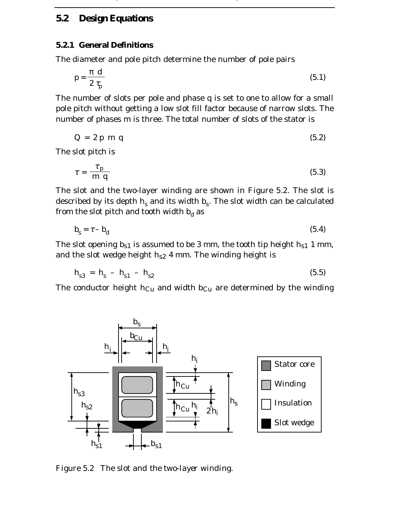## **5.2 Design Equations**

### **5.2.1 General Definitions**

The diameter and pole pitch determine the number of pole pairs

$$
p = \frac{\pi \ d}{2 \ \tau_{\text{p}}} \tag{5.1}
$$

The number of slots per pole and phase *q* is set to one to allow for a small pole pitch without getting a low slot fill factor because of narrow slots. The number of phases *m* is three. The total number of slots of the stator is

$$
Q = 2 p m q \tag{5.2}
$$

The slot pitch is

$$
\tau = \frac{\tau_{\rm p}}{m \, q} \tag{5.3}
$$

The slot and the two-layer winding are shown in Figure 5.2. The slot is described by its depth  $h_s$  and its width  $b_s$ . The slot width can be calculated from the slot pitch and tooth width  $b_d$  as

$$
b_{\rm s} = \tau - b_{\rm d} \tag{5.4}
$$

The slot opening  $b_{s1}$  is assumed to be 3 mm, the tooth tip height  $h_{s1}$  1 mm, and the slot wedge height  $h_{s2}$  4 mm. The winding height is

$$
h_{s3} = h_s - h_{s1} - h_{s2} \tag{5.5}
$$

The conductor height  $h_{Cu}$  and width  $b_{Cu}$  are determined by the winding



*Figure 5.2 The slot and the two-layer winding.*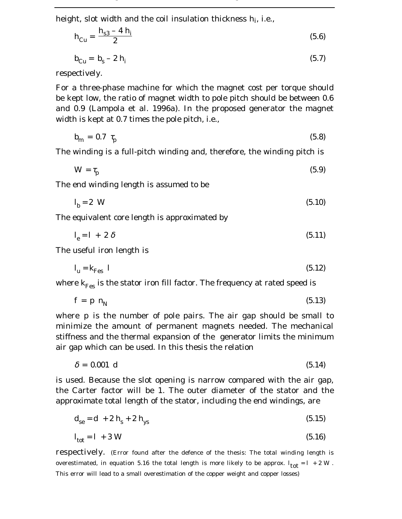height, slot width and the coil insulation thickness *h*i, i.e.,

$$
h_{\rm Cu} = \frac{h_{\rm s3} - 4 \ h_{\rm i}}{2} \tag{5.6}
$$

$$
b_{\rm Cu} = b_{\rm s} - 2 h_{\rm i} \tag{5.7}
$$

respectively.

For a three-phase machine for which the magnet cost per torque should be kept low, the ratio of magnet width to pole pitch should be between 0.6 and 0.9 (Lampola et al. 1996a). In the proposed generator the magnet width is kept at 0.7 times the pole pitch, i.e.,

$$
b_{\rm m} = 0.7 \ \tau_{\rm p} \tag{5.8}
$$

The winding is a full-pitch winding and, therefore, the winding pitch is

$$
W = \tau_{\rm p} \tag{5.9}
$$

The end winding length is assumed to be

$$
I_{\mathbf{b}} = 2 \quad W \tag{5.10}
$$

The equivalent core length is approximated by

$$
I_{\rm e} = I + 2 \delta \tag{5.11}
$$

The useful iron length is

$$
l_{\rm u} = k_{\rm FeS} \quad l \tag{5.12}
$$

where  $k_{\rm{Fes}}$  is the stator iron fill factor. The frequency at rated speed is

$$
f = p \, n_{\rm N} \tag{5.13}
$$

where  $p$  is the number of pole pairs. The air gap should be small to minimize the amount of permanent magnets needed. The mechanical stiffness and the thermal expansion of the generator limits the minimum air gap which can be used. In this thesis the relation

$$
\delta = 0.001 \, d \tag{5.14}
$$

is used. Because the slot opening is narrow compared with the air gap, the Carter factor will be 1. The outer diameter of the stator and the approximate total length of the stator, including the end windings, are

$$
d_{\rm se} = d + 2 h_{\rm s} + 2 h_{\rm ys} \tag{5.15}
$$

$$
I_{\text{tot}} = I + 3 \ W \tag{5.16}
$$

respectively. (Error found after the defence of the thesis: The total winding length is overestimated, in equation 5.16 the total length is more likely to be approx.  $l_{\mathbf{tot}} = I$  + 2  $W$ . This error will lead to a small overestimation of the copper weight and copper losses)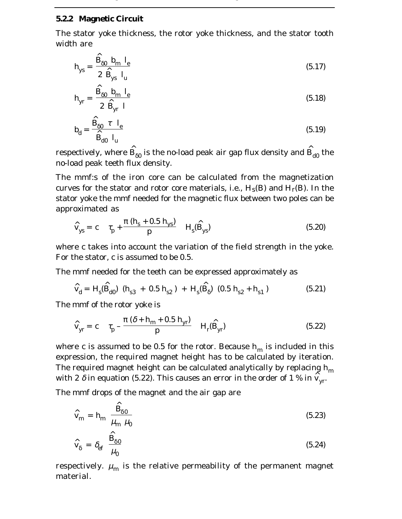#### **5.2.2 Magnetic Circuit**

The stator yoke thickness, the rotor yoke thickness, and the stator tooth width are

$$
h_{\rm ys} = \frac{\hat{B}_{80} b_{\rm m} l_{\rm e}}{2 \hat{B}_{\rm ys} l_{\rm u}}
$$
(5.17)

$$
h_{\rm yr} = \frac{\hat{B}_{80} \, b_{\rm m} \, l_{\rm e}}{2 \, \hat{B}_{\rm yr} \, I} \tag{5.18}
$$

$$
b_{\rm d} = \frac{\hat{B}_{80} \ \tau \ l_{\rm e}}{\hat{B}_{\rm d0} \ l_{\rm u}}
$$
 (5.19)

respectively, where  $\hat{B}_{\delta 0}$  is the no-load peak air gap flux density and  $\hat{B}_{\mathrm{d}0}$  the no-load peak teeth flux density.

The mmf:s of the iron core can be calculated from the magnetization curves for the stator and rotor core materials, i.e.,  $H_s(B)$  and  $H_r(B)$ . In the stator yoke the mmf needed for the magnetic flux between two poles can be approximated as

$$
\hat{V}_{\text{ys}} = c \left( \tau_{\text{p}} + \frac{\pi (h_{\text{s}} + 0.5 \ h_{\text{ys}})}{p} \right) H_{\text{s}}(\hat{B}_{\text{ys}}) \tag{5.20}
$$

where *c* takes into account the variation of the field strength in the yoke. For the stator, *c* is assumed to be 0.5.

The mmf needed for the teeth can be expressed approximately as

$$
\hat{v}_{\rm d} = H_{\rm s}(\hat{B}_{\rm d0}) \ (h_{\rm s3} + 0.5 \ h_{\rm s2}) + H_{\rm s}(\hat{B}_{\rm s}) \ (0.5 \ h_{\rm s2} + h_{\rm s1}) \tag{5.21}
$$

The mmf of the rotor yoke is

$$
\hat{V}_{yr} = c \left( \tau_p - \frac{\pi (\delta + h_m + 0.5 h_{yr})}{p} \right) H_r(\hat{B}_{yr})
$$
\n(5.22)

where *c* is assumed to be 0.5 for the rotor. Because  $h_m$  is included in this expression, the required magnet height has to be calculated by iteration. The required magnet height can be calculated analytically by replacing  $h_m$ with 2  $\delta$  in equation (5.22). This causes an error in the order of 1 % in  $\tilde{v}_{\rm yr}^{\rm c}.$ 

The mmf drops of the magnet and the air gap are

$$
\hat{v}_{\rm m} = h_{\rm m} \frac{\hat{B}_{\rm 00}}{\mu_{\rm m} \mu_0} \tag{5.23}
$$

$$
\hat{v}_{\delta} = \delta_{\rm ef} \frac{\hat{B}_{\delta 0}}{\mu_0} \tag{5.24}
$$

respectively.  $\mu_{\rm m}$  is the relative permeability of the permanent magnet material.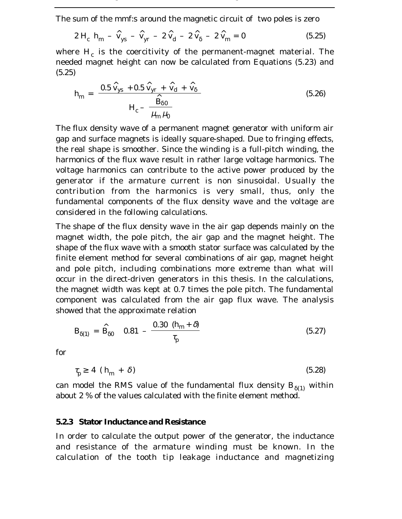The sum of the mmf:s around the magnetic circuit of two poles is zero

$$
2 H_{\rm c} h_{\rm m} - \hat{v}_{\rm ys} - \hat{v}_{\rm yr} - 2 \hat{v}_{\rm d} - 2 \hat{v}_{\delta} - 2 \hat{v}_{\rm m} = 0 \qquad (5.25)
$$

where  $H_c$  is the coercitivity of the permanent-magnet material. The needed magnet height can now be calculated from Equations (5.23) and (5.25)

$$
h_{\rm m} = \frac{0.5 \hat{v}_{\rm ys} + 0.5 \hat{v}_{\rm yr} + \hat{v}_{\rm d} + \hat{v}_{\delta}}{H_{\rm c} - \frac{\hat{B}_{\rm 00}}{\mu_{\rm m} \mu_{\rm 0}}}
$$
(5.26)

The flux density wave of a permanent magnet generator with uniform air gap and surface magnets is ideally square-shaped. Due to fringing effects, the real shape is smoother. Since the winding is a full-pitch winding, the harmonics of the flux wave result in rather large voltage harmonics. The voltage harmonics can contribute to the active power produced by the generator if the armature current is non sinusoidal. Usually the contribution from the harmonics is very small, thus, only the fundamental components of the flux density wave and the voltage are considered in the following calculations.

The shape of the flux density wave in the air gap depends mainly on the magnet width, the pole pitch, the air gap and the magnet height. The shape of the flux wave with a smooth stator surface was calculated by the finite element method for several combinations of air gap, magnet height and pole pitch, including combinations more extreme than what will occur in the direct-driven generators in this thesis. In the calculations, the magnet width was kept at 0.7 times the pole pitch. The fundamental component was calculated from the air gap flux wave. The analysis showed that the approximate relation

$$
B_{\delta(1)} = \hat{B}_{\delta 0} \left( 0.81 - \frac{0.30 \left( h_{\rm m} + \delta \right)}{\tau_{\rm p}} \right) \tag{5.27}
$$

for

$$
\tau_{\rm p} \geq 4 \left( h_{\rm m} + \delta \right) \tag{5.28}
$$

can model the RMS value of the fundamental flux density  $B_{\delta(1)}$  within about 2 % of the values calculated with the finite element method.

## **5.2.3 Stator Inductance and Resistance**

In order to calculate the output power of the generator, the inductance and resistance of the armature winding must be known. In the calculation of the tooth tip leakage inductance and magnetizing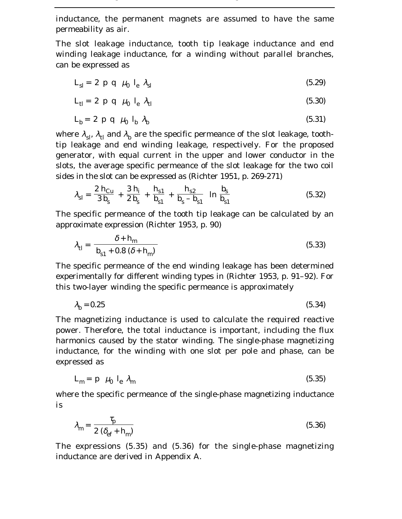inductance, the permanent magnets are assumed to have the same permeability as air.

The slot leakage inductance, tooth tip leakage inductance and end winding leakage inductance, for a winding without parallel branches, can be expressed as

$$
L_{\rm sl} = 2 \ p \ q \ \mu_0 \ l_{\rm e} \ \lambda_{\rm sl} \tag{5.29}
$$

$$
L_{\rm tl} = 2 \, p \, q \, \mu_0 \, l_{\rm e} \, \lambda_{\rm tl} \tag{5.30}
$$

$$
L_{\rm b} = 2 \, p \, q \, \mu_0 \, l_{\rm b} \, \lambda_{\rm b} \tag{5.31}
$$

where  $\lambda_{sl}$ ,  $\lambda_{tl}$  and  $\lambda_b$  are the specific permeance of the slot leakage, toothtip leakage and end winding leakage, respectively. For the proposed generator, with equal current in the upper and lower conductor in the slots, the average specific permeance of the slot leakage for the two coil sides in the slot can be expressed as (Richter 1951, p. 269-271)

$$
\lambda_{\rm sl} = \frac{2 h_{\rm Cu}}{3 b_{\rm s}} + \frac{3 h_{\rm i}}{2 b_{\rm s}} + \frac{h_{\rm sl}}{b_{\rm sl}} + \frac{h_{\rm s2}}{b_{\rm s} - b_{\rm sl}} \ln \left( \frac{b_{\rm s}}{b_{\rm sl}} \right) \tag{5.32}
$$

The specific permeance of the tooth tip leakage can be calculated by an approximate expression (Richter 1953, p. 90)

$$
\lambda_{\rm tl} = \frac{\delta + h_{\rm m}}{b_{\rm s1} + 0.8 \ (\delta + h_{\rm m})}
$$
\n(5.33)

The specific permeance of the end winding leakage has been determined experimentally for different winding types in (Richter 1953, p. 91–92). For this two-layer winding the specific permeance is approximately

$$
\lambda_{\rm b} = 0.25\tag{5.34}
$$

The magnetizing inductance is used to calculate the required reactive power. Therefore, the total inductance is important, including the flux harmonics caused by the stator winding. The single-phase magnetizing inductance, for the winding with one slot per pole and phase, can be expressed as

$$
L_{\rm m} = p \mu_0 l_{\rm e} \lambda_{\rm m} \tag{5.35}
$$

where the specific permeance of the single-phase magnetizing inductance is

$$
\lambda_{\rm m} = \frac{\tau_p}{2 \left( \delta_{\rm ef} + h_{\rm m} \right)} \tag{5.36}
$$

The expressions (5.35) and (5.36) for the single-phase magnetizing inductance are derived in Appendix A.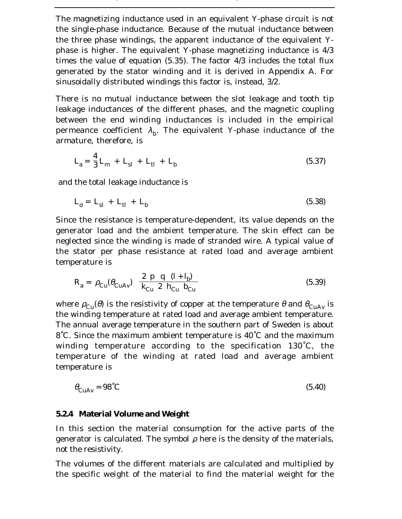The magnetizing inductance used in an equivalent Y-phase circuit is not the single-phase inductance. Because of the mutual inductance between the three phase windings, the apparent inductance of the equivalent Yphase is higher. The equivalent Y-phase magnetizing inductance is 4/3 times the value of equation (5.35). The factor 4/3 includes the total flux generated by the stator winding and it is derived in Appendix A. For sinusoidally distributed windings this factor is, instead, 3/2.

There is no mutual inductance between the slot leakage and tooth tip leakage inductances of the different phases, and the magnetic coupling between the end winding inductances is included in the empirical permeance coefficient  $\lambda_{\bf b}$ . The equivalent Y-phase inductance of the armature, therefore, is

$$
L_{\rm a} = \frac{4}{3} L_{\rm m} + L_{\rm sl} + L_{\rm tl} + L_{\rm b} \tag{5.37}
$$

and the total leakage inductance is

$$
L_{\sigma} = L_{\rm sl} + L_{\rm tl} + L_{\rm b} \tag{5.38}
$$

Since the resistance is temperature-dependent, its value depends on the generator load and the ambient temperature. The skin effect can be neglected since the winding is made of stranded wire. A typical value of the stator per phase resistance at rated load and average ambient temperature is

$$
R_{\rm a} = \rho_{\rm Cu}(\theta_{\rm CuAv}) - \frac{2 \ p \ q \ (1 + l_{\rm b})}{k_{\rm Cu} \ 2 \ h_{\rm Cu} \ b_{\rm Cu}} \tag{5.39}
$$

where  $\rho_{\text{Cu}}(\theta)$  is the resistivity of copper at the temperature  $\theta$  and  $\theta_{\text{CuAv}}$  is the winding temperature at rated load and average ambient temperature. The annual average temperature in the southern part of Sweden is about 8˚C. Since the maximum ambient temperature is 40˚C and the maximum winding temperature according to the specification 130˚C, the temperature of the winding at rated load and average ambient temperature is

$$
\theta_{\text{CuAv}} = 98^{\circ}\text{C} \tag{5.40}
$$

## **5.2.4 Material Volume and Weight**

In this section the material consumption for the active parts of the generator is calculated. The symbol  $\rho$  here is the density of the materials, not the resistivity.

The volumes of the different materials are calculated and multiplied by the specific weight of the material to find the material weight for the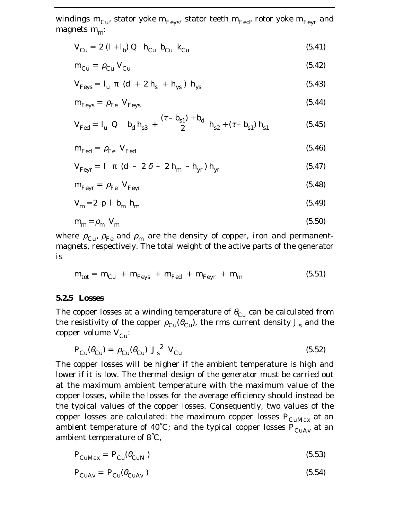windings  $m_{Cu}$ , stator yoke  $m_{Fevs}$ , stator teeth  $m_{Fed}$ , rotor yoke  $m_{Fevr}$  and magnets  $m_m$ :

$$
V_{\text{Cu}} = 2 (I + I_{\text{b}}) Q h_{\text{Cu}} b_{\text{Cu}} k_{\text{Cu}} \tag{5.41}
$$

$$
m_{\rm Cu} = \rho_{\rm Cu} V_{\rm Cu} \tag{5.42}
$$

$$
V_{\text{Feys}} = I_{\text{u}} \pi (d + 2 h_{\text{s}} + h_{\text{ys}}) h_{\text{ys}}
$$
 (5.43)

$$
m_{\text{Feys}} = \rho_{\text{Fe}} \quad V_{\text{Feys}} \tag{5.44}
$$

$$
V_{\text{Fed}} = I_{\text{u}} Q \left( b_{\text{d}} h_{\text{s}3} + \frac{(\tau - b_{\text{s}1}) + b_{\text{d}}}{2} h_{\text{s}2} + (\tau - b_{\text{s}1}) h_{\text{s}1} \right) \tag{5.45}
$$

$$
m_{\text{Fed}} = \rho_{\text{Fe}} \ V_{\text{Fed}} \tag{5.46}
$$

$$
V_{\text{Feyr}} = I \pi (d - 2 \delta - 2 h_{\text{m}} - h_{\text{yr}}) h_{\text{yr}}
$$
 (5.47)

$$
m_{\text{Feyr}} = \rho_{\text{Fe}} \ V_{\text{Feyr}} \tag{5.48}
$$

$$
V_{\rm m} = 2 \ p \ l \ b_{\rm m} \ h_{\rm m} \tag{5.49}
$$

$$
m_{\rm m} = \rho_{\rm m} \ V_{\rm m} \tag{5.50}
$$

where  $\rho_{Cu}$ ,  $\rho_{Fe}$  and  $\rho_{m}$  are the density of copper, iron and permanentmagnets, respectively. The total weight of the active parts of the generator is

$$
m_{\text{tot}} = m_{\text{Cu}} + m_{\text{Feys}} + m_{\text{Fed}} + m_{\text{Feyr}} + m_{\text{m}}
$$
\n(5.51)

### **5.2.5 Losses**

The copper losses at a winding temperature of  $\theta_{\rm Cu}$  can be calculated from the resistivity of the copper  $\rho_{Cu}(\theta_{Cu})$ , the rms current density  $J_s$  and the copper volume  $V_{\text{Cu}}$ :

$$
P_{\text{Cu}}(\theta_{\text{Cu}}) = \rho_{\text{Cu}}(\theta_{\text{Cu}}) J_s^2 V_{\text{Cu}}
$$
\n(5.52)

The copper losses will be higher if the ambient temperature is high and lower if it is low. The thermal design of the generator must be carried out at the maximum ambient temperature with the maximum value of the copper losses, while the losses for the average efficiency should instead be the typical values of the copper losses. Consequently, two values of the copper losses are calculated: the maximum copper losses  $P_{\text{CuMax}}$  at an ambient temperature of 40°C; and the typical copper losses  $P_{\text{CuAv}}$  at an ambient temperature of 8˚C,

$$
P_{\text{CuMax}} = P_{\text{Cu}}(\theta_{\text{CuN}}) \tag{5.53}
$$

$$
P_{\text{CuAv}} = P_{\text{Cu}}(\theta_{\text{CuAv}}) \tag{5.54}
$$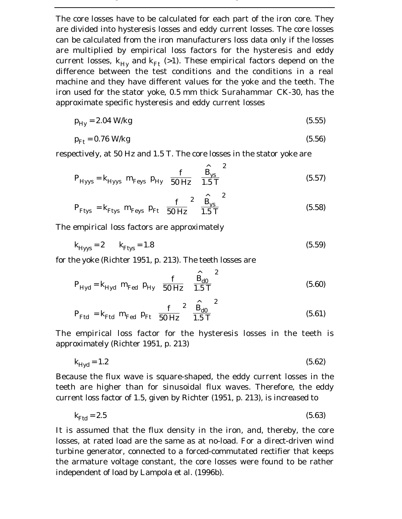The core losses have to be calculated for each part of the iron core. They are divided into hysteresis losses and eddy current losses. The core losses can be calculated from the iron manufacturers loss data only if the losses are multiplied by empirical loss factors for the hysteresis and eddy current losses,  $k_{\text{H}_V}$  and  $k_{\text{F}_V}$  (>1). These empirical factors depend on the difference between the test conditions and the conditions in a real machine and they have different values for the yoke and the teeth. The iron used for the stator yoke, 0.5 mm thick *Surahammar CK-30*, has the approximate specific hysteresis and eddy current losses

$$
p_{\text{Hy}} = 2.04 \text{ W/kg} \tag{5.55}
$$

$$
p_{\text{Ft}} = 0.76 \text{ W/kg} \tag{5.56}
$$

respectively, at 50 Hz and 1.5 T. The core losses in the stator yoke are

$$
P_{\text{Hyys}} = k_{\text{Hyys}} \ m_{\text{Feys}} \ p_{\text{Hy}} \left(\frac{f}{50 \text{ Hz}}\right) \left(\frac{\hat{B}_{\text{ys}}}{1.5 \text{ T}}\right)^2 \tag{5.57}
$$

$$
P_{\text{Ftys}} = k_{\text{Ftys}} \ m_{\text{Feys}} \ p_{\text{Ft}} \left(\frac{f}{50 \text{ Hz}}\right)^2 \left(\frac{\hat{B}_{\text{ys}}}{1.5 \text{ T}}\right)^2 \tag{5.58}
$$

The empirical loss factors are approximately

$$
k_{\text{Hyys}} = 2 \qquad k_{\text{Ftys}} = 1.8 \tag{5.59}
$$

for the yoke (Richter 1951, p. 213). The teeth losses are

$$
P_{\text{Hyd}} = k_{\text{Hyd}} \ m_{\text{Fed}} \ p_{\text{Hy}} \left(\frac{f}{50 \text{ Hz}}\right) \left(\frac{\hat{B}_{\text{d0}}}{1.5 \text{ T}}\right)^2 \tag{5.60}
$$

$$
P_{\text{Ftd}} = k_{\text{Ftd}} \ m_{\text{Fed}} \ p_{\text{Ft}} \left(\frac{f}{50 \text{ Hz}}\right)^2 \left(\frac{\hat{B}_{\text{d0}}}{1.5 \text{ T}}\right)^2 \tag{5.61}
$$

The empirical loss factor for the hysteresis losses in the teeth is approximately (Richter 1951, p. 213)

$$
k_{\text{Hyd}} = 1.2 \tag{5.62}
$$

Because the flux wave is square-shaped, the eddy current losses in the teeth are higher than for sinusoidal flux waves. Therefore, the eddy current loss factor of 1.5, given by Richter (1951, p. 213), is increased to

$$
k_{\text{Ftd}} = 2.5 \tag{5.63}
$$

It is assumed that the flux density in the iron, and, thereby, the core losses, at rated load are the same as at no-load. For a direct-driven wind turbine generator, connected to a forced-commutated rectifier that keeps the armature voltage constant, the core losses were found to be rather independent of load by Lampola et al. (1996b).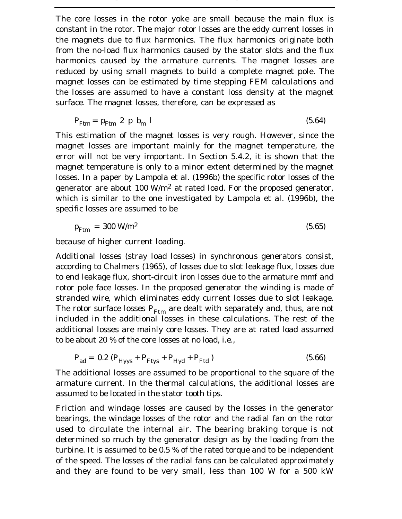The core losses in the rotor yoke are small because the main flux is constant in the rotor. The major rotor losses are the eddy current losses in the magnets due to flux harmonics. The flux harmonics originate both from the no-load flux harmonics caused by the stator slots and the flux harmonics caused by the armature currents. The magnet losses are reduced by using small magnets to build a complete magnet pole. The magnet losses can be estimated by time stepping FEM calculations and the losses are assumed to have a constant loss density at the magnet surface. The magnet losses, therefore, can be expressed as

$$
P_{\text{Ftm}} = p_{\text{Ftm}} \ 2 \ p \ b_{\text{m}} \ l \tag{5.64}
$$

This estimation of the magnet losses is very rough. However, since the magnet losses are important mainly for the magnet temperature, the error will not be very important. In Section 5.4.2, it is shown that the magnet temperature is only to a minor extent determined by the magnet losses. In a paper by Lampola et al. (1996b) the specific rotor losses of the generator are about 100  $W/m^2$  at rated load. For the proposed generator, which is similar to the one investigated by Lampola et al. (1996b), the specific losses are assumed to be

$$
p_{\text{Ftm}} = 300 \text{ W/m}^2 \tag{5.65}
$$

because of higher current loading.

Additional losses (stray load losses) in synchronous generators consist, according to Chalmers (1965), of losses due to slot leakage flux, losses due to end leakage flux, short-circuit iron losses due to the armature mmf and rotor pole face losses. In the proposed generator the winding is made of stranded wire, which eliminates eddy current losses due to slot leakage. The rotor surface losses  $P_{\text{Ftm}}$  are dealt with separately and, thus, are not included in the additional losses in these calculations. The rest of the additional losses are mainly core losses. They are at rated load assumed to be about 20 % of the core losses at no load, i.e.,

$$
P_{\text{ad}} = 0.2 \left( P_{\text{Hyys}} + P_{\text{Ftys}} + P_{\text{Hyd}} + P_{\text{Ftd}} \right) \tag{5.66}
$$

The additional losses are assumed to be proportional to the square of the armature current. In the thermal calculations, the additional losses are assumed to be located in the stator tooth tips.

Friction and windage losses are caused by the losses in the generator bearings, the windage losses of the rotor and the radial fan on the rotor used to circulate the internal air. The bearing braking torque is not determined so much by the generator design as by the loading from the turbine. It is assumed to be 0.5 % of the rated torque and to be independent of the speed. The losses of the radial fans can be calculated approximately and they are found to be very small, less than 100 W for a 500 kW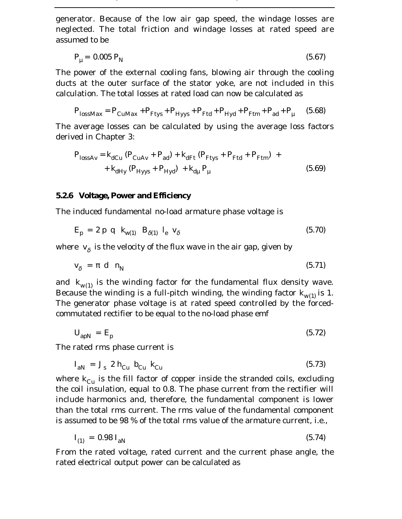generator. Because of the low air gap speed, the windage losses are neglected. The total friction and windage losses at rated speed are assumed to be

$$
P_{\mu} = 0.005 \, P_{\text{N}} \tag{5.67}
$$

The power of the external cooling fans, blowing air through the cooling ducts at the outer surface of the stator yoke, are not included in this calculation. The total losses at rated load can now be calculated as

$$
P_{\text{lossMax}} = P_{\text{CuMax}} + P_{\text{Ftys}} + P_{\text{Hyys}} + P_{\text{Ftd}} + P_{\text{Hyd}} + P_{\text{Ftm}} + P_{\text{ad}} + P_{\mu} \tag{5.68}
$$

The average losses can be calculated by using the average loss factors derived in Chapter 3:

$$
P_{\text{lossAv}} = k_{\text{dCu}} (P_{\text{CuAv}} + P_{\text{ad}}) + k_{\text{dFt}} (P_{\text{Ftys}} + P_{\text{Ftd}} + P_{\text{Ftm}}) +
$$
  
+  $k_{\text{dHy}} (P_{\text{Hyys}} + P_{\text{Hyd}}) + k_{\text{d}\mu} P_{\mu}$  (5.69)

### **5.2.6 Voltage, Power and Efficiency**

The induced fundamental no-load armature phase voltage is

$$
E_{\rm p} = 2 \, p \, q \, k_{\rm w(1)} \, B_{\delta(1)} \, l_{\rm e} \, v_{\delta} \tag{5.70}
$$

where  $\;v_{\delta}\;$  is the velocity of the flux wave in the air gap, given by

$$
v_{\delta} = \pi \ d \ n_{\rm N} \tag{5.71}
$$

and  $k_{w(1)}$  is the winding factor for the fundamental flux density wave. Because the winding is a full-pitch winding, the winding factor  $k_{w(1)}$  is 1. The generator phase voltage is at rated speed controlled by the forcedcommutated rectifier to be equal to the no-load phase emf

$$
U_{\text{apN}} = E_{\text{p}} \tag{5.72}
$$

The rated rms phase current is

$$
I_{\rm aN} = J_{\rm s} \cdot 2 h_{\rm Cu} \cdot b_{\rm Cu} \cdot k_{\rm Cu} \tag{5.73}
$$

where  $k_{Cu}$  is the fill factor of copper inside the stranded coils, excluding the coil insulation, equal to 0.8. The phase current from the rectifier will include harmonics and, therefore, the fundamental component is lower than the total rms current. The rms value of the fundamental component is assumed to be 98 % of the total rms value of the armature current, i.e.,

$$
I_{(1)} = 0.98 I_{aN} \tag{5.74}
$$

From the rated voltage, rated current and the current phase angle, the rated electrical output power can be calculated as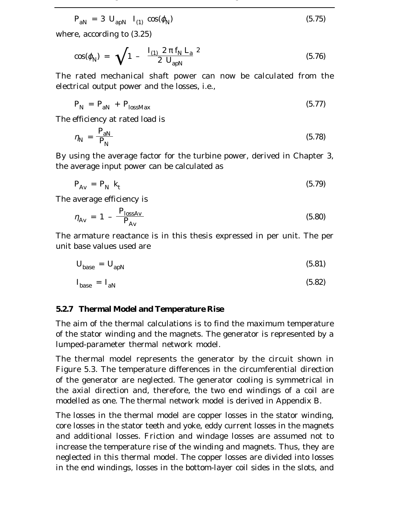$$
P_{\rm aN} = 3 \, U_{\rm apN} \, I_{(1)} \, \cos(\varphi_{\rm N}) \tag{5.75}
$$

where, according to (3.25)

$$
\cos(\varphi_{\rm N}) = \sqrt{1 - \left(\frac{I_{(1)} \ 2 \ \pi \ f_{\rm N} \ L_{\rm a}}{2 \ U_{\rm apN}}\right)^2}
$$
(5.76)

The rated mechanical shaft power can now be calculated from the electrical output power and the losses, i.e.,

$$
P_{\rm N} = P_{\rm aN} + P_{\rm lossMax} \tag{5.77}
$$

The efficiency at rated load is

$$
\eta_{\rm N} = \frac{P_{\rm aN}}{P_{\rm N}}
$$
\n(5.78)

By using the average factor for the turbine power, derived in Chapter 3, the average input power can be calculated as

$$
P_{\rm Av} = P_{\rm N} k_{\rm t} \tag{5.79}
$$

The average efficiency is

$$
\eta_{\text{Av}} = 1 - \frac{P_{\text{lossAv}}}{P_{\text{Av}}} \tag{5.80}
$$

The armature reactance is in this thesis expressed in per unit. The per unit base values used are

$$
U_{\text{base}} = U_{\text{appN}} \tag{5.81}
$$

$$
I_{\text{base}} = I_{\text{aN}} \tag{5.82}
$$

## **5.2.7 Thermal Model and Temperature Rise**

The aim of the thermal calculations is to find the maximum temperature of the stator winding and the magnets. The generator is represented by a lumped-parameter thermal network model.

The thermal model represents the generator by the circuit shown in Figure 5.3. The temperature differences in the circumferential direction of the generator are neglected. The generator cooling is symmetrical in the axial direction and, therefore, the two end windings of a coil are modelled as one. The thermal network model is derived in Appendix B.

The losses in the thermal model are copper losses in the stator winding, core losses in the stator teeth and yoke, eddy current losses in the magnets and additional losses. Friction and windage losses are assumed not to increase the temperature rise of the winding and magnets. Thus, they are neglected in this thermal model. The copper losses are divided into losses in the end windings, losses in the bottom-layer coil sides in the slots, and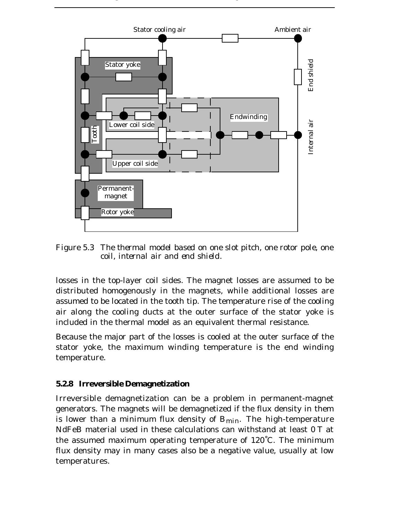

*Figure 5.3 The thermal model based on one slot pitch, one rotor pole, one coil, internal air and end shield.*

losses in the top-layer coil sides. The magnet losses are assumed to be distributed homogenously in the magnets, while additional losses are assumed to be located in the tooth tip. The temperature rise of the cooling air along the cooling ducts at the outer surface of the stator yoke is included in the thermal model as an equivalent thermal resistance.

Because the major part of the losses is cooled at the outer surface of the stator yoke, the maximum winding temperature is the end winding temperature.

## **5.2.8 Irreversible Demagnetization**

Irreversible demagnetization can be a problem in permanent-magnet generators. The magnets will be demagnetized if the flux density in them is lower than a minimum flux density of  $B_{\text{min}}$ . The high-temperature NdFeB material used in these calculations can withstand at least 0 T at the assumed maximum operating temperature of 120˚C. The minimum flux density may in many cases also be a negative value, usually at low temperatures.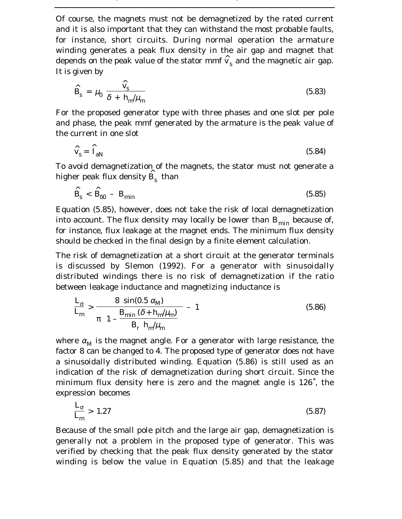Of course, the magnets must not be demagnetized by the rated current and it is also important that they can withstand the most probable faults, for instance, short circuits. During normal operation the armature winding generates a peak flux density in the air gap and magnet that depends on the peak value of the stator mmf  $\hat{v}_s$  and the magnetic air gap. It is given by

$$
\hat{B}_{\rm s} = \mu_0 \frac{\hat{V}_{\rm s}}{\delta + h_{\rm m}/\mu_{\rm m}}
$$
\n(5.83)

For the proposed generator type with three phases and one slot per pole and phase, the peak mmf generated by the armature is the peak value of the current in one slot

$$
\hat{V}_{\rm s} = \hat{I}_{\rm aN} \tag{5.84}
$$

To avoid demagnetization of the magnets, the stator must not generate a higher peak flux density  $\hat{B}_{\!\scriptscriptstyle{\mathbf{S}}}^{\!\!\!\phantom{\dag}}$  than

$$
\hat{B}_{\rm s} < \hat{B}_{\rm \delta 0} - B_{\rm min} \tag{5.85}
$$

Equation (5.85), however, does not take the risk of local demagnetization into account. The flux density may locally be lower than  $B_{\text{min}}$  because of, for instance, flux leakage at the magnet ends. The minimum flux density should be checked in the final design by a finite element calculation.

The risk of demagnetization at a short circuit at the generator terminals is discussed by Slemon (1992). For a generator with sinusoidally distributed windings there is no risk of demagnetization if the ratio between leakage inductance and magnetizing inductance is

$$
\frac{L_{\sigma}}{L_{\rm m}} > \frac{8 \sin(0.5 \alpha_{\rm M})}{\pi \left(1 - \frac{B_{\rm min} (\delta + h_{\rm m}/\mu_{\rm m})}{B_{\rm r} h_{\rm m}/\mu_{\rm m}}\right)} - 1 \tag{5.86}
$$

where  $\alpha_M$  is the magnet angle. For a generator with large resistance, the factor 8 can be changed to 4. The proposed type of generator does not have a sinusoidally distributed winding. Equation (5.86) is still used as an indication of the risk of demagnetization during short circuit. Since the minimum flux density here is zero and the magnet angle is 126˚, the expression becomes

$$
\frac{L_{\sigma}}{L_{\rm m}} > 1.27\tag{5.87}
$$

Because of the small pole pitch and the large air gap, demagnetization is generally not a problem in the proposed type of generator. This was verified by checking that the peak flux density generated by the stator winding is below the value in Equation (5.85) and that the leakage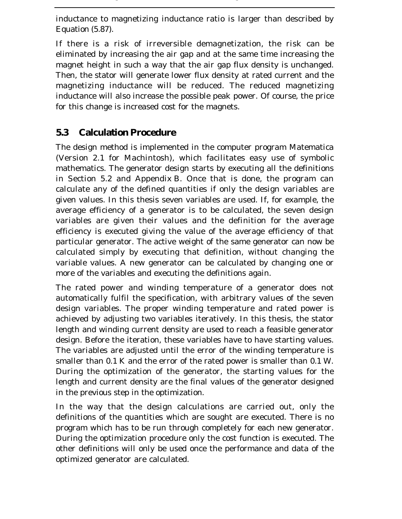inductance to magnetizing inductance ratio is larger than described by Equation (5.87).

If there is a risk of irreversible demagnetization, the risk can be eliminated by increasing the air gap and at the same time increasing the magnet height in such a way that the air gap flux density is unchanged. Then, the stator will generate lower flux density at rated current and the magnetizing inductance will be reduced. The reduced magnetizing inductance will also increase the possible peak power. Of course, the price for this change is increased cost for the magnets.

# **5.3 Calculation Procedure**

The design method is implemented in the computer program Matematica (Version 2.1 for Machintosh), which facilitates easy use of symbolic mathematics. The generator design starts by executing all the definitions in Section 5.2 and Appendix B. Once that is done, the program can calculate any of the defined quantities if only the design variables are given values. In this thesis seven variables are used. If, for example, the average efficiency of a generator is to be calculated, the seven design variables are given their values and the definition for the average efficiency is executed giving the value of the average efficiency of that particular generator. The active weight of the same generator can now be calculated simply by executing that definition, without changing the variable values. A new generator can be calculated by changing one or more of the variables and executing the definitions again.

The rated power and winding temperature of a generator does not automatically fulfil the specification, with arbitrary values of the seven design variables. The proper winding temperature and rated power is achieved by adjusting two variables iteratively. In this thesis, the stator length and winding current density are used to reach a feasible generator design. Before the iteration, these variables have to have starting values. The variables are adjusted until the error of the winding temperature is smaller than 0.1 K and the error of the rated power is smaller than 0.1 W. During the optimization of the generator, the starting values for the length and current density are the final values of the generator designed in the previous step in the optimization.

In the way that the design calculations are carried out, only the definitions of the quantities which are sought are executed. There is no program which has to be run through completely for each new generator. During the optimization procedure only the cost function is executed. The other definitions will only be used once the performance and data of the optimized generator are calculated.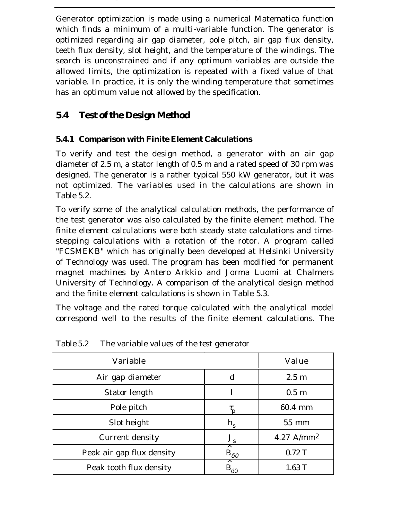Generator optimization is made using a numerical Matematica function which finds a minimum of a multi-variable function. The generator is optimized regarding air gap diameter, pole pitch, air gap flux density, teeth flux density, slot height, and the temperature of the windings. The search is unconstrained and if any optimum variables are outside the allowed limits, the optimization is repeated with a fixed value of that variable. In practice, it is only the winding temperature that sometimes has an optimum value not allowed by the specification.

## **5.4 Test of the Design Method**

## **5.4.1 Comparison with Finite Element Calculations**

To verify and test the design method, a generator with an air gap diameter of 2.5 m, a stator length of 0.5 m and a rated speed of 30 rpm was designed. The generator is a rather typical 550 kW generator, but it was not optimized. The variables used in the calculations are shown in Table 5.2.

To verify some of the analytical calculation methods, the performance of the test generator was also calculated by the finite element method. The finite element calculations were both steady state calculations and timestepping calculations with a rotation of the rotor. A program called "FCSMEKB" which has originally been developed at Helsinki University of Technology was used. The program has been modified for permanent magnet machines by Antero Arkkio and Jorma Luomi at Chalmers University of Technology. A comparison of the analytical design method and the finite element calculations is shown in Table 5.3.

The voltage and the rated torque calculated with the analytical model correspond well to the results of the finite element calculations. The

| Variable                  | Value               |                        |
|---------------------------|---------------------|------------------------|
| Air gap diameter          | d                   | $2.5 \text{ m}$        |
| Stator length             |                     | 0.5 <sub>m</sub>       |
| Pole pitch                | $\tau_{\rm p}$      | 60.4 mm                |
| Slot height               | $h_{\rm s}$         | 55 mm                  |
| <b>Current density</b>    | $J_{\rm s}$         | 4.27 A/mm <sup>2</sup> |
| Peak air gap flux density | Λ<br>$B_{\delta 0}$ | 0.72T                  |
| Peak tooth flux density   | $B_{\rm d0}$        | 1.63T                  |

*Table 5.2 The variable values of the test generator*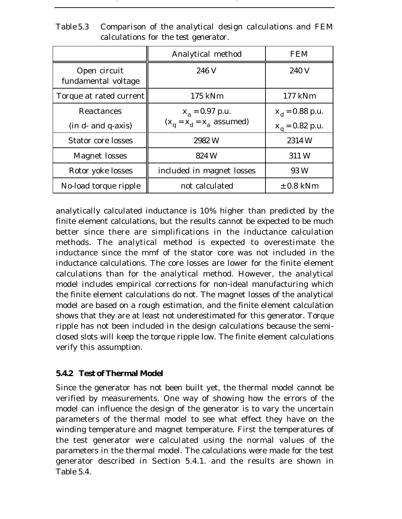|                                       | Analytical method                                | <b>FEM</b>                                         |
|---------------------------------------|--------------------------------------------------|----------------------------------------------------|
| Open circuit<br>fundamental voltage   | 246 V                                            | 240 V                                              |
| Torque at rated current               | 175 kNm                                          | 177 kNm                                            |
| Reactances<br>$(in d - and q - axis)$ | $X_a = 0.97$ p.u.<br>$(x_a = x_d = x_a$ assumed) | $X_{\rm d} = 0.88$ p.u.<br>$X_{\rm q} = 0.82$ p.u. |
| <b>Stator core losses</b>             | 2982W                                            | 2314W                                              |
| <b>Magnet</b> losses                  | 824W                                             | 311W                                               |
| Rotor yoke losses                     | included in magnet losses                        | 93 W                                               |
| No-load torque ripple                 | not calculated                                   | $\pm$ 0.8 kNm                                      |

*Table 5.3 Comparison of the analytical design calculations and FEM calculations for the test generator.*

analytically calculated inductance is 10% higher than predicted by the finite element calculations, but the results cannot be expected to be much better since there are simplifications in the inductance calculation methods. The analytical method is expected to overestimate the inductance since the mmf of the stator core was not included in the inductance calculations. The core losses are lower for the finite element calculations than for the analytical method. However, the analytical model includes empirical corrections for non-ideal manufacturing which the finite element calculations do not. The magnet losses of the analytical model are based on a rough estimation, and the finite element calculation shows that they are at least not underestimated for this generator. Torque ripple has not been included in the design calculations because the semiclosed slots will keep the torque ripple low. The finite element calculations verify this assumption.

#### **5.4.2 Test of Thermal Model**

Since the generator has not been built yet, the thermal model cannot be verified by measurements. One way of showing how the errors of the model can influence the design of the generator is to vary the uncertain parameters of the thermal model to see what effect they have on the winding temperature and magnet temperature. First the temperatures of the test generator were calculated using the normal values of the parameters in the thermal model. The calculations were made for the test generator described in Section 5.4.1. and the results are shown in Table 5.4.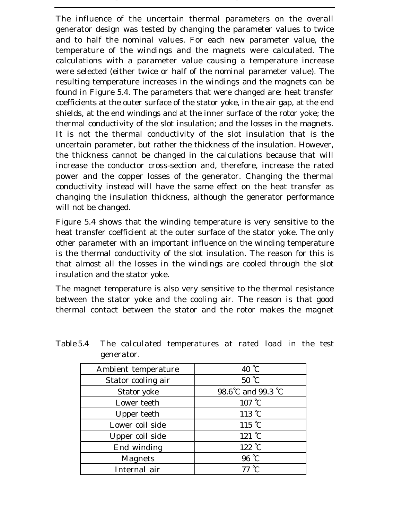The influence of the uncertain thermal parameters on the overall generator design was tested by changing the parameter values to twice and to half the nominal values. For each new parameter value, the temperature of the windings and the magnets were calculated. The calculations with a parameter value causing a temperature increase were selected (either twice or half of the nominal parameter value). The resulting temperature increases in the windings and the magnets can be found in Figure 5.4. The parameters that were changed are: heat transfer coefficients at the outer surface of the stator yoke, in the air gap, at the end shields, at the end windings and at the inner surface of the rotor yoke; the thermal conductivity of the slot insulation; and the losses in the magnets. It is not the thermal conductivity of the slot insulation that is the uncertain parameter, but rather the thickness of the insulation. However, the thickness cannot be changed in the calculations because that will increase the conductor cross-section and, therefore, increase the rated power and the copper losses of the generator. Changing the thermal conductivity instead will have the same effect on the heat transfer as changing the insulation thickness, although the generator performance will not be changed.

Figure 5.4 shows that the winding temperature is very sensitive to the heat transfer coefficient at the outer surface of the stator yoke. The only other parameter with an important influence on the winding temperature is the thermal conductivity of the slot insulation. The reason for this is that almost all the losses in the windings are cooled through the slot insulation and the stator yoke.

The magnet temperature is also very sensitive to the thermal resistance between the stator yoke and the cooling air. The reason is that good thermal contact between the stator and the rotor makes the magnet

| Ambient temperature | 40 °C              |
|---------------------|--------------------|
| Stator cooling air  | 50 °C              |
| <b>Stator yoke</b>  | 98.6°C and 99.3 °C |
| Lower teeth         | 107 °C             |
| Upper teeth         | 113 °C             |
| Lower coil side     | 115 °C             |
| Upper coil side     | 121 °C             |
| End winding         | 122 °C             |
| <b>Magnets</b>      | 96 °C              |
| Internal air        | $77 \degree C$     |

*Table 5.4 The calculated temperatures at rated load in the test generator.*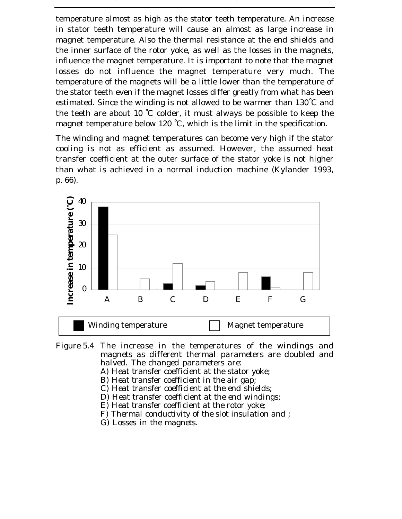temperature almost as high as the stator teeth temperature. An increase in stator teeth temperature will cause an almost as large increase in magnet temperature. Also the thermal resistance at the end shields and the inner surface of the rotor yoke, as well as the losses in the magnets, influence the magnet temperature. It is important to note that the magnet losses do not influence the magnet temperature very much. The temperature of the magnets will be a little lower than the temperature of the stator teeth even if the magnet losses differ greatly from what has been estimated. Since the winding is not allowed to be warmer than 130˚C and the teeth are about 10 ˚C colder, it must always be possible to keep the magnet temperature below 120 °C, which is the limit in the specification.

The winding and magnet temperatures can become very high if the stator cooling is not as efficient as assumed. However, the assumed heat transfer coefficient at the outer surface of the stator yoke is not higher than what is achieved in a normal induction machine (Kylander 1993, p. 66).



*Figure 5.4 The increase in the temperatures of the windings and magnets as different thermal parameters are doubled and halved. The changed parameters are:*

- *A) Heat transfer coefficient at the stator yoke;*
- *B) Heat transfer coefficient in the air gap;*
- *C) Heat transfer coefficient at the end shields;*
- *D) Heat transfer coefficient at the end windings;*
- *E) Heat transfer coefficient at the rotor yoke;*
- *F) Thermal conductivity of the slot insulation and ;*
- *G) Losses in the magnets.*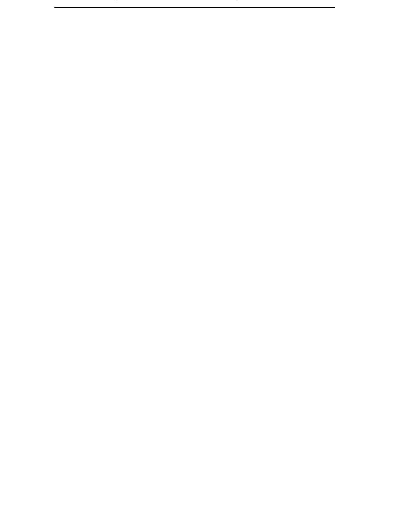*Design Method for a Permanent-magnet Generator*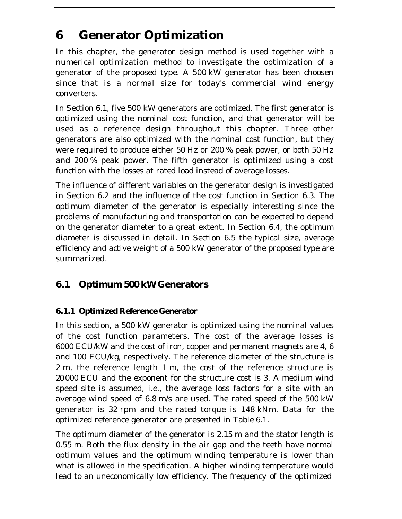In this chapter, the generator design method is used together with a numerical optimization method to investigate the optimization of a generator of the proposed type. A 500 kW generator has been choosen since that is a normal size for today's commercial wind energy converters.

*Generator Optimization* 77

In Section 6.1, five 500 kW generators are optimized. The first generator is optimized using the nominal cost function, and that generator will be used as a reference design throughout this chapter. Three other generators are also optimized with the nominal cost function, but they were required to produce either 50 Hz or 200 % peak power, or both 50 Hz and 200 % peak power. The fifth generator is optimized using a cost function with the losses at rated load instead of average losses.

The influence of different variables on the generator design is investigated in Section 6.2 and the influence of the cost function in Section 6.3. The optimum diameter of the generator is especially interesting since the problems of manufacturing and transportation can be expected to depend on the generator diameter to a great extent. In Section 6.4, the optimum diameter is discussed in detail. In Section 6.5 the typical size, average efficiency and active weight of a 500 kW generator of the proposed type are summarized.

# **6.1 Optimum 500 kW Generators**

# **6.1.1 Optimized Reference Generator**

In this section, a 500 kW generator is optimized using the nominal values of the cost function parameters. The cost of the average losses is 6000 ECU/kW and the cost of iron, copper and permanent magnets are 4, 6 and 100 ECU/kg, respectively. The reference diameter of the structure is 2 m, the reference length 1 m, the cost of the reference structure is 20 000 ECU and the exponent for the structure cost is 3. A medium wind speed site is assumed, i.e., the average loss factors for a site with an average wind speed of 6.8 m/s are used. The rated speed of the 500 kW generator is 32 rpm and the rated torque is 148 kNm. Data for the optimized reference generator are presented in Table 6.1.

The optimum diameter of the generator is 2.15 m and the stator length is 0.55 m. Both the flux density in the air gap and the teeth have normal optimum values and the optimum winding temperature is lower than what is allowed in the specification. A higher winding temperature would lead to an uneconomically low efficiency. The frequency of the optimized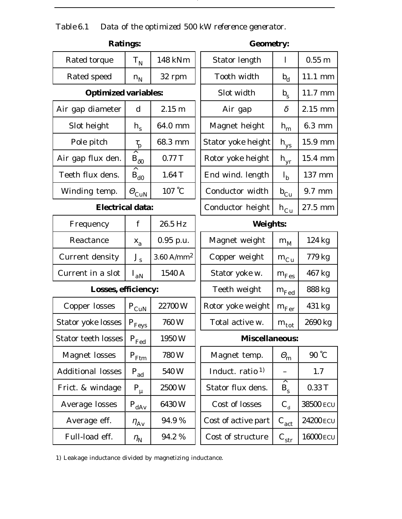| Table 6.1 |  | Data of the optimized 500 kW reference generator. |
|-----------|--|---------------------------------------------------|
|-----------|--|---------------------------------------------------|

| <b>Ratings:</b>             |                            |                          | <b>Geometry:</b>            |                               |           |  |
|-----------------------------|----------------------------|--------------------------|-----------------------------|-------------------------------|-----------|--|
| <b>Rated torque</b>         | $T_{\rm N}$                | 148 kNm                  | <b>Stator length</b>        | $\mathcal{I}$                 | $0.55$ m  |  |
| Rated speed                 | $n_{\rm N}$                | 32 rpm                   | <b>Tooth width</b>          | $b_{\rm d}$                   | 11.1 mm   |  |
| <b>Optimized variables:</b> |                            |                          | Slot width                  | $b_{\rm s}$                   | 11.7 mm   |  |
| Air gap diameter            | d                          | $2.15 \text{ m}$         | Air gap                     | $\delta$                      | $2.15$ mm |  |
| Slot height                 | $h_{\rm s}$                | 64.0 mm                  | Magnet height               | $h_{\rm m}$                   | 6.3 mm    |  |
| Pole pitch                  | $\tau_{\rm p}$             | 68.3 mm                  | Stator yoke height          | $h_{\mathsf{ys}}$             | 15.9 mm   |  |
| Air gap flux den.           | Λ<br>$B_{\delta 0}$        | 0.77T                    | Rotor yoke height           | $h_{\underline{\mathrm{yr}}}$ | 15.4 mm   |  |
| Teeth flux dens.            | $B_{\rm d0}$               | 1.64T                    | End wind. length            | $I_{\rm b}$                   | 137 mm    |  |
| Winding temp.               | $\Theta_{\rm CuN}$         | 107 °C                   | Conductor width             | $b_{\rm Cu}$                  | 9.7 mm    |  |
| <b>Electrical data:</b>     |                            |                          | Conductor height            | $h_{\rm Cu}$                  | 27.5 mm   |  |
| Frequency                   | $\mathbf f$                | 26.5 Hz                  | <b>Weights:</b>             |                               |           |  |
| Reactance                   | $X_{a}$                    | $0.95$ p.u.              | Magnet weight               | $m_{\rm M}$                   | 124 kg    |  |
| Current density             | $J_{\rm s}$                | $3.60$ A/mm <sup>2</sup> | Copper weight               | $m_{Cu}$                      | 779 kg    |  |
| Current in a slot           | $I_{\rm aN}$               | 1540 A                   | Stator yoke w.              | $m_\mathrm{Fes}$              | 467 kg    |  |
| <b>Losses, efficiency:</b>  |                            |                          | Teeth weight                | $m_{\rm Fed}$                 | 888 kg    |  |
| Copper losses               | $P_{\text{CuN}}$           | 22700W                   | Rotor yoke weight           | $m_{\rm Fer}$                 | 431 kg    |  |
| <b>Stator yoke losses</b>   | $P_{\rm Fe$                | 760W                     | Total active w.             | $m_{\rm tot}$                 | 2690 kg   |  |
| <b>Stator teeth losses</b>  | $P_{\rm Fe \underline{d}}$ | 1950W                    | <b>Miscellaneous:</b>       |                               |           |  |
| <b>Magnet losses</b>        | $P_{\rm Ft \underline{m}}$ | 780W                     | Magnet temp.                | $\Theta_{\rm m}$              | 90 °C     |  |
| <b>Additional losses</b>    | $P_{\rm ad}$               | 540W                     | Induct. ratio <sup>1)</sup> |                               | 1.7       |  |
| Frict. & windage            | $P_{\mu}$                  | 2500W                    | Stator flux dens.           | Λ<br>$B_{\rm s}$              | 0.33T     |  |
| <b>Average losses</b>       | $P_{\rm dAv}$              | 6430W                    | Cost of losses              | $C_{\rm d}$                   | 38500 ECU |  |
| Average eff.                | $\eta_{\mathrm{Av}}$       | 94.9%                    | Cost of active part         | $C_{\rm act}$                 | 24200 ECU |  |
| Full-load eff.              | $\eta_N$                   | 94.2%                    | Cost of structure           | $C_{\rm str}$                 | 16000 ECU |  |

1) Leakage inductance divided by magnetizing inductance.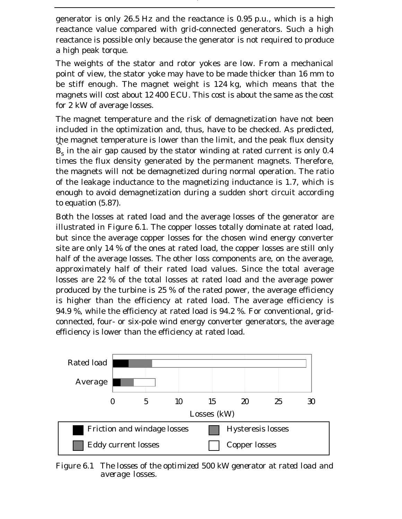generator is only 26.5 Hz and the reactance is 0.95 p.u., which is a high reactance value compared with grid-connected generators. Such a high reactance is possible only because the generator is not required to produce a high peak torque.

The weights of the stator and rotor yokes are low. From a mechanical point of view, the stator yoke may have to be made thicker than 16 mm to be stiff enough. The magnet weight is 124 kg, which means that the magnets will cost about 12 400 ECU. This cost is about the same as the cost for 2 kW of average losses.

The magnet temperature and the risk of demagnetization have not been included in the optimization and, thus, have to be checked. As predicted, the magnet temperature is lower than the limit, and the peak flux density  $B_s$  in the air gap caused by the stator winding at rated current is only 0.4 times the flux density generated by the permanent magnets. Therefore, the magnets will not be demagnetized during normal operation. The ratio of the leakage inductance to the magnetizing inductance is 1.7, which is enough to avoid demagnetization during a sudden short circuit according to equation (5.87).

Both the losses at rated load and the average losses of the generator are illustrated in Figure 6.1. The copper losses totally dominate at rated load, but since the average copper losses for the chosen wind energy converter site are only 14 % of the ones at rated load, the copper losses are still only half of the average losses. The other loss components are, on the average, approximately half of their rated load values. Since the total average losses are 22 % of the total losses at rated load and the average power produced by the turbine is 25 % of the rated power, the average efficiency is higher than the efficiency at rated load. The average efficiency is 94.9 %, while the efficiency at rated load is 94.2 %. For conventional, gridconnected, four- or six-pole wind energy converter generators, the average efficiency is lower than the efficiency at rated load.



*Figure 6.1 The losses of the optimized 500 kW generator at rated load and average losses.*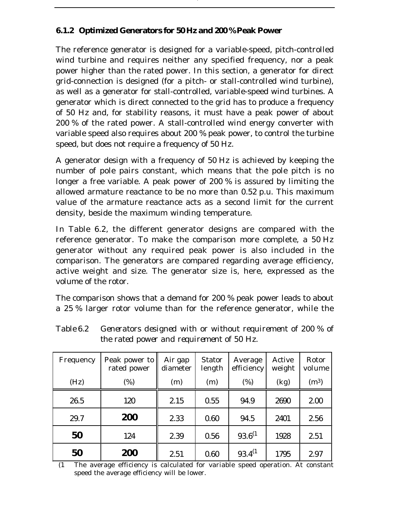### **6.1.2 Optimized Generators for 50 Hz and 200 % Peak Power**

80 *Generator Optimization*

The reference generator is designed for a variable-speed, pitch-controlled wind turbine and requires neither any specified frequency, nor a peak power higher than the rated power. In this section, a generator for direct grid-connection is designed (for a pitch- or stall-controlled wind turbine), as well as a generator for stall-controlled, variable-speed wind turbines. A generator which is direct connected to the grid has to produce a frequency of 50 Hz and, for stability reasons, it must have a peak power of about 200 % of the rated power. A stall-controlled wind energy converter with variable speed also requires about 200 % peak power, to control the turbine speed, but does not require a frequency of 50 Hz.

A generator design with a frequency of 50 Hz is achieved by keeping the number of pole pairs constant, which means that the pole pitch is no longer a free variable. A peak power of 200 % is assured by limiting the allowed armature reactance to be no more than 0.52 p.u. This maximum value of the armature reactance acts as a second limit for the current density, beside the maximum winding temperature.

In Table 6.2, the different generator designs are compared with the reference generator. To make the comparison more complete, a 50 Hz generator without any required peak power is also included in the comparison. The generators are compared regarding average efficiency, active weight and size. The generator size is, here, expressed as the volume of the rotor.

The comparison shows that a demand for 200 % peak power leads to about a 25 % larger rotor volume than for the reference generator, while the

| Frequency | Peak power to<br>rated power | Air gap<br>diameter | <b>Stator</b><br>length | Average<br>efficiency | Active<br>weight | Rotor<br>volume   |
|-----------|------------------------------|---------------------|-------------------------|-----------------------|------------------|-------------------|
| (Hz)      | (%)                          | (m)                 | (m)                     | (%)                   | (kg)             | (m <sup>3</sup> ) |
| 26.5      | 120                          | 2.15                | 0.55                    | 94.9                  | 2690             | 2.00              |
| 29.7      | 200                          | 2.33                | 0.60                    | 94.5                  | 2401             | 2.56              |
| 50        | 124                          | 2.39                | 0.56                    | $93.6^{(1)}$          | 1928             | 2.51              |
| 50        | 200                          | 2.51                | 0.60                    | $93.4^{(1)}$          | 1795             | 2.97              |

*Table 6.2 Generators designed with or without requirement of 200 % of the rated power and requirement of 50 Hz.*

(1 The average efficiency is calculated for variable speed operation. At constant speed the average efficiency will be lower.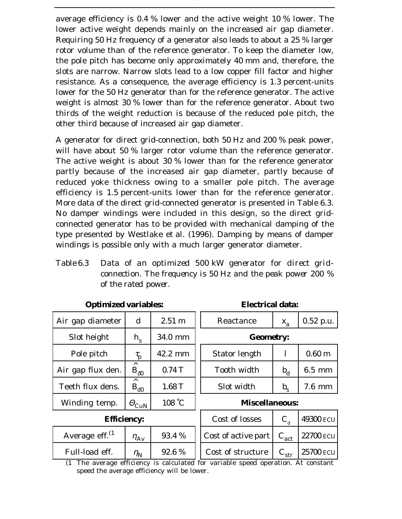average efficiency is 0.4 % lower and the active weight 10 % lower. The lower active weight depends mainly on the increased air gap diameter. Requiring 50 Hz frequency of a generator also leads to about a 25 % larger rotor volume than of the reference generator. To keep the diameter low, the pole pitch has become only approximately 40 mm and, therefore, the slots are narrow. Narrow slots lead to a low copper fill factor and higher resistance. As a consequence, the average efficiency is 1.3 percent-units lower for the 50 Hz generator than for the reference generator. The active weight is almost 30 % lower than for the reference generator. About two thirds of the weight reduction is because of the reduced pole pitch, the other third because of increased air gap diameter.

A generator for direct grid-connection, both 50 Hz and 200 % peak power, will have about 50 % larger rotor volume than the reference generator. The active weight is about 30 % lower than for the reference generator partly because of the increased air gap diameter, partly because of reduced yoke thickness owing to a smaller pole pitch. The average efficiency is 1.5 percent-units lower than for the reference generator. More data of the direct grid-connected generator is presented in Table 6.3. No damper windings were included in this design, so the direct gridconnected generator has to be provided with mechanical damping of the type presented by Westlake et al. (1996). Damping by means of damper windings is possible only with a much larger generator diameter.

| Table 6.3 Data of an optimized 500 kW generator for direct grid- |
|------------------------------------------------------------------|
| connection. The frequency is 50 Hz and the peak power 200 %      |
| of the rated power.                                              |

| <b>Optimized variables:</b> |                           |                  | Electrical data:      |                  |                   |  |
|-----------------------------|---------------------------|------------------|-----------------------|------------------|-------------------|--|
| Air gap diameter            | $\overline{d}$            | $2.51 \text{ m}$ | Reactance             | $X_{\rm a}$      | $0.52$ p.u.       |  |
| Slot height                 | $h_{\rm s}$               | 34.0 mm          | <b>Geometry:</b>      |                  |                   |  |
| Pole pitch                  | $\tau_{\rm p}$            | 42.2 mm          | <b>Stator length</b>  | $\boldsymbol{l}$ | 0.60 <sub>m</sub> |  |
| Air gap flux den.           | $\wedge$<br>$B_{\delta0}$ | $0.74$ T         | <b>Tooth width</b>    | $b_{\rm d}$      | $6.5$ mm          |  |
| Teeth flux dens.            | Λ<br>$B_{\rm d0}$         | 1.68T            | Slot width            | $b_{\rm s}$      | $7.6 \text{ mm}$  |  |
| Winding temp.               | $\Theta_{\rm CuN}$        | 108 °C           | <b>Miscellaneous:</b> |                  |                   |  |
| <b>Efficiency:</b>          |                           |                  | <b>Cost of losses</b> | $C_{\rm d}$      | 49300 ECU         |  |
| Average eff. $(1)$          | $\eta_{\rm Av}$           | 93.4 %           | Cost of active part   | $C_{\text{act}}$ | 22700 ECU         |  |
| Full-load eff.              | $\eta_{\rm N}$            | 92.6%            | Cost of structure     | $C_{\rm str}$    | 25700 ECU         |  |

(1 The average efficiency is calculated for variable speed operation. At constant speed the average efficiency will be lower.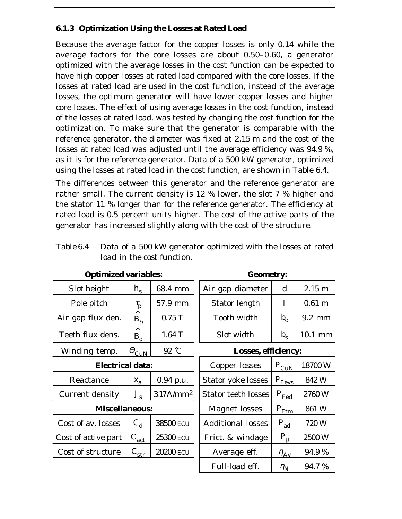### **6.1.3 Optimization Using the Losses at Rated Load**

Because the average factor for the copper losses is only 0.14 while the average factors for the core losses are about 0.50–0.60, a generator optimized with the average losses in the cost function can be expected to have high copper losses at rated load compared with the core losses. If the losses at rated load are used in the cost function, instead of the average losses, the optimum generator will have lower copper losses and higher core losses. The effect of using average losses in the cost function, instead of the losses at rated load, was tested by changing the cost function for the optimization. To make sure that the generator is comparable with the reference generator, the diameter was fixed at 2.15 m and the cost of the losses at rated load was adjusted until the average efficiency was 94.9 %, as it is for the reference generator. Data of a 500 kW generator, optimized using the losses at rated load in the cost function, are shown in Table 6.4.

The differences between this generator and the reference generator are rather small. The current density is 12 % lower, the slot 7 % higher and the stator 11 % longer than for the reference generator. The efficiency at rated load is 0.5 percent units higher. The cost of the active parts of the generator has increased slightly along with the cost of the structure.

| <b>Optimized variables:</b> |                             |                          | <b>Geometry:</b>           |                             |                   |  |  |
|-----------------------------|-----------------------------|--------------------------|----------------------------|-----------------------------|-------------------|--|--|
| Slot height                 | $h_{\rm s}$                 | 68.4 mm                  | Air gap diameter           | $\overline{d}$              | 2.15 <sub>m</sub> |  |  |
| Pole pitch                  | $\tau_{\rm p}$              | 57.9 mm                  | <b>Stator length</b>       | $\boldsymbol{l}$            | $0.61$ m          |  |  |
| Air gap flux den.           | ^<br>$B_{\delta}$           | 0.75T                    | <b>Tooth width</b>         | $b_{\rm d}$                 | $9.2 \text{ mm}$  |  |  |
| Teeth flux dens.            | Λ<br>$B_{d}$                | 1.64T                    | Slot width                 | $b_{\rm s}$                 | 10.1 mm           |  |  |
| Winding temp.               | $\Theta_{\text{CuN}}$       | 92 °C                    | Losses, efficiency:        |                             |                   |  |  |
| <b>Electrical data:</b>     |                             |                          | Copper losses              | $P_{\text{CuN}}$            | 18700W            |  |  |
| Reactance                   | $X_{\rm a}$                 | 0.94 p.u.                | <b>Stator yoke losses</b>  | $P_{\rm Feys}$              | 842W              |  |  |
| Current density             | $J_{\rm s}$                 | $3.17$ A/mm <sup>2</sup> | <b>Stator teeth losses</b> | $P_{\rm{Fed}}$              | 2760W             |  |  |
| <b>Miscellaneous:</b>       |                             |                          | <b>Magnet</b> losses       | $P_{\overline{\text{Ftm}}}$ | 861W              |  |  |
| Cost of av. losses          | $C_{\rm d}$                 | 38500 ECU                | <b>Additional losses</b>   | $P_{\text{ad}}$             | 720W              |  |  |
| Cost of active part         | $C_{\underline{\rm act}}$   | 25300 ECU                | Frict. & windage           | $P_{\mu}$                   | 2500W             |  |  |
| Cost of structure           | $C_{\underline{{\tt str}}}$ | 20200 ECU                | Average eff.               | $\eta_{\mathrm{Av}}$        | 94.9%             |  |  |
|                             |                             |                          | Full-load eff.             | $\eta_{\rm N}$              | 94.7%             |  |  |

*Table 6.4 Data of a 500 kW generator optimized with the losses at rated load in the cost function.*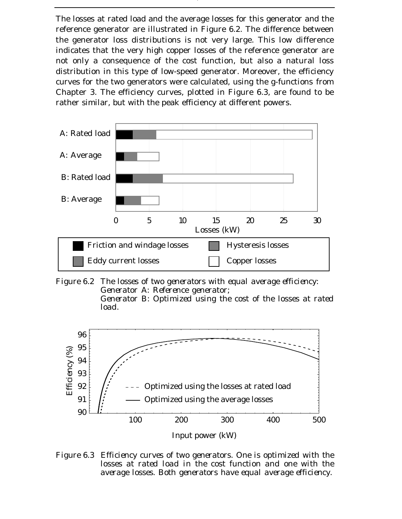The losses at rated load and the average losses for this generator and the reference generator are illustrated in Figure 6.2. The difference between the generator loss distributions is not very large. This low difference indicates that the very high copper losses of the reference generator are not only a consequence of the cost function, but also a natural loss distribution in this type of low-speed generator. Moreover, the efficiency curves for the two generators were calculated, using the *g*-functions from Chapter 3. The efficiency curves, plotted in Figure 6.3, are found to be rather similar, but with the peak efficiency at different powers.



*Figure 6.2 The losses of two generators with equal average efficiency: Generator A: Reference generator; Generator B: Optimized using the cost of the losses at rated load.*



*Figure 6.3 Efficiency curves of two generators. One is optimized with the losses at rated load in the cost function and one with the average losses. Both generators have equal average efficiency.*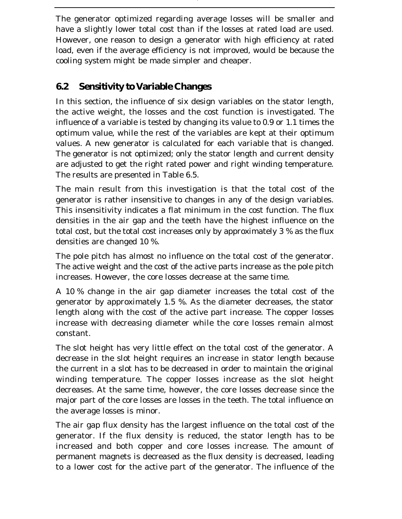The generator optimized regarding average losses will be smaller and have a slightly lower total cost than if the losses at rated load are used. However, one reason to design a generator with high efficiency at rated load, even if the average efficiency is not improved, would be because the cooling system might be made simpler and cheaper.

# **6.2 Sensitivity to Variable Changes**

In this section, the influence of six design variables on the stator length, the active weight, the losses and the cost function is investigated. The influence of a variable is tested by changing its value to 0.9 or 1.1 times the optimum value, while the rest of the variables are kept at their optimum values. A new generator is calculated for each variable that is changed. The generator is not optimized; only the stator length and current density are adjusted to get the right rated power and right winding temperature. The results are presented in Table 6.5.

The main result from this investigation is that the total cost of the generator is rather insensitive to changes in any of the design variables. This insensitivity indicates a flat minimum in the cost function. The flux densities in the air gap and the teeth have the highest influence on the total cost, but the total cost increases only by approximately 3 % as the flux densities are changed 10 %.

The pole pitch has almost no influence on the total cost of the generator. The active weight and the cost of the active parts increase as the pole pitch increases. However, the core losses decrease at the same time.

A 10 % change in the air gap diameter increases the total cost of the generator by approximately 1.5 %. As the diameter decreases, the stator length along with the cost of the active part increase. The copper losses increase with decreasing diameter while the core losses remain almost constant.

The slot height has very little effect on the total cost of the generator. A decrease in the slot height requires an increase in stator length because the current in a slot has to be decreased in order to maintain the original winding temperature. The copper losses increase as the slot height decreases. At the same time, however, the core losses decrease since the major part of the core losses are losses in the teeth. The total influence on the average losses is minor.

The air gap flux density has the largest influence on the total cost of the generator. If the flux density is reduced, the stator length has to be increased and both copper and core losses increase. The amount of permanent magnets is decreased as the flux density is decreased, leading to a lower cost for the active part of the generator. The influence of the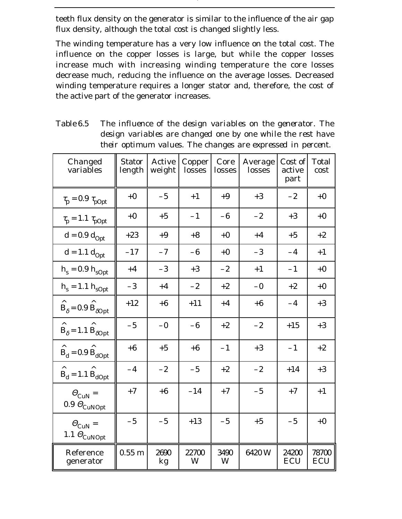teeth flux density on the generator is similar to the influence of the air gap flux density, although the total cost is changed slightly less.

The winding temperature has a very low influence on the total cost. The influence on the copper losses is large, but while the copper losses increase much with increasing winding temperature the core losses decrease much, reducing the influence on the average losses. Decreased winding temperature requires a longer stator and, therefore, the cost of the active part of the generator increases.

*Table 6.5 The influence of the design variables on the generator. The design variables are changed one by one while the rest have their optimum values. The changes are expressed in percent.*

| Changed<br>variables                                                        | <b>Stator</b><br>length | Active<br>weight | Copper<br>losses | Core<br>losses | Average<br>losses | Cost of<br>active<br>part | <b>Total</b><br>cost |
|-----------------------------------------------------------------------------|-------------------------|------------------|------------------|----------------|-------------------|---------------------------|----------------------|
| $\tau_{\rm p}=0.9~\tau_{\rm pOpt}$                                          | $+0$                    | $-5$             | $+1$             | $+9$           | $+3$              | $-2$                      | $+0$                 |
| $\tau_{\rm p}=1.1~\tau_{\rm pOpt}$                                          | $+0$                    | $+5$             | $-1$             | $-6$           | $-2$              | $+3$                      | $+0$                 |
| $d = 0.9 d_{\text{Opt}}$                                                    | $+23$                   | $+9$             | $+8$             | $+0$           | $+4$              | $+5$                      | $+2$                 |
| $d = 1.1 d_{\text{Opt}}$                                                    | $-17$                   | $-7$             | $-6$             | $+0$           | $-3$              | $-4$                      | $+1$                 |
| $h_{\rm s} = 0.9 h_{\rm sopt}$                                              | $+4$                    | $-3$             | $+3$             | $-2$           | $+1$              | $-1$                      | $+0$                 |
| $h_{\rm s} = 1.1 h_{\rm soft}$                                              | $-3$                    | $+4$             | $-2$             | $+2$           | $-0$              | $+2$                      | $+0$                 |
| $\mathbf{\hat{B}}_{\delta}$ = 0.9 $\mathbf{\hat{B}}_{\delta \text{Opt}}$    | $+12$                   | $+6$             | $+11$            | $+4$           | $+6$              | $-4$                      | $+3$                 |
| $\stackrel{\wedge }{B}_\delta = 1.1 \stackrel{\wedge }{B}_{\delta \rm Opt}$ | $-5$                    | $-0$             | $-6$             | $+2$           | $-2$              | $+15$                     | $+3$                 |
| $\hat{B}_{\rm d}$ = 0.9 $\hat{B}_{\rm dOpt}$                                | $+6$                    | $+5$             | $+6$             | $-1$           | $+3$              | $-1$                      | $+2$                 |
| $\mathring{B}_{\mathrm{d}} = 1.1 \mathring{B}_{\mathrm{dOpt}}$              | $-4$                    | $-2$             | $-5$             | $+2$           | $-2$              | $+14$                     | $+3$                 |
| $\Theta_{\rm CuN}$ =<br>0.9 $\Theta_{\rm CuNOpt}$                           | $+7$                    | $+6$             | $-14$            | $+7$           | $-5$              | $+7$                      | $+1$                 |
| $\Theta_{\rm CuN}$ =<br>1.1 $\Theta_{\rm CuNOpt}$                           | $-5$                    | $-5$             | $+13$            | $-5$           | $+5$              | $-5$                      | $+0$                 |
| Reference<br>generator                                                      | $0.55$ m                | 2690<br>kg       | 22700<br>W       | 3490<br>W      | 6420W             | 24200<br><b>ECU</b>       | 78700<br>ECU         |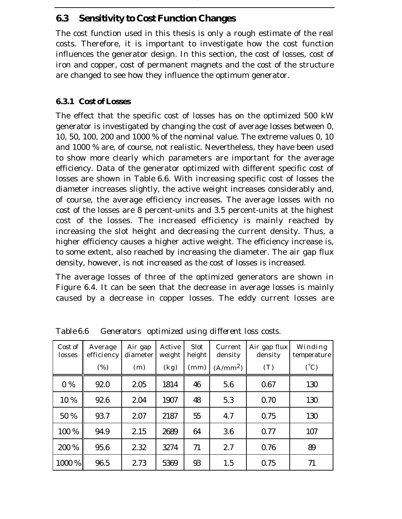The cost function used in this thesis is only a rough estimate of the real costs. Therefore, it is important to investigate how the cost function influences the generator design. In this section, the cost of losses, cost of iron and copper, cost of permanent magnets and the cost of the structure are changed to see how they influence the optimum generator.

### **6.3.1 Cost of Losses**

The effect that the specific cost of losses has on the optimized 500 kW generator is investigated by changing the cost of average losses between 0, 10, 50, 100, 200 and 1000 % of the nominal value. The extreme values 0, 10 and 1000 % are, of course, not realistic. Nevertheless, they have been used to show more clearly which parameters are important for the average efficiency. Data of the generator optimized with different specific cost of losses are shown in Table 6.6. With increasing specific cost of losses the diameter increases slightly, the active weight increases considerably and, of course, the average efficiency increases. The average losses with no cost of the losses are 8 percent-units and 3.5 percent-units at the highest cost of the losses. The increased efficiency is mainly reached by increasing the slot height and decreasing the current density. Thus, a higher efficiency causes a higher active weight. The efficiency increase is, to some extent, also reached by increasing the diameter. The air gap flux density, however, is not increased as the cost of losses is increased.

The average losses of three of the optimized generators are shown in Figure 6.4. It can be seen that the decrease in average losses is mainly caused by a decrease in copper losses. The eddy current losses are

| Cost of<br>losses | Average<br>efficiency | Air gap<br>diameter | Active<br>weight | <b>Slot</b><br>height | Current<br>density   | Air gap flux<br>density | Winding<br>temperature |
|-------------------|-----------------------|---------------------|------------------|-----------------------|----------------------|-------------------------|------------------------|
|                   | (%)                   | (m)                 | (kg)             | (mm)                  | (A/mm <sup>2</sup> ) | (T)                     | $(^{\circ}C)$          |
| $0\%$             | 92.0                  | 2.05                | 1814             | 46                    | 5.6                  | 0.67                    | 130                    |
| 10 %              | 92.6                  | 2.04                | 1907             | 48                    | 5.3                  | 0.70                    | 130                    |
| 50 %              | 93.7                  | 2.07                | 2187             | 55                    | 4.7                  | 0.75                    | 130                    |
| 100 %             | 94.9                  | 2.15                | 2689             | 64                    | 3.6                  | 0.77                    | 107                    |
| 200 %             | 95.6                  | 2.32                | 3274             | 71                    | 2.7                  | 0.76                    | 89                     |
| 1000 %            | 96.5                  | 2.73                | 5369             | 93                    | 1.5                  | 0.75                    | 71                     |

*Table 6.6 Generators optimized using different loss costs.*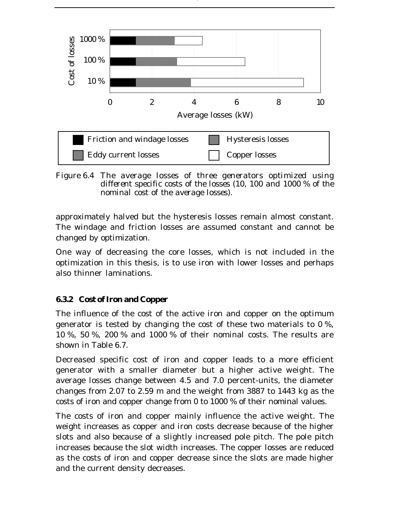

*Figure 6.4 The average losses of three generators optimized using different specific costs of the losses (10, 100 and 1000 % of the nominal cost of the average losses).*

approximately halved but the hysteresis losses remain almost constant. The windage and friction losses are assumed constant and cannot be changed by optimization.

One way of decreasing the core losses, which is not included in the optimization in this thesis, is to use iron with lower losses and perhaps also thinner laminations.

### **6.3.2 Cost of Iron and Copper**

The influence of the cost of the active iron and copper on the optimum generator is tested by changing the cost of these two materials to 0 %, 10 %, 50 %, 200 % and 1000 % of their nominal costs. The results are shown in Table 6.7.

Decreased specific cost of iron and copper leads to a more efficient generator with a smaller diameter but a higher active weight. The average losses change between 4.5 and 7.0 percent-units, the diameter changes from 2.07 to 2.59 m and the weight from 3887 to 1443 kg as the costs of iron and copper change from 0 to 1000 % of their nominal values.

The costs of iron and copper mainly influence the active weight. The weight increases as copper and iron costs decrease because of the higher slots and also because of a slightly increased pole pitch. The pole pitch increases because the slot width increases. The copper losses are reduced as the costs of iron and copper decrease since the slots are made higher and the current density decreases.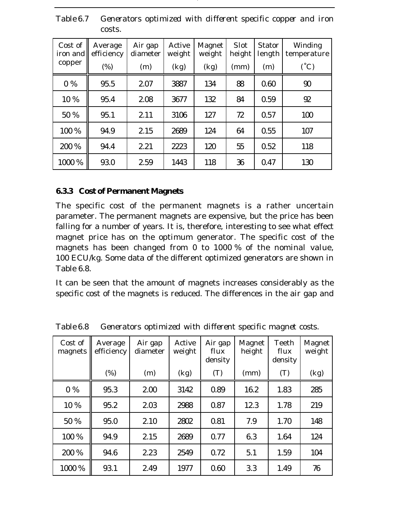| Cost of<br>iron and<br>copper | Average<br>efficiency<br>(%) | Air gap<br>diameter<br>(m) | Active<br>weight<br>(kg) | <b>Magnet</b><br>weight<br>(kg) | <b>Slot</b><br>height<br>(mm) | <b>Stator</b><br>length<br>(m) | Winding<br>temperature<br>$(^{\circ}C)$ |
|-------------------------------|------------------------------|----------------------------|--------------------------|---------------------------------|-------------------------------|--------------------------------|-----------------------------------------|
| $0\%$                         | 95.5                         | 2.07                       | 3887                     | 134                             | 88                            | 0.60                           | 90                                      |
| 10 %                          | 95.4                         | 2.08                       | 3677                     | 132                             | 84                            | 0.59                           | 92                                      |
| 50 %                          | 95.1                         | 2.11                       | 3106                     | 127                             | 72                            | 0.57                           | 100                                     |
| 100 %                         | 94.9                         | 2.15                       | 2689                     | 124                             | 64                            | 0.55                           | 107                                     |
| 200 %                         | 94.4                         | 2.21                       | 2223                     | 120                             | 55                            | 0.52                           | 118                                     |
| 1000 %                        | 93.0                         | 2.59                       | 1443                     | 118                             | 36                            | 0.47                           | 130                                     |

*Table 6.7 Generators optimized with different specific copper and iron costs.*

#### **6.3.3 Cost of Permanent Magnets**

The specific cost of the permanent magnets is a rather uncertain parameter. The permanent magnets are expensive, but the price has been falling for a number of years. It is, therefore, interesting to see what effect magnet price has on the optimum generator. The specific cost of the magnets has been changed from 0 to 1000 % of the nominal value, 100 ECU/kg. Some data of the different optimized generators are shown in Table 6.8.

It can be seen that the amount of magnets increases considerably as the specific cost of the magnets is reduced. The differences in the air gap and

| Cost of<br>magnets | Average<br>efficiency | Air gap<br>diameter | Active<br>weight | Air gap<br>flux<br>density | Magnet<br>height | Teeth<br>flux<br>density | Magnet<br>weight |
|--------------------|-----------------------|---------------------|------------------|----------------------------|------------------|--------------------------|------------------|
|                    | (%)                   | (m)                 | (kg)             | (T)                        | (mm)             | (T)                      | (kg)             |
| $0\%$              | 95.3                  | 2.00                | 3142             | 0.89                       | 16.2             | 1.83                     | 285              |
| 10 %               | 95.2                  | 2.03                | 2988             | 0.87                       | 12.3             | 1.78                     | 219              |
| 50 %               | 95.0                  | 2.10                | 2802             | 0.81                       | 7.9              | 1.70                     | 148              |
| 100 %              | 94.9                  | 2.15                | 2689             | 0.77                       | 6.3              | 1.64                     | 124              |
| 200 %              | 94.6                  | 2.23                | 2549             | 0.72                       | 5.1              | 1.59                     | 104              |
| 1000 %             | 93.1                  | 2.49                | 1977             | 0.60                       | 3.3              | 1.49                     | 76               |

*Table 6.8 Generators optimized with different specific magnet costs.*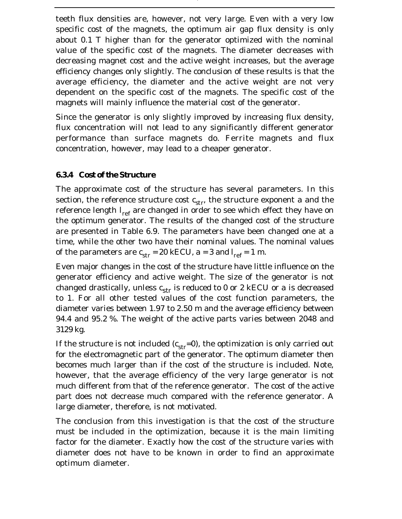teeth flux densities are, however, not very large. Even with a very low specific cost of the magnets, the optimum air gap flux density is only about 0.1 T higher than for the generator optimized with the nominal value of the specific cost of the magnets. The diameter decreases with decreasing magnet cost and the active weight increases, but the average efficiency changes only slightly. The conclusion of these results is that the average efficiency, the diameter and the active weight are not very dependent on the specific cost of the magnets. The specific cost of the magnets will mainly influence the material cost of the generator.

Since the generator is only slightly improved by increasing flux density, flux concentration will not lead to any significantly different generator performance than surface magnets do. Ferrite magnets and flux concentration, however, may lead to a cheaper generator.

### **6.3.4 Cost of the Structure**

The approximate cost of the structure has several parameters. In this section, the reference structure cost  $c_{str}$ , the structure exponent *a* and the reference length  $I_{ref}$  are changed in order to see which effect they have on the optimum generator. The results of the changed cost of the structure are presented in Table 6.9. The parameters have been changed one at a time, while the other two have their nominal values. The nominal values of the parameters are  $c_{\text{str}}$  = 20 kECU,  $a$  = 3 and  $l_{\text{ref}}$  = 1 m.

Even major changes in the cost of the structure have little influence on the generator efficiency and active weight. The size of the generator is not changed drastically, unless  $c_{str}$  is reduced to 0 or 2 kECU or *a* is decreased to 1. For all other tested values of the cost function parameters, the diameter varies between 1.97 to 2.50 m and the average efficiency between 94.4 and 95.2 %. The weight of the active parts varies between 2048 and 3129 kg.

If the structure is not included  $(c_{str}=0)$ , the optimization is only carried out for the electromagnetic part of the generator. The optimum diameter then becomes much larger than if the cost of the structure is included. Note, however, that the average efficiency of the very large generator is not much different from that of the reference generator. The cost of the active part does not decrease much compared with the reference generator. A large diameter, therefore, is not motivated.

The conclusion from this investigation is that the cost of the structure must be included in the optimization, because it is the main limiting factor for the diameter. Exactly how the cost of the structure varies with diameter does not have to be known in order to find an approximate optimum diameter.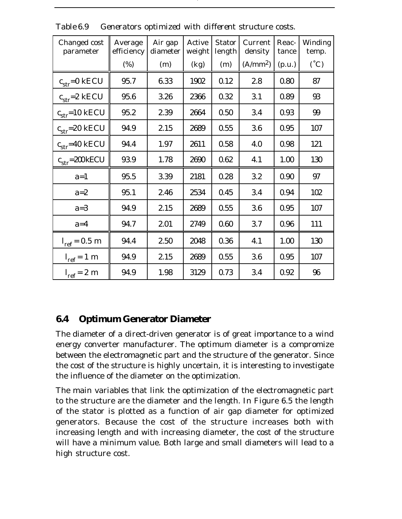| Changed cost                     | Average    | Air gap  | Active | <b>Stator</b> | Current              | Reac-  | Winding       |
|----------------------------------|------------|----------|--------|---------------|----------------------|--------|---------------|
| parameter                        | efficiency | diameter | weight | length        | density              | tance  | temp.         |
|                                  | (%)        | (m)      | (kg)   | (m)           | (A/mm <sup>2</sup> ) | (p.u.) | $(^{\circ}C)$ |
| $c_{\rm str}$ =0 kECU            | 95.7       | 6.33     | 1902   | 0.12          | 2.8                  | 0.80   | 87            |
| $c_{\text{str}}$ =2 kECU         | 95.6       | 3.26     | 2366   | 0.32          | 3.1                  | 0.89   | 93            |
| $c_{\text{str}}$ =10 kECU        | 95.2       | 2.39     | 2664   | 0.50          | 3.4                  | 0.93   | 99            |
| $c_{\rm str}$ =20 kECU           | 94.9       | 2.15     | 2689   | 0.55          | 3.6                  | 0.95   | 107           |
| $c_{\text{str}}$ =40 kECU        | 94.4       | 1.97     | 2611   | 0.58          | 4.0                  | 0.98   | 121           |
| $c_{\text{str}}$ =200kECU        | 93.9       | 1.78     | 2690   | 0.62          | 4.1                  | 1.00   | 130           |
| $a=1$                            | 95.5       | 3.39     | 2181   | 0.28          | 3.2                  | 0.90   | 97            |
| $a=2$                            | 95.1       | 2.46     | 2534   | 0.45          | 3.4                  | 0.94   | 102           |
| $a=3$                            | 94.9       | 2.15     | 2689   | 0.55          | 3.6                  | 0.95   | 107           |
| $a=4$                            | 94.7       | 2.01     | 2749   | 0.60          | 3.7                  | 0.96   | 111           |
| $I_{\text{ref}} = 0.5 \text{ m}$ | 94.4       | 2.50     | 2048   | 0.36          | 4.1                  | 1.00   | 130           |
| $I_{\text{ref}} = 1 \text{ m}$   | 94.9       | 2.15     | 2689   | 0.55          | 3.6                  | 0.95   | 107           |
| $l_{\text{ref}} = 2 \text{ m}$   | 94.9       | 1.98     | 3129   | 0.73          | 3.4                  | 0.92   | 96            |

*Table 6.9 Generators optimized with different structure costs.*

### **6.4 Optimum Generator Diameter**

The diameter of a direct-driven generator is of great importance to a wind energy converter manufacturer. The optimum diameter is a compromize between the electromagnetic part and the structure of the generator. Since the cost of the structure is highly uncertain, it is interesting to investigate the influence of the diameter on the optimization.

The main variables that link the optimization of the electromagnetic part to the structure are the diameter and the length. In Figure 6.5 the length of the stator is plotted as a function of air gap diameter for optimized generators. Because the cost of the structure increases both with increasing length and with increasing diameter, the cost of the structure will have a minimum value. Both large and small diameters will lead to a high structure cost.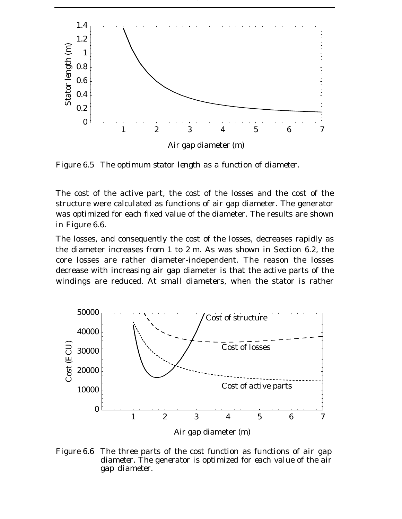

*Figure 6.5 The optimum stator length as a function of diameter.*

The cost of the active part, the cost of the losses and the cost of the structure were calculated as functions of air gap diameter. The generator was optimized for each fixed value of the diameter. The results are shown in Figure 6.6.

The losses, and consequently the cost of the losses, decreases rapidly as the diameter increases from 1 to 2 m. As was shown in Section 6.2, the core losses are rather diameter-independent. The reason the losses decrease with increasing air gap diameter is that the active parts of the windings are reduced. At small diameters, when the stator is rather



*Figure 6.6 The three parts of the cost function as functions of air gap diameter. The generator is optimized for each value of the air gap diameter.*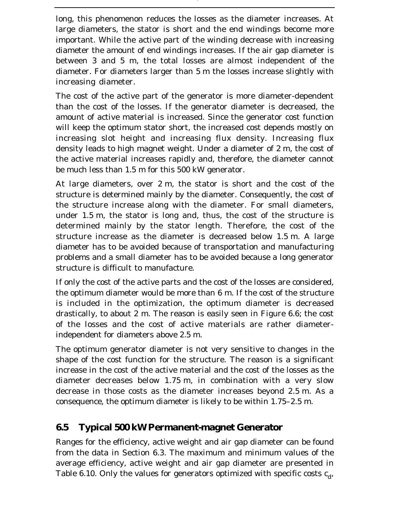long, this phenomenon reduces the losses as the diameter increases. At large diameters, the stator is short and the end windings become more important. While the active part of the winding decrease with increasing diameter the amount of end windings increases. If the air gap diameter is between 3 and 5 m, the total losses are almost independent of the diameter. For diameters larger than 5 m the losses increase slightly with increasing diameter.

The cost of the active part of the generator is more diameter-dependent than the cost of the losses. If the generator diameter is decreased, the amount of active material is increased. Since the generator cost function will keep the optimum stator short, the increased cost depends mostly on increasing slot height and increasing flux density. Increasing flux density leads to high magnet weight. Under a diameter of 2 m, the cost of the active material increases rapidly and, therefore, the diameter cannot be much less than 1.5 m for this 500 kW generator.

At large diameters, over 2 m, the stator is short and the cost of the structure is determined mainly by the diameter. Consequently, the cost of the structure increase along with the diameter. For small diameters, under 1.5 m, the stator is long and, thus, the cost of the structure is determined mainly by the stator length. Therefore, the cost of the structure increase as the diameter is decreased below 1.5 m. A large diameter has to be avoided because of transportation and manufacturing problems and a small diameter has to be avoided because a long generator structure is difficult to manufacture.

If only the cost of the active parts and the cost of the losses are considered, the optimum diameter would be more than 6 m. If the cost of the structure is included in the optimization, the optimum diameter is decreased drastically, to about 2 m. The reason is easily seen in Figure 6.6; the cost of the losses and the cost of active materials are rather diameterindependent for diameters above 2.5 m.

The optimum generator diameter is not very sensitive to changes in the shape of the cost function for the structure. The reason is a significant increase in the cost of the active material and the cost of the losses as the diameter decreases below 1.75 m, in combination with a very slow decrease in those costs as the diameter increases beyond 2.5 m. As a consequence, the optimum diameter is likely to be within 1.75–2.5 m.

## **6.5 Typical 500 kW Permanent-magnet Generator**

Ranges for the efficiency, active weight and air gap diameter can be found from the data in Section 6.3. The maximum and minimum values of the average efficiency, active weight and air gap diameter are presented in Table 6.10. Only the values for generators optimized with specific costs  $c_{d}$ ,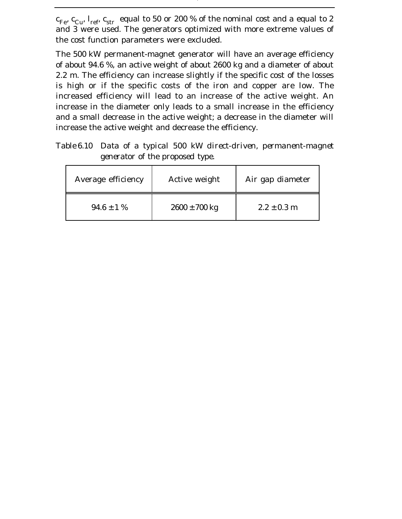$c_{\text{Fe}}$ ,  $c_{\text{Cu}}$ ,  $l_{\text{ref}}$ ,  $c_{\text{str}}$  equal to 50 or 200 % of the nominal cost and *a* equal to 2 and 3 were used. The generators optimized with more extreme values of the cost function parameters were excluded.

The 500 kW permanent-magnet generator will have an average efficiency of about 94.6 %, an active weight of about 2600 kg and a diameter of about 2.2 m. The efficiency can increase slightly if the specific cost of the losses is high or if the specific costs of the iron and copper are low. The increased efficiency will lead to an increase of the active weight. An increase in the diameter only leads to a small increase in the efficiency and a small decrease in the active weight; a decrease in the diameter will increase the active weight and decrease the efficiency.

*Table 6.10 Data of a typical 500 kW direct-driven, permanent-magnet generator of the proposed type.*

| Average efficiency | Active weight     | Air gap diameter |
|--------------------|-------------------|------------------|
| $94.6 \pm 1 \%$    | $2600 \pm 700$ kg | $2.2 \pm 0.3$ m  |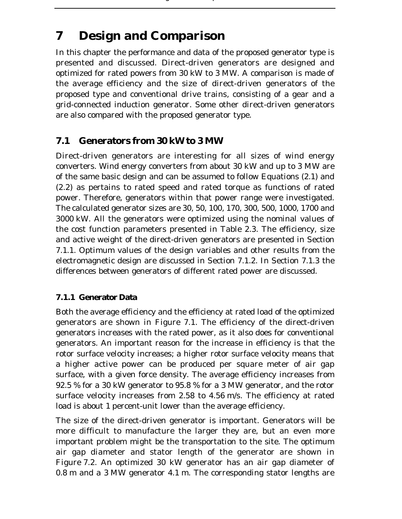# **7 Design and Comparison**

In this chapter the performance and data of the proposed generator type is presented and discussed. Direct-driven generators are designed and optimized for rated powers from 30 kW to 3 MW. A comparison is made of the average efficiency and the size of direct-driven generators of the proposed type and conventional drive trains, consisting of a gear and a grid-connected induction generator. Some other direct-driven generators are also compared with the proposed generator type.

# **7.1 Generators from 30 kW to 3 MW**

Direct-driven generators are interesting for all sizes of wind energy converters. Wind energy converters from about 30 kW and up to 3 MW are of the same basic design and can be assumed to follow Equations (2.1) and (2.2) as pertains to rated speed and rated torque as functions of rated power. Therefore, generators within that power range were investigated. The calculated generator sizes are 30, 50, 100, 170, 300, 500, 1000, 1700 and 3000 kW. All the generators were optimized using the nominal values of the cost function parameters presented in Table 2.3. The efficiency, size and active weight of the direct-driven generators are presented in Section 7.1.1. Optimum values of the design variables and other results from the electromagnetic design are discussed in Section 7.1.2. In Section 7.1.3 the differences between generators of different rated power are discussed.

### **7.1.1 Generator Data**

Both the average efficiency and the efficiency at rated load of the optimized generators are shown in Figure 7.1. The efficiency of the direct-driven generators increases with the rated power, as it also does for conventional generators. An important reason for the increase in efficiency is that the rotor surface velocity increases; a higher rotor surface velocity means that a higher active power can be produced per square meter of air gap surface, with a given force density. The average efficiency increases from 92.5 % for a 30 kW generator to 95.8 % for a 3 MW generator, and the rotor surface velocity increases from 2.58 to 4.56 m/s. The efficiency at rated load is about 1 percent-unit lower than the average efficiency.

The size of the direct-driven generator is important. Generators will be more difficult to manufacture the larger they are, but an even more important problem might be the transportation to the site. The optimum air gap diameter and stator length of the generator are shown in Figure 7.2. An optimized 30 kW generator has an air gap diameter of 0.8 m and a 3 MW generator 4.1 m. The corresponding stator lengths are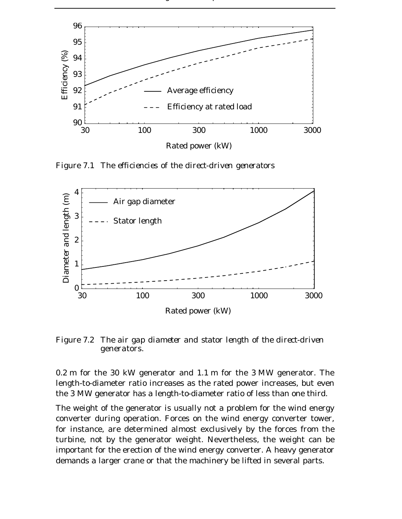

*Figure 7.1 The efficiencies of the direct-driven generators*



*Figure 7.2 The air gap diameter and stator length of the direct-driven generators.*

0.2 m for the 30 kW generator and 1.1 m for the 3 MW generator. The length-to-diameter ratio increases as the rated power increases, but even the 3 MW generator has a length-to-diameter ratio of less than one third.

The weight of the generator is usually not a problem for the wind energy converter during operation. Forces on the wind energy converter tower, for instance, are determined almost exclusively by the forces from the turbine, not by the generator weight. Nevertheless, the weight can be important for the erection of the wind energy converter. A heavy generator demands a larger crane or that the machinery be lifted in several parts.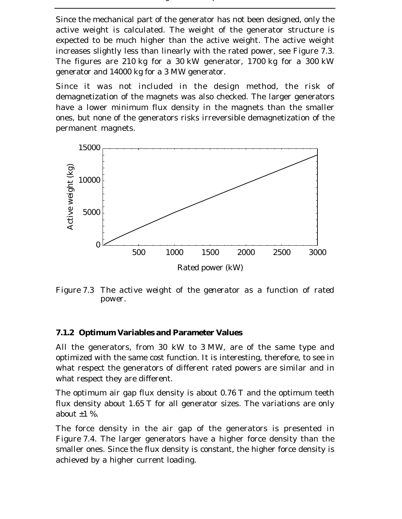Since the mechanical part of the generator has not been designed, only the active weight is calculated. The weight of the generator structure is expected to be much higher than the active weight. The active weight increases slightly less than linearly with the rated power, see Figure 7.3. The figures are 210 kg for a 30 kW generator, 1700 kg for a 300 kW generator and 14000 kg for a 3 MW generator.

Since it was not included in the design method, the risk of demagnetization of the magnets was also checked. The larger generators have a lower minimum flux density in the magnets than the smaller ones, but none of the generators risks irreversible demagnetization of the permanent magnets.



*Figure 7.3 The active weight of the generator as a function of rated power.*

#### **7.1.2 Optimum Variables and Parameter Values**

All the generators, from 30 kW to 3 MW, are of the same type and optimized with the same cost function. It is interesting, therefore, to see in what respect the generators of different rated powers are similar and in what respect they are different.

The optimum air gap flux density is about 0.76 T and the optimum teeth flux density about 1.65 T for all generator sizes. The variations are only about  $\pm 1$  %.

The force density in the air gap of the generators is presented in Figure 7.4. The larger generators have a higher force density than the smaller ones. Since the flux density is constant, the higher force density is achieved by a higher current loading.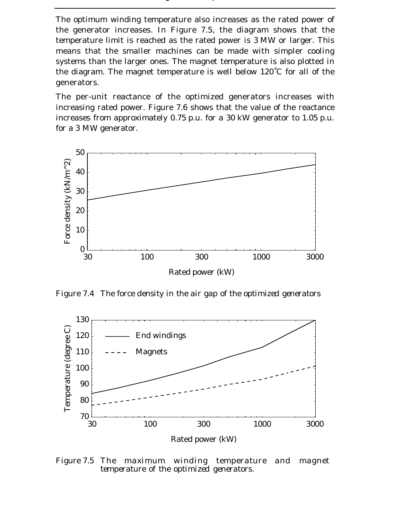The optimum winding temperature also increases as the rated power of the generator increases. In Figure 7.5, the diagram shows that the temperature limit is reached as the rated power is 3 MW or larger. This means that the smaller machines can be made with simpler cooling systems than the larger ones. The magnet temperature is also plotted in the diagram. The magnet temperature is well below 120˚C for all of the generators.

The per-unit reactance of the optimized generators increases with increasing rated power. Figure 7.6 shows that the value of the reactance increases from approximately 0.75 p.u. for a 30 kW generator to 1.05 p.u. for a 3 MW generator.



*Figure 7.4 The force density in the air gap of the optimized generators*



*Figure 7.5 The maximum winding temperature and magnet temperature of the optimized generators.*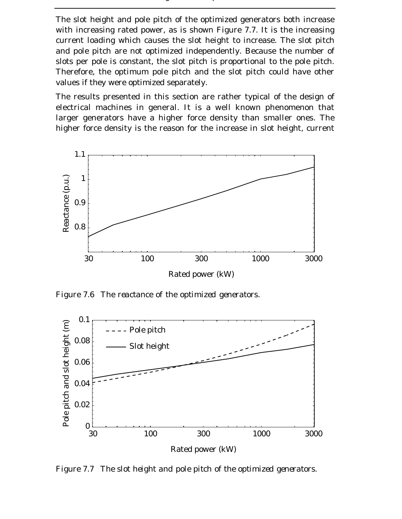The slot height and pole pitch of the optimized generators both increase with increasing rated power, as is shown Figure 7.7. It is the increasing current loading which causes the slot height to increase. The slot pitch and pole pitch are not optimized independently. Because the number of slots per pole is constant, the slot pitch is proportional to the pole pitch. Therefore, the optimum pole pitch and the slot pitch could have other values if they were optimized separately.

The results presented in this section are rather typical of the design of electrical machines in general. It is a well known phenomenon that larger generators have a higher force density than smaller ones. The higher force density is the reason for the increase in slot height, current



*Figure 7.6 The reactance of the optimized generators.*



*Figure 7.7 The slot height and pole pitch of the optimized generators.*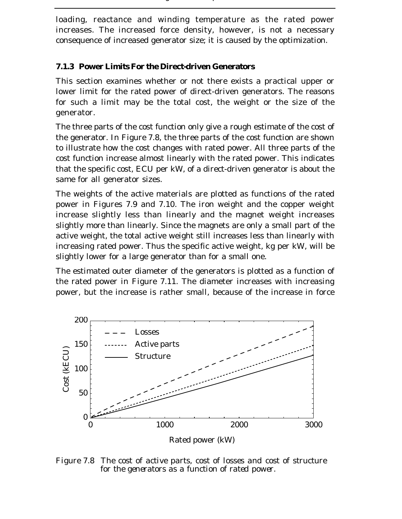loading, reactance and winding temperature as the rated power increases. The increased force density, however, is not a necessary consequence of increased generator size; it is caused by the optimization.

## **7.1.3 Power Limits For the Direct-driven Generators**

This section examines whether or not there exists a practical upper or lower limit for the rated power of direct-driven generators. The reasons for such a limit may be the total cost, the weight or the size of the generator.

The three parts of the cost function only give a rough estimate of the cost of the generator. In Figure 7.8, the three parts of the cost function are shown to illustrate how the cost changes with rated power. All three parts of the cost function increase almost linearly with the rated power. This indicates that the specific cost, ECU per kW, of a direct-driven generator is about the same for all generator sizes.

The weights of the active materials are plotted as functions of the rated power in Figures 7.9 and 7.10. The iron weight and the copper weight increase slightly less than linearly and the magnet weight increases slightly more than linearly. Since the magnets are only a small part of the active weight, the total active weight still increases less than linearly with increasing rated power. Thus the specific active weight, kg per kW, will be slightly lower for a large generator than for a small one.

The estimated outer diameter of the generators is plotted as a function of the rated power in Figure 7.11. The diameter increases with increasing power, but the increase is rather small, because of the increase in force



*Figure 7.8 The cost of active parts, cost of losses and cost of structure for the generators as a function of rated power.*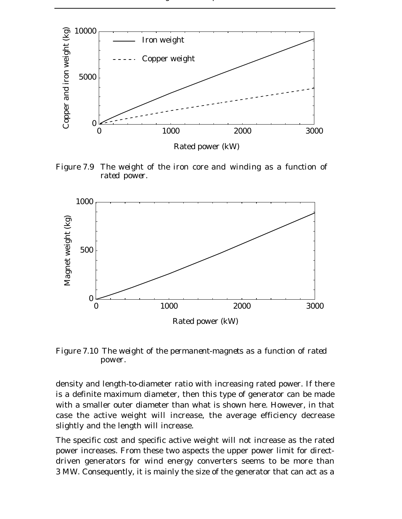

*Figure 7.9 The weight of the iron core and winding as a function of rated power.*



*Figure 7.10 The weight of the permanent-magnets as a function of rated power.*

density and length-to-diameter ratio with increasing rated power. If there is a definite maximum diameter, then this type of generator can be made with a smaller outer diameter than what is shown here. However, in that case the active weight will increase, the average efficiency decrease slightly and the length will increase.

The specific cost and specific active weight will not increase as the rated power increases. From these two aspects the upper power limit for directdriven generators for wind energy converters seems to be more than 3 MW. Consequently, it is mainly the size of the generator that can act as a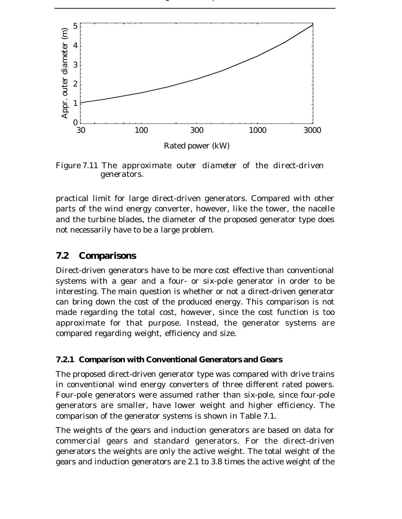

*Figure 7.11 The approximate outer diameter of the direct-driven generators.*

practical limit for large direct-driven generators. Compared with other parts of the wind energy converter, however, like the tower, the nacelle and the turbine blades, the diameter of the proposed generator type does not necessarily have to be a large problem.

### **7.2 Comparisons**

Direct-driven generators have to be more cost effective than conventional systems with a gear and a four- or six-pole generator in order to be interesting. The main question is whether or not a direct-driven generator can bring down the cost of the produced energy. This comparison is not made regarding the total cost, however, since the cost function is too approximate for that purpose. Instead, the generator systems are compared regarding weight, efficiency and size.

### **7.2.1 Comparison with Conventional Generators and Gears**

The proposed direct-driven generator type was compared with drive trains in conventional wind energy converters of three different rated powers. Four-pole generators were assumed rather than six-pole, since four-pole generators are smaller, have lower weight and higher efficiency. The comparison of the generator systems is shown in Table 7.1.

The weights of the gears and induction generators are based on data for commercial gears and standard generators. For the direct-driven generators the weights are only the active weight. The total weight of the gears and induction generators are 2.1 to 3.8 times the active weight of the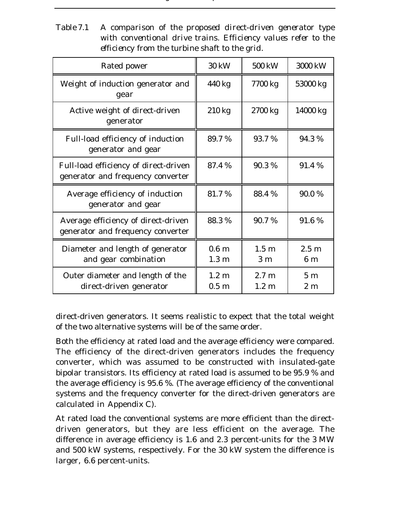| <b>Rated power</b>                                                         | <b>30 kW</b>                         | 500 kW                              | 3000 kW                            |
|----------------------------------------------------------------------------|--------------------------------------|-------------------------------------|------------------------------------|
| Weight of induction generator and<br>gear                                  | 440 kg                               | 7700 kg                             | 53000 kg                           |
| Active weight of direct-driven<br>generator                                | $210 \text{ kg}$                     | 2700 kg                             | 14000 kg                           |
| Full-load efficiency of induction<br>generator and gear                    | 89.7%                                | 93.7%                               | 94.3%                              |
| Full-load efficiency of direct-driven<br>generator and frequency converter | 87.4%                                | 90.3%                               | 91.4%                              |
| Average efficiency of induction<br>generator and gear                      | 81.7%                                | 88.4%                               | 90.0%                              |
| Average efficiency of direct-driven<br>generator and frequency converter   | 88.3%                                | 90.7%                               | 91.6%                              |
| Diameter and length of generator<br>and gear combination                   | 0.6 <sub>m</sub><br>1.3 <sub>m</sub> | $1.5 \text{ m}$<br>3 <sub>m</sub>   | 2.5 <sub>m</sub><br>6 <sub>m</sub> |
| Outer diameter and length of the<br>direct-driven generator                | $1.2 \text{ m}$<br>0.5 <sub>m</sub>  | 2.7 <sub>m</sub><br>$1.2 \text{ m}$ | 5 <sub>m</sub><br>2m               |

*Table 7.1 A comparison of the proposed direct-driven generator type with conventional drive trains. Efficiency values refer to the efficiency from the turbine shaft to the grid.*

direct-driven generators. It seems realistic to expect that the total weight of the two alternative systems will be of the same order.

Both the efficiency at rated load and the average efficiency were compared. The efficiency of the direct-driven generators includes the frequency converter, which was assumed to be constructed with insulated-gate bipolar transistors. Its efficiency at rated load is assumed to be 95.9 % and the average efficiency is 95.6 %. (The average efficiency of the conventional systems and the frequency converter for the direct-driven generators are calculated in Appendix C).

At rated load the conventional systems are more efficient than the directdriven generators, but they are less efficient on the average. The difference in average efficiency is 1.6 and 2.3 percent-units for the 3 MW and 500 kW systems, respectively. For the 30 kW system the difference is larger, 6.6 percent-units.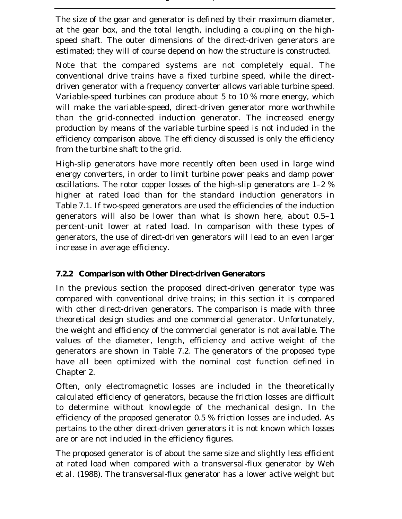The size of the gear and generator is defined by their maximum diameter, at the gear box, and the total length, including a coupling on the highspeed shaft. The outer dimensions of the direct-driven generators are estimated; they will of course depend on how the structure is constructed.

Note that the compared systems are not completely equal. The conventional drive trains have a fixed turbine speed, while the directdriven generator with a frequency converter allows variable turbine speed. Variable-speed turbines can produce about 5 to 10 % more energy, which will make the variable-speed, direct-driven generator more worthwhile than the grid-connected induction generator. The increased energy production by means of the variable turbine speed is not included in the efficiency comparison above. The efficiency discussed is only the efficiency from the turbine shaft to the grid.

High-slip generators have more recently often been used in large wind energy converters, in order to limit turbine power peaks and damp power oscillations. The rotor copper losses of the high-slip generators are 1–2 % higher at rated load than for the standard induction generators in Table 7.1. If two-speed generators are used the efficiencies of the induction generators will also be lower than what is shown here, about 0.5–1 percent-unit lower at rated load. In comparison with these types of generators, the use of direct-driven generators will lead to an even larger increase in average efficiency.

### **7.2.2 Comparison with Other Direct-driven Generators**

In the previous section the proposed direct-driven generator type was compared with conventional drive trains; in this section it is compared with other direct-driven generators. The comparison is made with three theoretical design studies and one commercial generator. Unfortunately, the weight and efficiency of the commercial generator is not available. The values of the diameter, length, efficiency and active weight of the generators are shown in Table 7.2. The generators of the proposed type have all been optimized with the nominal cost function defined in Chapter 2.

Often, only electromagnetic losses are included in the theoretically calculated efficiency of generators, because the friction losses are difficult to determine without knowlegde of the mechanical design. In the efficiency of the proposed generator 0.5 % friction losses are included. As pertains to the other direct-driven generators it is not known which losses are or are not included in the efficiency figures.

The proposed generator is of about the same size and slightly less efficient at rated load when compared with a transversal-flux generator by Weh et al. (1988). The transversal-flux generator has a lower active weight but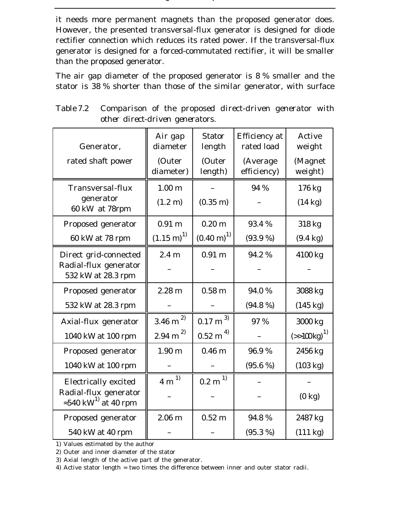it needs more permanent magnets than the proposed generator does. However, the presented transversal-flux generator is designed for diode rectifier connection which reduces its rated power. If the transversal-flux generator is designed for a forced-commutated rectifier, it will be smaller than the proposed generator.

The air gap diameter of the proposed generator is 8 % smaller and the stator is 38 % shorter than those of the similar generator, with surface

| Generator,<br>rated shaft power                                                                  | Air gap<br>diameter<br>(Outer<br>diameter)  | <b>Stator</b><br>length<br>(Outer<br>length)      | <b>Efficiency</b> at<br>rated load<br>(Average<br>efficiency) | <b>Active</b><br>weight<br>(Magnet<br>weight) |
|--------------------------------------------------------------------------------------------------|---------------------------------------------|---------------------------------------------------|---------------------------------------------------------------|-----------------------------------------------|
| Transversal-flux<br>generator<br>60 kW at 78rpm                                                  | 1.00 <sub>m</sub><br>$(1.2 \;{\rm m})$      | $(0.35 \;{\rm m})$                                | 94 %                                                          | 176 kg<br>$(14 \text{ kg})$                   |
| Proposed generator<br>60 kW at 78 rpm                                                            | 0.91 <sub>m</sub><br>$(1.15 \text{ m})^{1}$ | 0.20 <sub>m</sub><br>$(0.40 \text{ m})^{1}$       | 93.4 %<br>(93.9%                                              | 318 kg<br>$(9.4 \text{ kg})$                  |
| Direct grid-connected<br>Radial-flux generator<br>532 kW at 28.3 rpm                             | 2.4 <sub>m</sub>                            | $0.91$ m                                          | 94.2%                                                         | 4100 kg                                       |
| Proposed generator<br>532 kW at 28.3 rpm                                                         | 2.28 <sub>m</sub>                           | 0.58 <sub>m</sub>                                 | 94.0%<br>$(94.8\%)$                                           | 3088 kg<br>$(145 \text{ kg})$                 |
| Axial-flux generator<br>1040 kW at 100 rpm                                                       | 3.46 m $^{2)}$<br>$2.94 \text{ m}^{2}$      | 3)<br>0.17 <sub>m</sub><br>4)<br>$0.52 \text{ m}$ | 97 %                                                          | 3000 kg<br>$(>100 \text{ kg})^{1}$            |
| Proposed generator<br>1040 kW at 100 rpm                                                         | 1.90 <sub>m</sub>                           | 0.46 <sub>m</sub>                                 | 96.9%<br>(95.6 %)                                             | 2456 kg<br>(103 kg)                           |
| <b>Electrically excited</b><br>Radial-flux generator<br>$\approx$ 540 kW <sup>1)</sup> at 40 rpm | $4~\mathrm{m}$ $^{\mathrm{1)}}$             | $0.2~{\rm m}^{1)}$                                |                                                               | $(0 \text{ kg})$                              |
| Proposed generator<br>540 kW at 40 rpm                                                           | 2.06 <sub>m</sub>                           | $0.52$ m                                          | 94.8%<br>(95.3 %)                                             | 2487 kg<br>$(111 \text{ kg})$                 |

*Table 7.2 Comparison of the proposed direct-driven generator with other direct-driven generators.*

1) Values estimated by the author

2) Outer and inner diameter of the stator

3) Axial length of the active part of the generator.

4) Active stator length = two times the difference between inner and outer stator radii.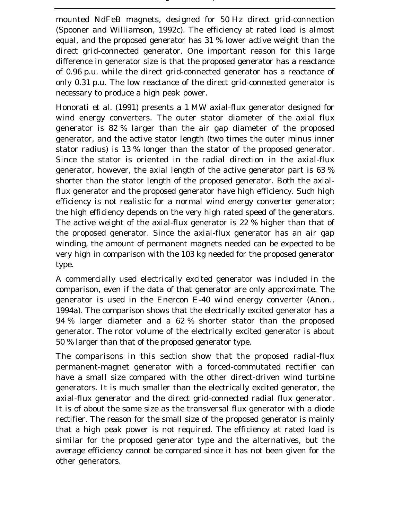mounted NdFeB magnets, designed for 50 Hz direct grid-connection (Spooner and Williamson, 1992c). The efficiency at rated load is almost equal, and the proposed generator has 31 % lower active weight than the direct grid-connected generator. One important reason for this large difference in generator size is that the proposed generator has a reactance of 0.96 p.u. while the direct grid-connected generator has a reactance of only 0.31 p.u. The low reactance of the direct grid-connected generator is necessary to produce a high peak power.

Honorati et al. (1991) presents a 1 MW axial-flux generator designed for wind energy converters. The outer stator diameter of the axial flux generator is 82 % larger than the air gap diameter of the proposed generator, and the active stator length (two times the outer minus inner stator radius) is 13 % longer than the stator of the proposed generator. Since the stator is oriented in the radial direction in the axial-flux generator, however, the axial length of the active generator part is 63 % shorter than the stator length of the proposed generator. Both the axialflux generator and the proposed generator have high efficiency. Such high efficiency is not realistic for a normal wind energy converter generator; the high efficiency depends on the very high rated speed of the generators. The active weight of the axial-flux generator is 22 % higher than that of the proposed generator. Since the axial-flux generator has an air gap winding, the amount of permanent magnets needed can be expected to be very high in comparison with the 103 kg needed for the proposed generator type.

A commercially used electrically excited generator was included in the comparison, even if the data of that generator are only approximate. The generator is used in the Enercon E-40 wind energy converter (Anon., 1994a). The comparison shows that the electrically excited generator has a 94 % larger diameter and a 62 % shorter stator than the proposed generator. The rotor volume of the electrically excited generator is about 50 % larger than that of the proposed generator type.

The comparisons in this section show that the proposed radial-flux permanent-magnet generator with a forced-commutated rectifier can have a small size compared with the other direct-driven wind turbine generators. It is much smaller than the electrically excited generator, the axial-flux generator and the direct grid-connected radial flux generator. It is of about the same size as the transversal flux generator with a diode rectifier. The reason for the small size of the proposed generator is mainly that a high peak power is not required. The efficiency at rated load is similar for the proposed generator type and the alternatives, but the average efficiency cannot be compared since it has not been given for the other generators.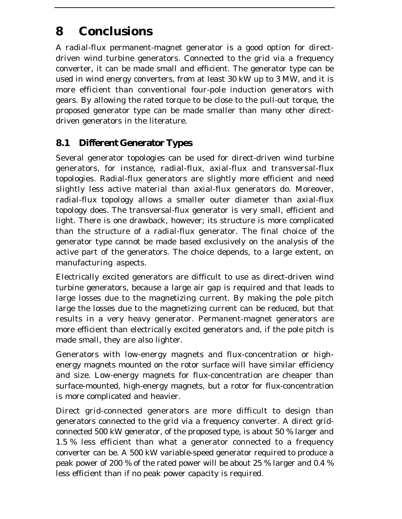# **8 Conclusions**

A radial-flux permanent-magnet generator is a good option for directdriven wind turbine generators. Connected to the grid via a frequency converter, it can be made small and efficient. The generator type can be used in wind energy converters, from at least 30 kW up to 3 MW, and it is more efficient than conventional four-pole induction generators with gears. By allowing the rated torque to be close to the pull-out torque, the proposed generator type can be made smaller than many other directdriven generators in the literature.

# **8.1 Different Generator Types**

Several generator topologies can be used for direct-driven wind turbine generators, for instance, radial-flux, axial-flux and transversal-flux topologies. Radial-flux generators are slightly more efficient and need slightly less active material than axial-flux generators do. Moreover, radial-flux topology allows a smaller outer diameter than axial-flux topology does. The transversal-flux generator is very small, efficient and light. There is one drawback, however; its structure is more complicated than the structure of a radial-flux generator. The final choice of the generator type cannot be made based exclusively on the analysis of the active part of the generators. The choice depends, to a large extent, on manufacturing aspects.

Electrically excited generators are difficult to use as direct-driven wind turbine generators, because a large air gap is required and that leads to large losses due to the magnetizing current. By making the pole pitch large the losses due to the magnetizing current can be reduced, but that results in a very heavy generator. Permanent-magnet generators are more efficient than electrically excited generators and, if the pole pitch is made small, they are also lighter.

Generators with low-energy magnets and flux-concentration or highenergy magnets mounted on the rotor surface will have similar efficiency and size. Low-energy magnets for flux-concentration are cheaper than surface-mounted, high-energy magnets, but a rotor for flux-concentration is more complicated and heavier.

Direct grid-connected generators are more difficult to design than generators connected to the grid via a frequency converter. A direct gridconnected 500 kW generator, of the proposed type, is about 50 % larger and 1.5 % less efficient than what a generator connected to a frequency converter can be. A 500 kW variable-speed generator required to produce a peak power of 200 % of the rated power will be about 25 % larger and 0.4 % less efficient than if no peak power capacity is required.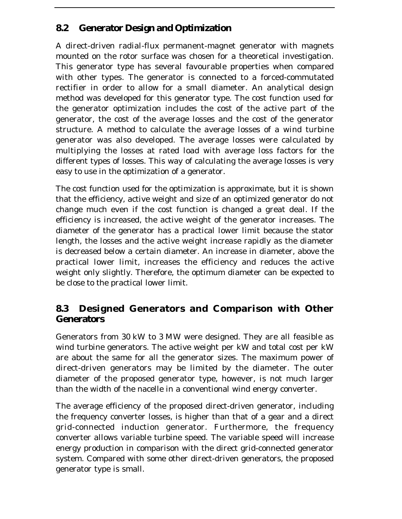# **8.2 Generator Design and Optimization**

A direct-driven radial-flux permanent-magnet generator with magnets mounted on the rotor surface was chosen for a theoretical investigation. This generator type has several favourable properties when compared with other types. The generator is connected to a forced-commutated rectifier in order to allow for a small diameter. An analytical design method was developed for this generator type. The cost function used for the generator optimization includes the cost of the active part of the generator, the cost of the average losses and the cost of the generator structure. A method to calculate the average losses of a wind turbine generator was also developed. The average losses were calculated by multiplying the losses at rated load with average loss factors for the different types of losses. This way of calculating the average losses is very easy to use in the optimization of a generator.

The cost function used for the optimization is approximate, but it is shown that the efficiency, active weight and size of an optimized generator do not change much even if the cost function is changed a great deal. If the efficiency is increased, the active weight of the generator increases. The diameter of the generator has a practical lower limit because the stator length, the losses and the active weight increase rapidly as the diameter is decreased below a certain diameter. An increase in diameter, above the practical lower limit, increases the efficiency and reduces the active weight only slightly. Therefore, the optimum diameter can be expected to be close to the practical lower limit.

# **8.3 Designed Generators and Comparison with Other Generators**

Generators from 30 kW to 3 MW were designed. They are all feasible as wind turbine generators. The active weight per kW and total cost per kW are about the same for all the generator sizes. The maximum power of direct-driven generators may be limited by the diameter. The outer diameter of the proposed generator type, however, is not much larger than the width of the nacelle in a conventional wind energy converter.

The average efficiency of the proposed direct-driven generator, including the frequency converter losses, is higher than that of a gear and a direct grid-connected induction generator. Furthermore, the frequency converter allows variable turbine speed. The variable speed will increase energy production in comparison with the direct grid-connected generator system. Compared with some other direct-driven generators, the proposed generator type is small.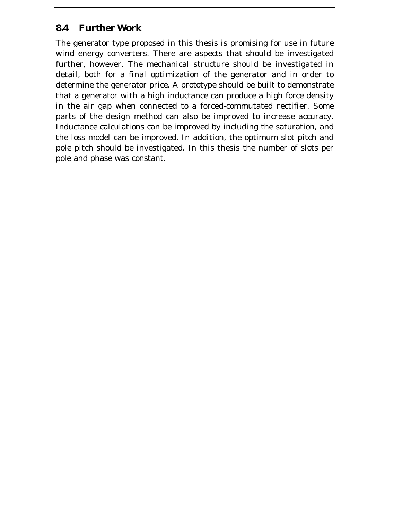# **8.4 Further Work**

The generator type proposed in this thesis is promising for use in future wind energy converters. There are aspects that should be investigated further, however. The mechanical structure should be investigated in detail, both for a final optimization of the generator and in order to determine the generator price. A prototype should be built to demonstrate that a generator with a high inductance can produce a high force density in the air gap when connected to a forced-commutated rectifier. Some parts of the design method can also be improved to increase accuracy. Inductance calculations can be improved by including the saturation, and the loss model can be improved. In addition, the optimum slot pitch and pole pitch should be investigated. In this thesis the number of slots per pole and phase was constant.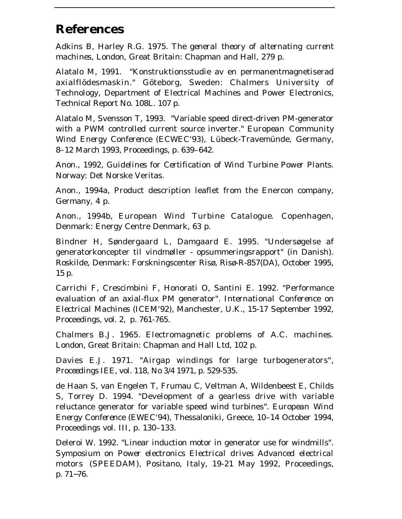# **References**

Adkins B, Harley R.G. 1975. *The general theory of alternating current machines*, London, Great Britain: Chapman and Hall, 279 p.

Alatalo M, 1991. "Konstruktionsstudie av en permanentmagnetiserad axialflödesmaskin." Göteborg, Sweden: Chalmers University of Technology, Department of Electrical Machines and Power Electronics, Technical Report No. 108L. 107 p.

Alatalo M, Svensson T, 1993. "Variable speed direct-driven PM-generator with a PWM controlled current source inverter." *European Community Wind Energy Conference (ECWEC'93)*, Lübeck-Travemünde, Germany, 8–12 March 1993, Proceedings, p. 639–642.

Anon., 1992, *Guidelines for Certification of Wind Turbine Power Plants*. Norway: Det Norske Veritas.

Anon., 1994a, Product description leaflet from the Enercon company, Germany, 4 p.

Anon., 1994b, *European Wind Turbine Catalogue*. Copenhagen, Denmark: Energy Centre Denmark, 63 p.

Bindner H, Søndergaard L, Damgaard E. 1995. "Undersøgelse af generatorkoncepter til vindmøller - opsummeringsrapport" (in Danish). Roskilde, Denmark: Forskningscenter Risø, Risø-R-857(DA), October 1995, 15 p.

Carrichi F, Crescimbini F, Honorati O, Santini E. 1992. "Performance evaluation of an axial-flux PM generator". *International Conference on Electrical Machines (ICEM'92)*, Manchester, U.K., 15-17 September 1992, Proceedings, vol. 2, p. 761-765.

Chalmers B.J. 1965. *Electromagnetic problems of A.C. machines*. London, Great Britain: Chapman and Hall Ltd, 102 p.

Davies E.J. 1971. "Airgap windings for large turbogenerators", *Proceedings IEE*, vol. 118, No 3/4 1971, p. 529-535.

de Haan S, van Engelen T, Frumau C, Veltman A, Wildenbeest E, Childs S, Torrey D. 1994. "Development of a gearless drive with variable reluctance generator for variable speed wind turbines". *European Wind Energy Conference (EWEC'94)*, Thessaloniki, Greece, 10–14 October 1994, Proceedings vol. III, p. 130–133.

Deleroi W. 1992. "Linear induction motor in generator use for windmills". *Symposium on Power electronics Electrical drives Advanced electrical motors (SPEEDAM)*, Positano, Italy, 19-21 May 1992, Proceedings, p. 71−76.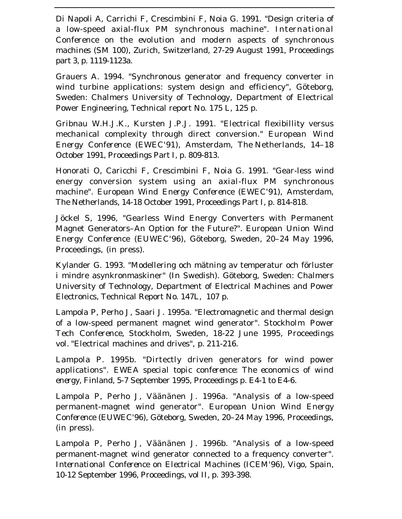Di Napoli A, Carrichi F, Crescimbini F, Noia G. 1991. "Design criteria of a low-speed axial-flux PM synchronous machine". *International Conference on the evolution and modern aspects of synchronous machines (SM 100)*, Zurich, Switzerland, 27-29 August 1991, Proceedings part 3, p. 1119-1123a.

Grauers A. 1994. "Synchronous generator and frequency converter in wind turbine applications: system design and efficiency", Göteborg, Sweden: Chalmers University of Technology, Department of Electrical Power Engineering, Technical report No. 175 L, 125 p.

Gribnau W.H.J.K., Kursten J.P.J. 1991. "Electrical flexibillity versus mechanical complexity through direct conversion." *European Wind Energy Conference (EWEC'91)*, Amsterdam, The Netherlands, 14–18 October 1991, Proceedings Part I, p. 809-813.

Honorati O, Caricchi F, Crescimbini F, Noia G. 1991. "Gear-less wind energy conversion system using an axial-flux PM synchronous machine". *European Wind Energy Conference (EWEC'91)*, Amsterdam, The Netherlands, 14-18 October 1991, Proceedings Part I, p. 814-818.

Jöckel S, 1996, "Gearless Wind Energy Converters with Permanent Magnet Generators–An Option for the Future?". *European Union Wind Energy Conference (EUWEC'96)*, Göteborg, Sweden, 20–24 May 1996, Proceedings, (in press).

Kylander G. 1993. "Modellering och mätning av temperatur och förluster i mindre asynkronmaskiner" (In Swedish). Göteborg, Sweden: Chalmers University of Technology, Department of Electrical Machines and Power Electronics, Technical Report No. 147L, 107 p.

Lampola P, Perho J, Saari J. 1995a. "Electromagnetic and thermal design of a low-speed permanent magnet wind generator". *Stockholm Power Tech Conference*, Stockholm, Sweden, 18-22 June 1995, Proceedings vol. "Electrical machines and drives", p. 211-216.

Lampola P. 1995b. "Dirtectly driven generators for wind power applications". *EWEA special topic conference: The economics of wind energy*, Finland, 5-7 September 1995, Proceedings p. E4-1 to E4-6.

Lampola P, Perho J, Väänänen J. 1996a. "Analysis of a low-speed permanent-magnet wind generator". *European Union Wind Energy Conference (EUWEC'96)*, Göteborg, Sweden, 20–24 May 1996, Proceedings, (in press).

Lampola P, Perho J, Väänänen J. 1996b. "Analysis of a low-speed permanent-magnet wind generator connected to a frequency converter". *International Conference on Electrical Machines (ICEM'96)*, Vigo, Spain, 10-12 September 1996, Proceedings, vol II, p. 393-398.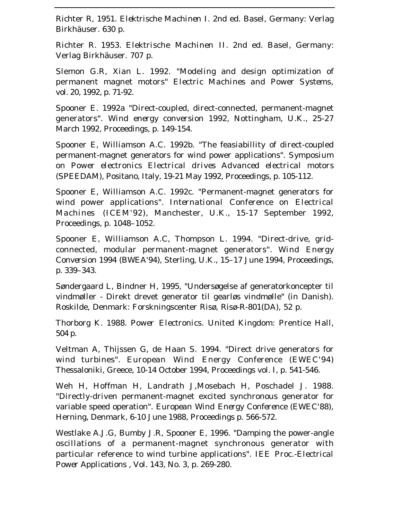Richter R, 1951. *Elektrische Machinen I*. 2nd ed. Basel, Germany: Verlag Birkhäuser. 630 p.

Richter R. 1953. *Elektrische Machinen II*. 2nd ed. Basel, Germany: Verlag Birkhäuser. 707 p.

Slemon G.R, Xian L. 1992. "Modeling and design optimization of permanent magnet motors" *Electric Machines and Power Systems*, vol. 20, 1992, p. 71-92.

Spooner E. 1992a "Direct-coupled, direct-connected, permanent-magnet generators". *Wind energy conversion 1992*, Nottingham, U.K., 25-27 March 1992, Proceedings, p. 149-154.

Spooner E, Williamson A.C. 1992b. "The feasiabillity of direct-coupled permanent-magnet generators for wind power applications". *Symposium on Power electronics Electrical drives Advanced electrical motors (SPEEDAM)*, Positano, Italy, 19-21 May 1992, Proceedings, p. 105-112.

Spooner E, Williamson A.C. 1992c. "Permanent-magnet generators for wind power applications". *International Conference on Electrical Machines (ICEM'92)*, Manchester, U.K., 15-17 September 1992, Proceedings, p. 1048–1052.

Spooner E, Williamson A.C, Thompson L. 1994. "Direct-drive, gridconnected, modular permanent-magnet generators". *Wind Energy Conversion 1994 (BWEA'94)*, Sterling, U.K., 15–17 June 1994, Proceedings, p. 339–343.

Søndergaard L, Bindner H, 1995, "Undersøgelse af generatorkoncepter til vindmøller - Direkt drevet generator til gearløs vindmølle" (in Danish). Roskilde, Denmark: Forskningscenter Risø, Risø-R-801(DA), 52 p.

Thorborg K. 1988. *Power Electronics*. United Kingdom: Prentice Hall, 504 p.

Veltman A, Thijssen G, de Haan S. 1994. "Direct drive generators for wind turbines". *European Wind Energy Conference (EWEC'94)* Thessaloniki, Greece, 10-14 October 1994, Proceedings vol. I, p. 541-546.

Weh H, Hoffman H, Landrath J,Mosebach H, Poschadel J. 1988. "Directly-driven permanent-magnet excited synchronous generator for variable speed operation". *European Wind Energy Conference (EWEC'88)*, Herning, Denmark, 6-10 June 1988, Proceedings p. 566-572.

Westlake A.J.G, Bumby J.R, Spooner E, 1996. "Damping the power-angle oscillations of a permanent-magnet synchronous generator with particular reference to wind turbine applications". *IEE Proc.-Electrical Power Applications* , Vol. 143, No. 3, p. 269-280.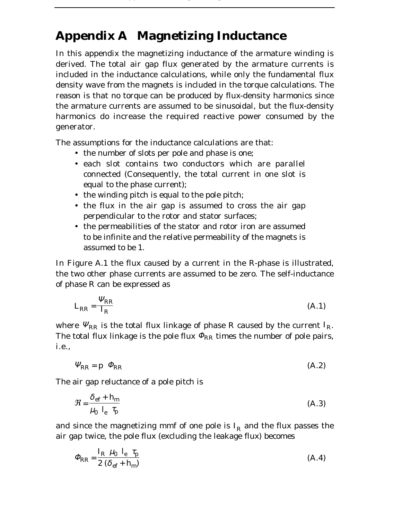# **Appendix A Magnetizing Inductance**

In this appendix the magnetizing inductance of the armature winding is derived. The total air gap flux generated by the armature currents is included in the inductance calculations, while only the fundamental flux density wave from the magnets is included in the torque calculations. The reason is that no torque can be produced by flux-density harmonics since the armature currents are assumed to be sinusoidal, but the flux-density harmonics do increase the required reactive power consumed by the generator.

The assumptions for the inductance calculations are that:

- the number of slots per pole and phase is one;
- each slot contains two conductors which are parallel connected (Consequently, the total current in one slot is equal to the phase current);
- the winding pitch is equal to the pole pitch;
- the flux in the air gap is assumed to cross the air gap perpendicular to the rotor and stator surfaces;
- the permeabilities of the stator and rotor iron are assumed to be infinite and the relative permeability of the magnets is assumed to be 1.

In Figure A.1 the flux caused by a current in the R-phase is illustrated, the two other phase currents are assumed to be zero. The self-inductance of phase R can be expressed as

$$
L_{\rm RR} = \frac{\Psi_{\rm RR}}{I_{\rm R}}\tag{A.1}
$$

where  $\Psi_{RR}$  is the total flux linkage of phase R caused by the current  $I_R$ . The total flux linkage is the pole flux  $\Phi_{RR}$  times the number of pole pairs, i.e.,

$$
\Psi_{\rm RR} = p \, \Phi_{\rm RR} \tag{A.2}
$$

The air gap reluctance of a pole pitch is

$$
\mathcal{R} = \frac{\delta_{\text{ef}} + h_{\text{m}}}{\mu_0 \, l_{\text{e}} \, \tau_p} \tag{A.3}
$$

and since the magnetizing mmf of one pole is  $I_R$  and the flux passes the air gap twice, the pole flux (excluding the leakage flux) becomes

$$
\Phi_{\rm RR} = \frac{I_{\rm R} \mu_0 I_{\rm e} \tau_p}{2 (\delta_{\rm ef} + h_{\rm m})}
$$
(A.4)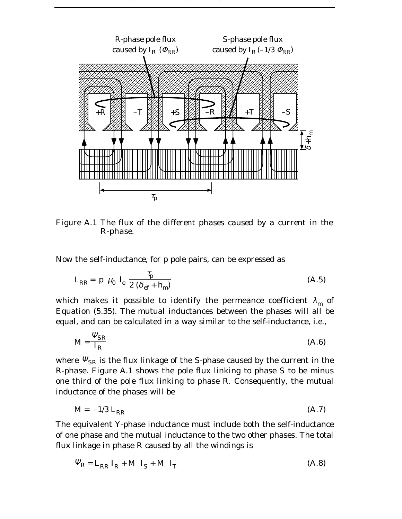

*Figure A.1 The flux of the different phases caused by a current in the R-phase.*

Now the self-inductance, for *p* pole pairs, can be expressed as

$$
L_{\rm RR} = p \mu_0 l_{\rm e} \frac{\tau_p}{2 (\delta_{\rm ef} + h_{\rm m})} \tag{A.5}
$$

which makes it possible to identify the permeance coefficient  $\lambda_{\rm m}$  of Equation (5.35). The mutual inductances between the phases will all be equal, and can be calculated in a way similar to the self-inductance, i.e.,

$$
M = \frac{\Psi_{\rm SR}}{I_{\rm R}}\tag{A.6}
$$

where  $\Psi_{SR}$  is the flux linkage of the S-phase caused by the current in the R-phase. Figure A.1 shows the pole flux linking to phase S to be minus one third of the pole flux linking to phase R. Consequently, the mutual inductance of the phases will be

$$
M = -1/3 L_{\rm RR} \tag{A.7}
$$

The equivalent Y-phase inductance must include both the self-inductance of one phase and the mutual inductance to the two other phases. The total flux linkage in phase R caused by all the windings is

$$
\Psi_{\mathcal{R}} = L_{\mathcal{R}\mathcal{R}} I_{\mathcal{R}} + M I_{\mathcal{S}} + M I_{\mathcal{T}}
$$
\n(A.8)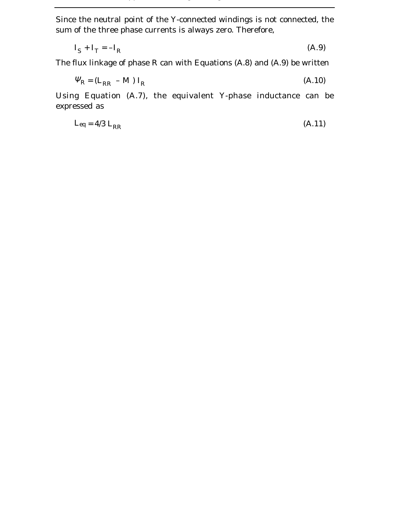Since the neutral point of the Y-connected windings is not connected, the sum of the three phase currents is always zero. Therefore,

$$
I_{\rm S} + I_{\rm T} = -I_{\rm R} \tag{A.9}
$$

The flux linkage of phase R can with Equations (A.8) and (A.9) be written

$$
\Psi_{\mathcal{R}} = (L_{\mathcal{R}\mathcal{R}} - M) I_{\mathcal{R}}
$$
 (A.10)

Using Equation (A.7), the equivalent Y-phase inductance can be expressed as

$$
L_{\text{eq}} = 4/3 \ L_{\text{RR}} \tag{A.11}
$$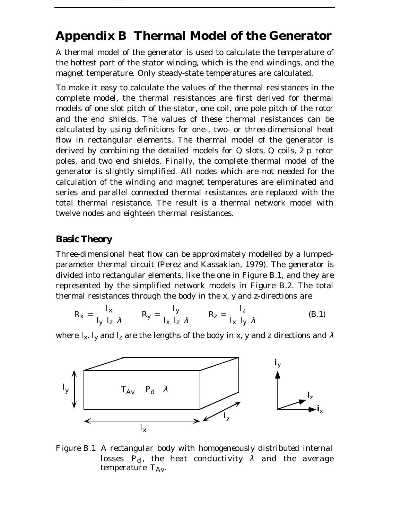# **Appendix B Thermal Model of the Generator**

A thermal model of the generator is used to calculate the temperature of the hottest part of the stator winding, which is the end windings, and the magnet temperature. Only steady-state temperatures are calculated.

To make it easy to calculate the values of the thermal resistances in the complete model, the thermal resistances are first derived for thermal models of one slot pitch of the stator, one coil, one pole pitch of the rotor and the end shields. The values of these thermal resistances can be calculated by using definitions for one-, two- or three-dimensional heat flow in rectangular elements. The thermal model of the generator is derived by combining the detailed models for *Q* slots, *Q* coils, 2 *p* rotor poles, and two end shields. Finally, the complete thermal model of the generator is slightly simplified. All nodes which are not needed for the calculation of the winding and magnet temperatures are eliminated and series and parallel connected thermal resistances are replaced with the total thermal resistance. The result is a thermal network model with twelve nodes and eighteen thermal resistances.

#### **Basic Theory**

Three-dimensional heat flow can be approximately modelled by a lumpedparameter thermal circuit (Perez and Kassakian, 1979). The generator is divided into rectangular elements, like the one in Figure B.1, and they are represented by the simplified network models in Figure B.2. The total thermal resistances through the body in the *x*, *y* and *z*-directions are

$$
R_X = \frac{l_X}{l_Y l_Z \lambda} \qquad R_Y = \frac{l_Y}{l_X l_Z \lambda} \qquad R_Z = \frac{l_Z}{l_X l_Y \lambda} \qquad (B.1)
$$

where  $I_x$ ,  $I_y$  and  $I_z$  are the lengths of the body in *x*, *y* and *z* directions and  $\lambda$ 



*Figure B.1 A rectangular body with homogeneously distributed internal losses*  $P_d$ , the heat conductivity  $\lambda$  and the average *temperature TAv.*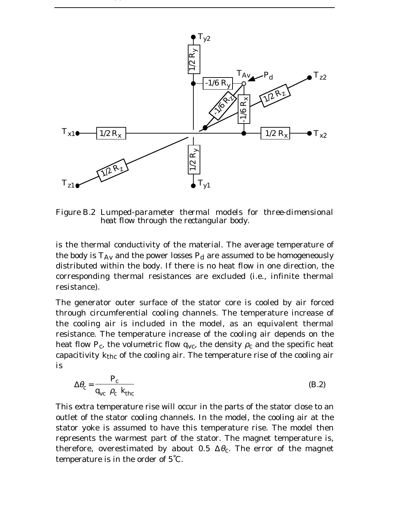



*Figure B.2 Lumped-parameter thermal models for three-dimensional heat flow through the rectangular body.*

is the thermal conductivity of the material. The average temperature of the body is  $T_{Av}$  and the power losses  $P_d$  are assumed to be homogeneously distributed within the body. If there is no heat flow in one direction, the corresponding thermal resistances are excluded (i.e., infinite thermal resistance).

The generator outer surface of the stator core is cooled by air forced through circumferential cooling channels. The temperature increase of the cooling air is included in the model, as an equivalent thermal resistance. The temperature increase of the cooling air depends on the heat flow  $P_c$ , the volumetric flow  $q_{vc}$ , the density  $\rho_c$  and the specific heat capacitivity *k*thc of the cooling air. The temperature rise of the cooling air is

$$
\Delta \theta_{\rm c} = \frac{P_{\rm c}}{q_{\rm vc} \ \rho_{\rm c} \ k_{\rm thc}} \tag{B.2}
$$

This extra temperature rise will occur in the parts of the stator close to an outlet of the stator cooling channels. In the model, the cooling air at the stator yoke is assumed to have this temperature rise. The model then represents the warmest part of the stator. The magnet temperature is, therefore, overestimated by about 0.5  $\Delta\theta_c$ . The error of the magnet temperature is in the order of 5˚C.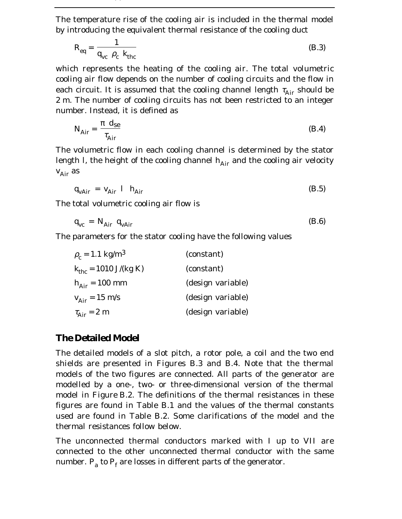The temperature rise of the cooling air is included in the thermal model by introducing the equivalent thermal resistance of the cooling duct

$$
R_{\text{eq}} = \frac{1}{q_{\text{vc}} \ \rho_{\text{c}} \ k_{\text{thc}}}
$$
 (B.3)

which represents the heating of the cooling air. The total volumetric cooling air flow depends on the number of cooling circuits and the flow in each circuit. It is assumed that the cooling channel length  $\tau_{Air}$  should be 2 m. The number of cooling circuits has not been restricted to an integer number. Instead, it is defined as

$$
N_{\text{Air}} = \frac{\pi \ d_{\text{se}}}{\tau_{\text{Air}}} \tag{B.4}
$$

The volumetric flow in each cooling channel is determined by the stator length *l*, the height of the cooling channel  $h_{\text{Air}}$  and the cooling air velocity  $v_{\text{Air}}$  as

$$
q_{\text{vAir}} = v_{\text{Air}} \cdot l \quad h_{\text{Air}} \tag{B.5}
$$

The total volumetric cooling air flow is

$$
q_{\rm vc} = N_{\rm Air} \, q_{\rm vAir} \tag{B.6}
$$

The parameters for the stator cooling have the following values

| $\rho_c = 1.1 \text{ kg/m}^3$            | (constant)        |
|------------------------------------------|-------------------|
| $k_{\text{thc}} = 1010 \text{ J/(kg K)}$ | (constant)        |
| $h_{\text{Air}} = 100 \text{ mm}$        | (design variable) |
| $v_{\text{Air}} = 15 \text{ m/s}$        | (design variable) |
| $\tau_{\text{Air}} = 2 \text{ m}$        | (design variable) |

#### **The Detailed Model**

The detailed models of a slot pitch, a rotor pole, a coil and the two end shields are presented in Figures B.3 and B.4. Note that the thermal models of the two figures are connected. All parts of the generator are modelled by a one-, two- or three-dimensional version of the thermal model in Figure B.2. The definitions of the thermal resistances in these figures are found in Table B.1 and the values of the thermal constants used are found in Table B.2. Some clarifications of the model and the thermal resistances follow below.

The unconnected thermal conductors marked with I up to VII are connected to the other unconnected thermal conductor with the same number.  $P_{\rm a}$  to  $P_{\rm f}$  are losses in different parts of the generator.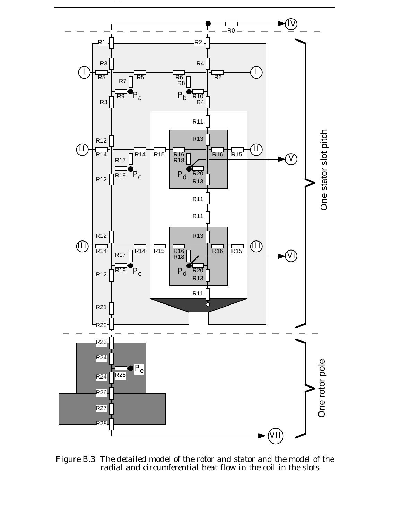

*Figure B.3 The detailed model of the rotor and stator and the model of the radial and circumferential heat flow in the coil in the slots*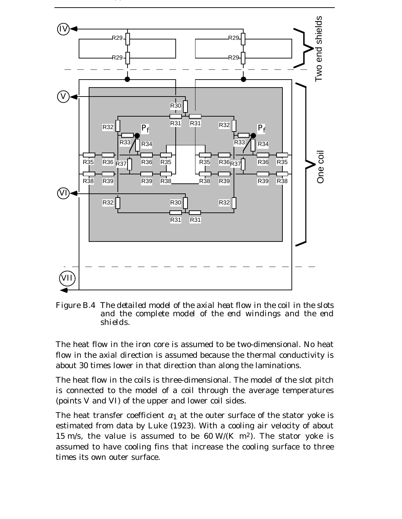

*Figure B.4 The detailed model of the axial heat flow in the coil in the slots and the complete model of the end windings and the end shields.*

The heat flow in the iron core is assumed to be two-dimensional. No heat flow in the axial direction is assumed because the thermal conductivity is about 30 times lower in that direction than along the laminations.

The heat flow in the coils is three-dimensional. The model of the slot pitch is connected to the model of a coil through the average temperatures (points V and VI) of the upper and lower coil sides.

The heat transfer coefficient  $\alpha_1$  at the outer surface of the stator yoke is estimated from data by Luke (1923). With a cooling air velocity of about 15 m/s, the value is assumed to be 60 W/(K  $m^2$ ). The stator yoke is assumed to have cooling fins that increase the cooling surface to three times its own outer surface.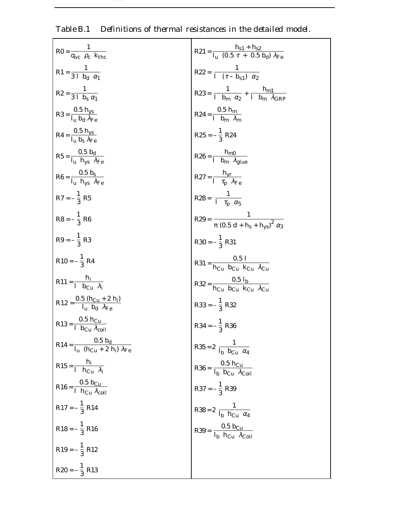| $R0 = \frac{1}{q_{\text{vc}} \rho_{\text{c}} k_{\text{thc}}}$                           | $R21 = \frac{h_{s1} + h_{s2}}{l_{s1} (0.5 \tau + 0.5 h_{d}) \lambda_{Fg}}$                                   |
|-----------------------------------------------------------------------------------------|--------------------------------------------------------------------------------------------------------------|
| $R1 = \frac{1}{3 l b_d \alpha_1}$                                                       | R22 = $\frac{1}{1 + (\tau - b_{s1}) + \alpha_2}$                                                             |
| $R2 = \frac{1}{3 l b_0 \alpha_1}$                                                       | $R23 = \frac{1}{l_b_m \alpha_2} + \frac{h_{m1}}{l_b_m \lambda_{\text{CRP}}}$                                 |
| $R3 = \frac{0.5 \; h_{\text{ys}}}{l_{\text{n}} \; h_{\text{d}} \; \lambda_{\text{E}}}.$ | $R24 = \frac{0.5 \; h_{\rm m}}{l \; h_{\rm m} \; \lambda_{\rm m}}$                                           |
| $R4 = \frac{0.5 \; h_{\text{ys}}}{l_{\text{L}} \; b_{\text{s}} \; \lambda_{\text{Fe}}}$ | $R25 = -\frac{1}{3} R24$                                                                                     |
| $R5 = \frac{0.5 b_d}{l_{\text{u}} h_{\text{vs}} \lambda_{\text{Fe}}}$                   | $R26 = \frac{h_{\rm m0}}{I - h_{\rm m} \lambda_{\rm glu}}$                                                   |
| $R6 = \frac{0.5 b_s}{l_{\text{u}} h_{\text{vs}} \lambda_{\text{Fe}}}$                   | $R27 = \frac{h_{\text{yr}}}{I - \tau_{\text{n}} \lambda_{\text{Fe}}}$                                        |
| $R7 = -\frac{1}{3} R5$                                                                  | R28 = $\frac{1}{1 + \tau_0 \alpha_5}$                                                                        |
| $R8 = -\frac{1}{3} R6$                                                                  | R29 = $\frac{1}{\pi (0.5 d + h_s + h_{vs})^2 \alpha_3}$                                                      |
| $R9 = -\frac{1}{3} R3$                                                                  | $R30 = -\frac{1}{3} R31$                                                                                     |
| $R10 = -\frac{1}{3} R4$                                                                 | $R31 = \frac{0.5 \text{ } I}{h_{\text{Cu}} - h_{\text{Cu}} - h_{\text{Cu}} - h_{\text{Cu}} - h_{\text{Cu}}}$ |
| R11 = $\frac{h_i}{l}$ $\frac{h_i}{b_{\text{Cu}} \lambda_i}$                             | R32 = $\frac{0.5 \, I_b}{h_{\text{Cu}} \, b_{\text{Cu}} \, k_{\text{Cu}} \, \lambda_{\text{Cu}}}$            |
| $R12 = \frac{0.5 (h_{Cu} + z h_{i})}{l_{u} b_{d} \lambda_{Fe}}$                         | $R33 = -\frac{1}{3} R32$                                                                                     |
| R13 = $\frac{0.5 \ h_{\text{Cu}}}{l \ h_{\text{Cu}} \ \lambda_{\text{coil}}}$           | $R34 = -\frac{1}{3} R36$                                                                                     |
| $R14 = \frac{0.5 b_{d}}{l_{11} (h_{C11} + 2 h_{1}) \lambda_{Fe}}$                       | R35 = 2 $\frac{1}{l_{\rm b} b_{\rm Cu} \alpha_4}$                                                            |
| R <sub>15</sub> = $\frac{h_i}{I_h}$                                                     | $R36 = \frac{0.5 \ h_{\rm Cu}}{I_{\rm b} \ b_{\rm Cu} \ \lambda_{\rm Coil}}$                                 |
| $R16 = \frac{0.5 b_{Cu}}{l h_{Cu} \lambda_{coil}}$                                      | $R37 = -\frac{1}{3} R39$                                                                                     |
| $R17 = -\frac{1}{3} R14$                                                                | R38 = 2 $\frac{1}{h_0}$ $\frac{1}{h_{\text{Cu}}$ $\alpha_4}$                                                 |
| $R18 = -\frac{1}{3} R16$                                                                | $R39 = \frac{0.5 b_{\text{Cu}}}{l_{\text{b}} - h_{\text{Cu}} \lambda_{\text{Coil}}}$                         |
| $R19 = -\frac{1}{3} R12$                                                                |                                                                                                              |
| $R20 = -\frac{1}{3} R13$                                                                |                                                                                                              |

*Table B.1 Definitions of thermal resistances in the detailed model.*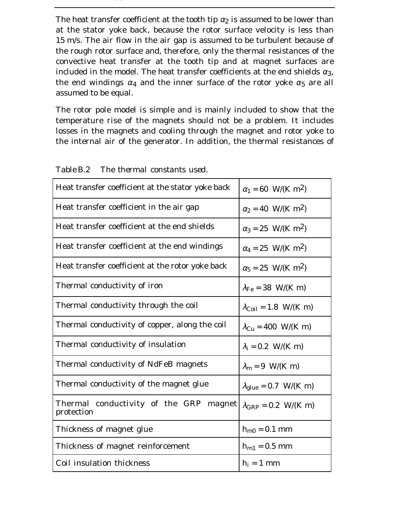*Appendix B Thermal Model of the Generator* 125

The heat transfer coefficient at the tooth tip  $\alpha_2$  is assumed to be lower than at the stator yoke back, because the rotor surface velocity is less than 15 m/s. The air flow in the air gap is assumed to be turbulent because of the rough rotor surface and, therefore, only the thermal resistances of the convective heat transfer at the tooth tip and at magnet surfaces are included in the model. The heat transfer coefficients at the end shields  $\alpha_3$ , the end windings  $\alpha_4$  and the inner surface of the rotor yoke  $\alpha_5$  are all assumed to be equal.

The rotor pole model is simple and is mainly included to show that the temperature rise of the magnets should not be a problem. It includes losses in the magnets and cooling through the magnet and rotor yoke to the internal air of the generator. In addition, the thermal resistances of

| Heat transfer coefficient at the stator yoke back       | $\alpha_1 = 60$ W/(K m <sup>2</sup> )         |
|---------------------------------------------------------|-----------------------------------------------|
| Heat transfer coefficient in the air gap                | $\alpha_2 = 40$ W/(K m <sup>2</sup> )         |
| Heat transfer coefficient at the end shields            | $\alpha_3 = 25$ W/(K m <sup>2</sup> )         |
| Heat transfer coefficient at the end windings           | $\alpha_4 = 25$ W/(K m <sup>2</sup> )         |
| Heat transfer coefficient at the rotor yoke back        | $\alpha_5 = 25$ W/(K m <sup>2</sup> )         |
| Thermal conductivity of iron                            | $\lambda_{\text{Fe}} = 38 \text{ W/(K m)}$    |
| Thermal conductivity through the coil                   | $\lambda_{\text{Coil}} = 1.8 \text{ W/(K m)}$ |
| Thermal conductivity of copper, along the coil          | $\lambda_{Cu} = 400$ W/(K m)                  |
| Thermal conductivity of insulation                      | $\lambda_i = 0.2$ W/(K m)                     |
| Thermal conductivity of NdFeB magnets                   | $\lambda_m = 9$ W/(K m)                       |
| Thermal conductivity of the magnet glue                 | $\lambda$ <sub>glue</sub> = 0.7 W/(K m)       |
| Thermal conductivity of the GRP<br>magnet<br>protection | $\lambda_{\rm GRP} = 0.2$ W/(K m)             |
| Thickness of magnet glue                                | $h_{\rm m0} = 0.1$ mm                         |
| Thickness of magnet reinforcement                       | $h_{m1} = 0.5$ mm                             |
| Coil insulation thickness                               | $h_i = 1$ mm                                  |

*Table B.2 The thermal constants used.*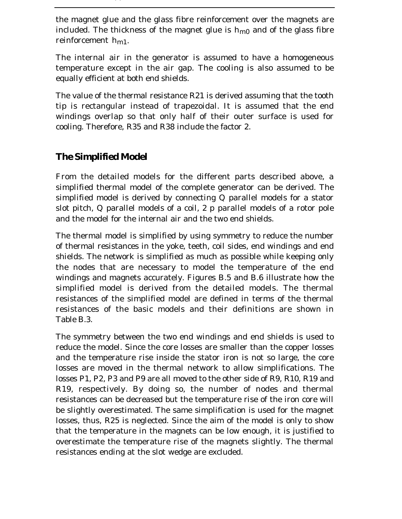the magnet glue and the glass fibre reinforcement over the magnets are included. The thickness of the magnet glue is  $h_{\text{m0}}$  and of the glass fibre reinforcement *h*m1.

The internal air in the generator is assumed to have a homogeneous temperature except in the air gap. The cooling is also assumed to be equally efficient at both end shields.

The value of the thermal resistance R21 is derived assuming that the tooth tip is rectangular instead of trapezoidal. It is assumed that the end windings overlap so that only half of their outer surface is used for cooling. Therefore, R35 and R38 include the factor 2.

### **The Simplified Model**

From the detailed models for the different parts described above, a simplified thermal model of the complete generator can be derived. The simplified model is derived by connecting *Q* parallel models for a stator slot pitch, *Q* parallel models of a coil, 2 *p* parallel models of a rotor pole and the model for the internal air and the two end shields.

The thermal model is simplified by using symmetry to reduce the number of thermal resistances in the yoke, teeth, coil sides, end windings and end shields. The network is simplified as much as possible while keeping only the nodes that are necessary to model the temperature of the end windings and magnets accurately. Figures B.5 and B.6 illustrate how the simplified model is derived from the detailed models. The thermal resistances of the simplified model are defined in terms of the thermal resistances of the basic models and their definitions are shown in Table B.3.

The symmetry between the two end windings and end shields is used to reduce the model. Since the core losses are smaller than the copper losses and the temperature rise inside the stator iron is not so large, the core losses are moved in the thermal network to allow simplifications. The losses P1, P2, P3 and P9 are all moved to the other side of R9, R10, R19 and R19, respectively. By doing so, the number of nodes and thermal resistances can be decreased but the temperature rise of the iron core will be slightly overestimated. The same simplification is used for the magnet losses, thus, R25 is neglected. Since the aim of the model is only to show that the temperature in the magnets can be low enough, it is justified to overestimate the temperature rise of the magnets slightly. The thermal resistances ending at the slot wedge are excluded.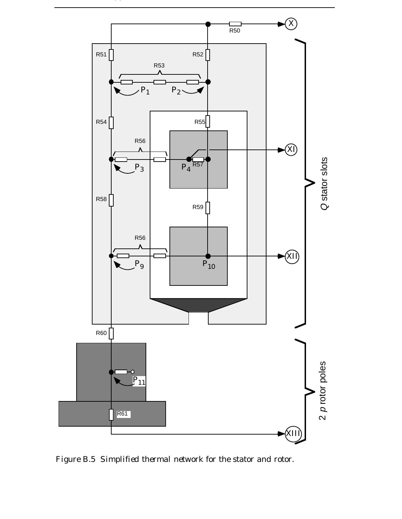

*Figure B.5 Simplified thermal network for the stator and rotor.*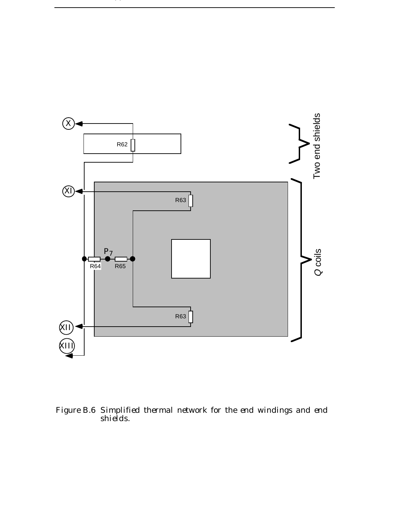

128 *Appendix B Thermal Model of the Generator*

*Figure B.6 Simplified thermal network for the end windings and end shields.*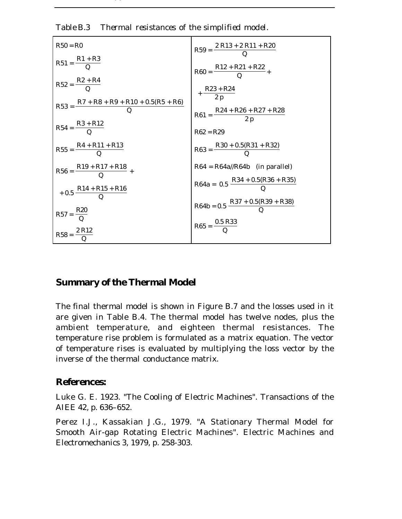| $R50 = R0$<br>$R51 = \frac{R1 + R3}{Q}$               | $R59 = \frac{2 R13 + 2 R11 + R20}{2}$                                    |
|-------------------------------------------------------|--------------------------------------------------------------------------|
| $R52 = \frac{R2 + R4}{Q}$                             | $R60 = \frac{R12 + R21 + R22}{Q} +$                                      |
| $R53 = \frac{R7 + R8 + R9 + R10 + 0.5(R5 + R6)}{R51}$ | $+\frac{R23+R24}{2 p}$                                                   |
| $R54 = \frac{R3 + R12}{Q}$                            | $R61 = \frac{R24 + R26 + R27 + R28}{2 p}$<br>$R62 = R29$                 |
| $R55 = \frac{R4 + R11 + R13}{C}$                      | $R63 = \frac{R30 + 0.5(R31 + R32)}{6}$                                   |
| $R56 = \frac{R19 + R17 + R18}{Q} +$                   | $R64 = R64a/R64b$ (in parallel)                                          |
| $+ 0.5 \frac{R14 + R15 + R16}{ }$<br>Q                | $R64a = 0.5 \frac{R34 + 0.5(R36 + R35)}{Q}$                              |
| $R57 = \frac{R20}{Q}$                                 | $R64b = 0.5 \frac{R37 + 0.5(R39 + R38)}{Q}$<br>$R65 = \frac{0.5 R33}{Q}$ |
| $R58 = \frac{2 R12}{Q}$                               |                                                                          |

*Table B.3 Thermal resistances of the simplified model.*

#### **Summary of the Thermal Model**

The final thermal model is shown in Figure B.7 and the losses used in it are given in Table B.4. The thermal model has twelve nodes, plus the ambient temperature, and eighteen thermal resistances. The temperature rise problem is formulated as a matrix equation. The vector of temperature rises is evaluated by multiplying the loss vector by the inverse of the thermal conductance matrix.

#### **References:**

Luke G. E. 1923. "The Cooling of Electric Machines". Transactions of the AIEE 42, p. 636–652.

Perez I.J., Kassakian J.G., 1979. "A Stationary Thermal Model for Smooth Air-gap Rotating Electric Machines". Electric Machines and Electromechanics 3, 1979, p. 258-303.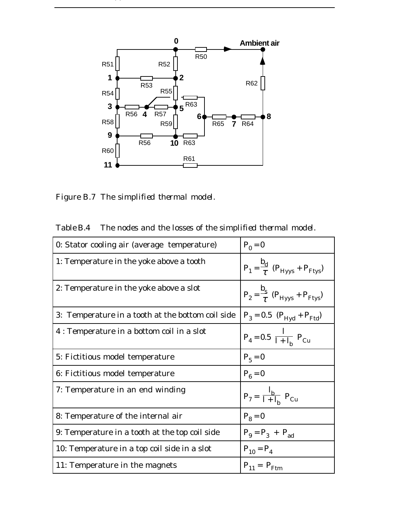

*Figure B.7 The simplified thermal model.*

| 0: Stator cooling air (average temperature)       | $P_0 = 0$                                                    |
|---------------------------------------------------|--------------------------------------------------------------|
| 1: Temperature in the yoke above a tooth          | $P_1 = \frac{b_d}{\tau} (P_{\text{Hsys}} + P_{\text{Frys}})$ |
| 2: Temperature in the yoke above a slot           | $P_2 = \frac{D_s}{\tau} (P_{\text{Hyys}} + P_{\text{Ftys}})$ |
| 3: Temperature in a tooth at the bottom coil side | $P_3 = 0.5 (P_{\text{Hyd}} + P_{\text{Ftd}})$                |
| 4 : Temperature in a bottom coil in a slot        | $P_4 = 0.5 \frac{I}{I + I_h} P_{Cu}$                         |
| 5: Fictitious model temperature                   | $P_5 = 0$                                                    |
| 6: Fictitious model temperature                   | $P_6 = 0$                                                    |
| 7: Temperature in an end winding                  | $P_7 = \frac{I_b}{I + I_b} P_{Cu}$                           |
| 8: Temperature of the internal air                | $P_{\rm g}=0$                                                |
| 9: Temperature in a tooth at the top coil side    | $P_9 = P_3 + P_{\text{ad}}$                                  |
| 10: Temperature in a top coil side in a slot      | $P_{10} = P_4$                                               |
| 11: Temperature in the magnets                    | $P_{11} = P_{\text{Ftm}}$                                    |

*Table B.4 The nodes and the losses of the simplified thermal model.*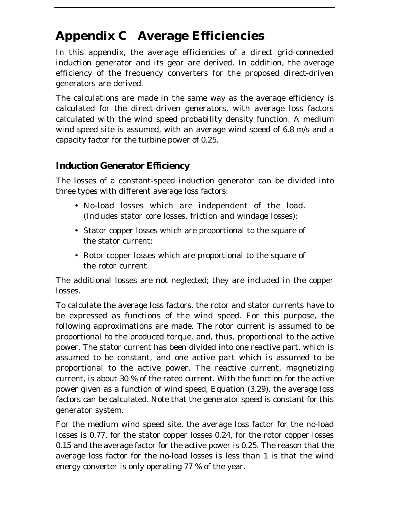# **Appendix C Average Efficiencies**

In this appendix, the average efficiencies of a direct grid-connected induction generator and its gear are derived. In addition, the average efficiency of the frequency converters for the proposed direct-driven generators are derived.

The calculations are made in the same way as the average efficiency is calculated for the direct-driven generators, with average loss factors calculated with the wind speed probability density function. A medium wind speed site is assumed, with an average wind speed of 6.8 m/s and a capacity factor for the turbine power of 0.25.

### **Induction Generator Efficiency**

The losses of a constant-speed induction generator can be divided into three types with different average loss factors:

- No-load losses which are independent of the load. (Includes stator core losses, friction and windage losses);
- Stator copper losses which are proportional to the square of the stator current;
- Rotor copper losses which are proportional to the square of the rotor current.

The additional losses are not neglected; they are included in the copper losses.

To calculate the average loss factors, the rotor and stator currents have to be expressed as functions of the wind speed. For this purpose, the following approximations are made. The rotor current is assumed to be proportional to the produced torque, and, thus, proportional to the active power. The stator current has been divided into one reactive part, which is assumed to be constant, and one active part which is assumed to be proportional to the active power. The reactive current, magnetizing current, is about 30 % of the rated current. With the function for the active power given as a function of wind speed, Equation (3.29), the average loss factors can be calculated. Note that the generator speed is constant for this generator system.

For the medium wind speed site, the average loss factor for the no-load losses is 0.77, for the stator copper losses 0.24, for the rotor copper losses 0.15 and the average factor for the active power is 0.25. The reason that the average loss factor for the no-load losses is less than 1 is that the wind energy converter is only operating 77 % of the year.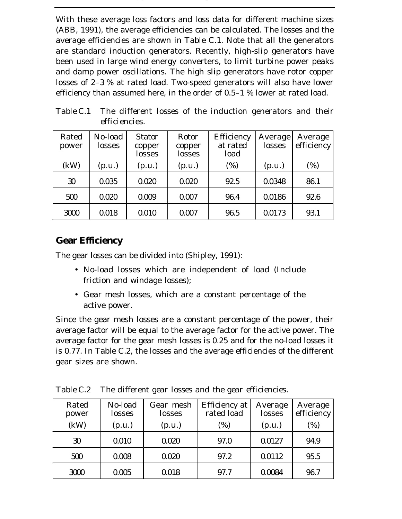With these average loss factors and loss data for different machine sizes (ABB, 1991), the average efficiencies can be calculated. The losses and the average efficiencies are shown in Table C.1. Note that all the generators are standard induction generators. Recently, high-slip generators have been used in large wind energy converters, to limit turbine power peaks and damp power oscillations. The high slip generators have rotor copper losses of 2–3 % at rated load. Two-speed generators will also have lower efficiency than assumed here, in the order of 0.5–1 % lower at rated load.

| Rated<br>power | No-load<br>losses | <b>Stator</b><br>copper<br>losses | Rotor<br>copper<br>losses | Efficiency<br>at rated<br>load | Average<br>losses | Average<br>efficiency |
|----------------|-------------------|-----------------------------------|---------------------------|--------------------------------|-------------------|-----------------------|
| (kW)           | (p.u.)            | (p.u.)                            | (p.u.)                    | $(\%)$                         | (p.u.)            | $(\%)$                |
| 30             | 0.035             | 0.020                             | 0.020                     | 92.5                           | 0.0348            | 86.1                  |
| 500            | 0.020             | 0.009                             | 0.007                     | 96.4                           | 0.0186            | 92.6                  |
| 3000           | 0.018             | 0.010                             | 0.007                     | 96.5                           | 0.0173            | 93.1                  |

*Table C.1 The different losses of the induction generators and their efficiencies.*

### **Gear Efficiency**

The gear losses can be divided into (Shipley, 1991):

- No-load losses which are independent of load (Include friction and windage losses);
- Gear mesh losses, which are a constant percentage of the active power.

Since the gear mesh losses are a constant percentage of the power, their average factor will be equal to the average factor for the active power. The average factor for the gear mesh losses is 0.25 and for the no-load losses it is 0.77. In Table C.2, the losses and the average efficiencies of the different gear sizes are shown.

| Rated<br>power | No-load<br>losses | Gear mesh<br>losses | Efficiency at<br>rated load | Average<br>losses | Average<br>efficiency |
|----------------|-------------------|---------------------|-----------------------------|-------------------|-----------------------|
| (kW)           | (p.u.)            | (p.u.)              | $(\%)$                      | (p.u.)            | $(\%)$                |
| 30             | 0.010             | 0.020               | 97.0                        | 0.0127            | 94.9                  |
| 500            | 0.008             | 0.020               | 97.2                        | 0.0112            | 95.5                  |
| 3000           | 0.005             | 0.018               | 97.7                        | 0.0084            | 96.7                  |

*Table C.2 The different gear losses and the gear efficiencies.*